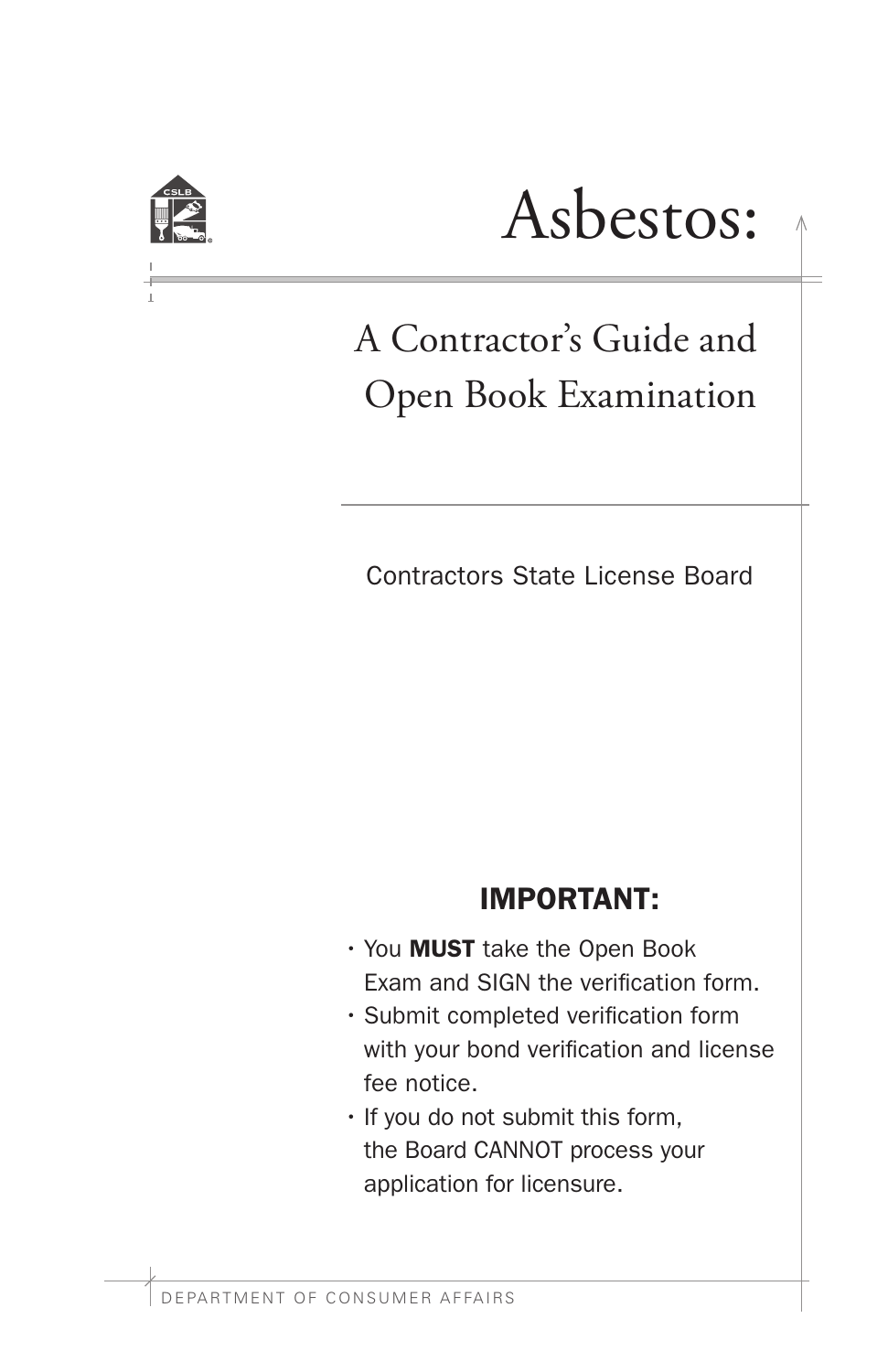

# Asbestos:

# A Contractor's Guide and Open Book Examination

Contractors State License Board

# IMPORTANT:

- You MUST take the Open Book Exam and SIGN the verification form.
- Submit completed verification form with your bond verification and license fee notice.
- If you do not submit this form, the Board CANNOT process your application for licensure.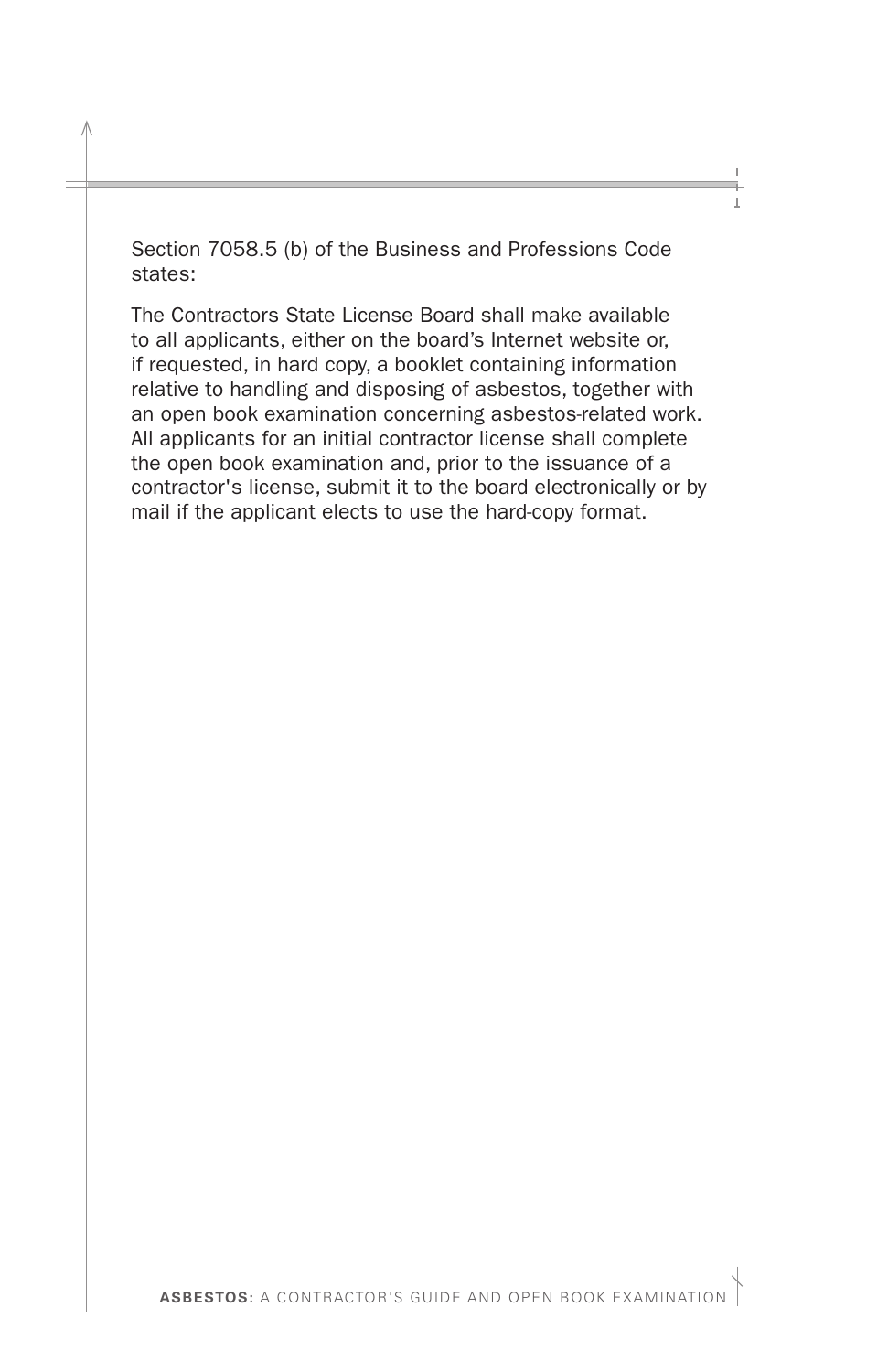Section 7058.5 (b) of the Business and Professions Code states:

The Contractors State License Board shall make available to all applicants, either on the board's Internet website or, if requested, in hard copy, a booklet containing information relative to handling and disposing of asbestos, together with an open book examination concerning asbestos-related work. All applicants for an initial contractor license shall complete the open book examination and, prior to the issuance of a contractor's license, submit it to the board electronically or by mail if the applicant elects to use the hard-copy format.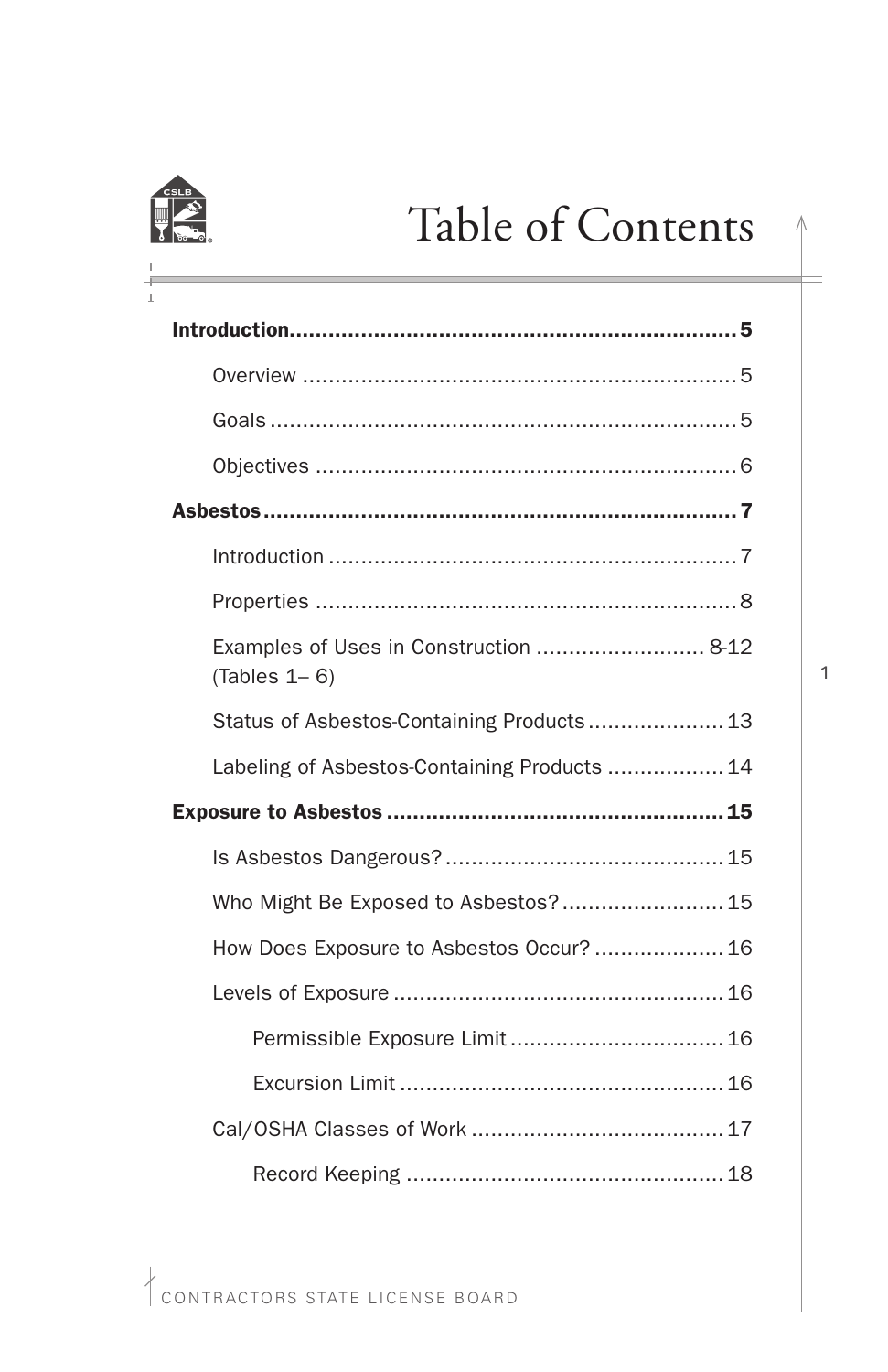

# Table of Contents

| Examples of Uses in Construction  8-12<br>$(Tables 1 - 6)$ |
|------------------------------------------------------------|
| Status of Asbestos-Containing Products 13                  |
| Labeling of Asbestos-Containing Products  14               |
|                                                            |
|                                                            |
| Who Might Be Exposed to Asbestos? 15                       |
| How Does Exposure to Asbestos Occur?  16                   |
|                                                            |
|                                                            |
|                                                            |
|                                                            |
|                                                            |

 $\wedge$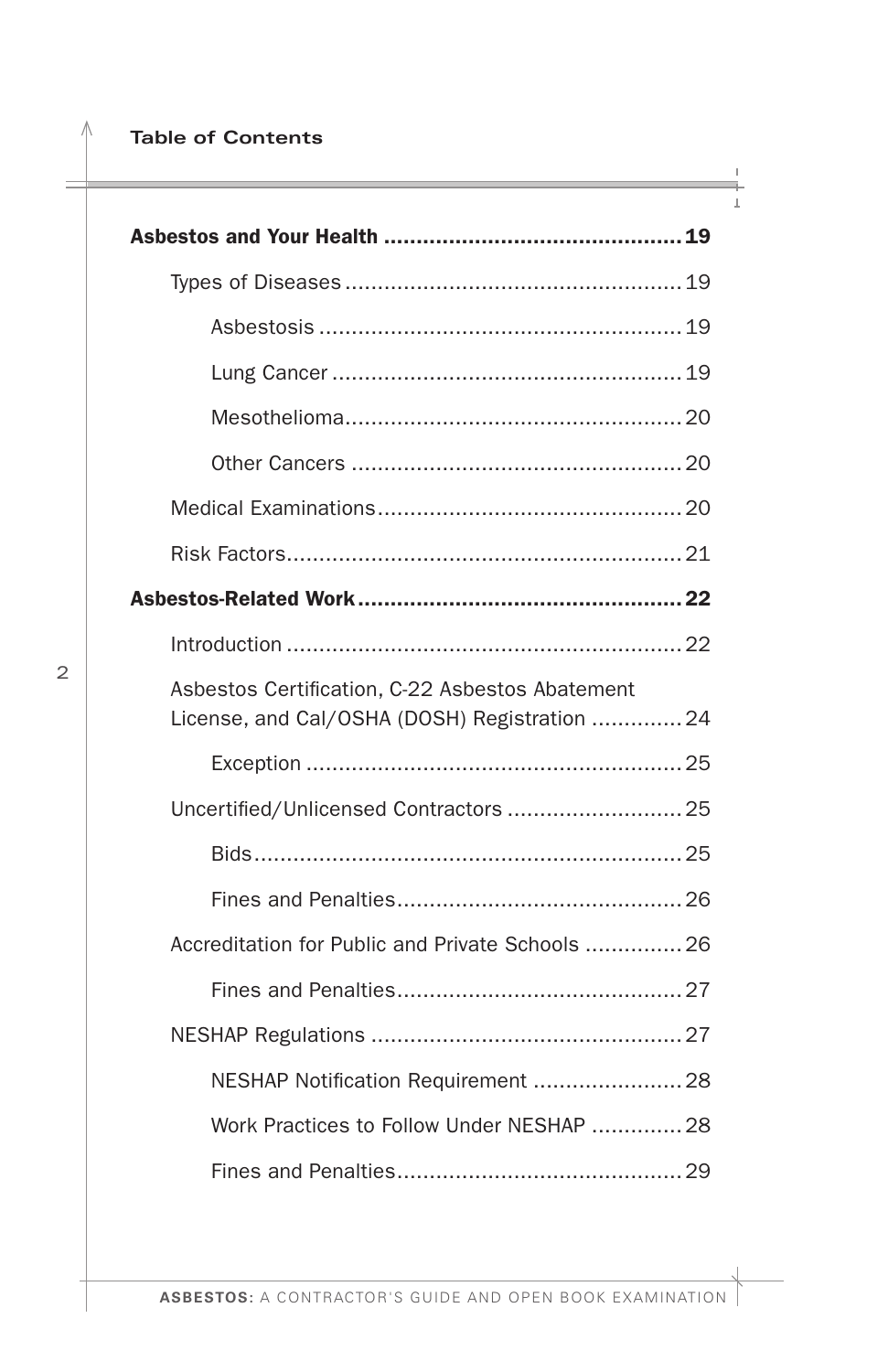### **Table of Contents**

| Asbestos Certification, C-22 Asbestos Abatement<br>License, and Cal/OSHA (DOSH) Registration 24 |
|-------------------------------------------------------------------------------------------------|
|                                                                                                 |
| Uncertified/Unlicensed Contractors  25                                                          |
|                                                                                                 |
|                                                                                                 |
| Accreditation for Public and Private Schools  26                                                |
|                                                                                                 |
|                                                                                                 |
|                                                                                                 |
| Work Practices to Follow Under NESHAP  28                                                       |
|                                                                                                 |

Λ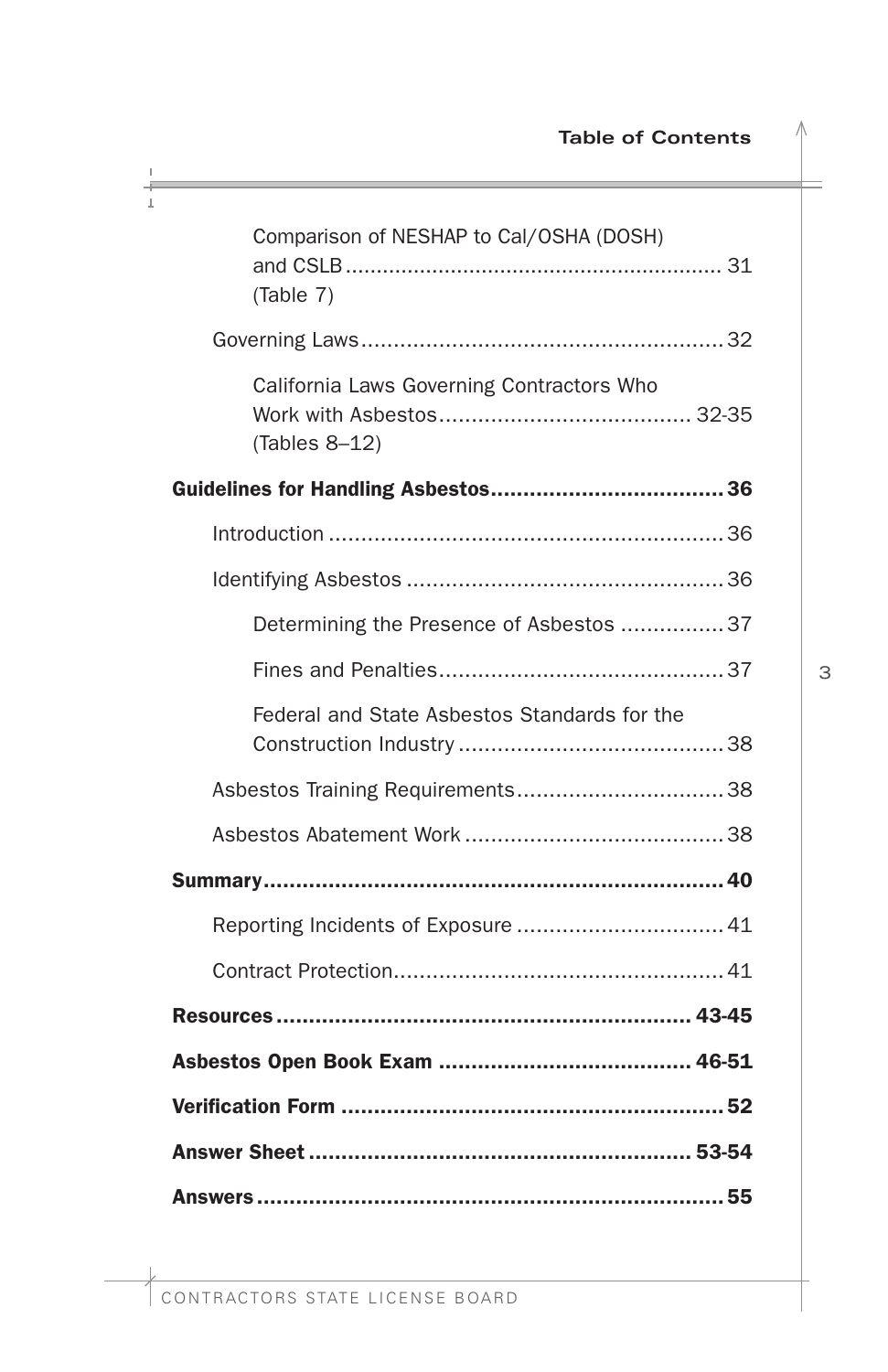| Comparison of NESHAP to Cal/OSHA (DOSH)<br>(Table 7)       |
|------------------------------------------------------------|
|                                                            |
| California Laws Governing Contractors Who<br>(Tables 8-12) |
|                                                            |
|                                                            |
|                                                            |
| Determining the Presence of Asbestos  37                   |
|                                                            |
| Federal and State Asbestos Standards for the               |
|                                                            |
|                                                            |
|                                                            |
| Reporting Incidents of Exposure  41                        |
|                                                            |
|                                                            |
|                                                            |
|                                                            |
|                                                            |
|                                                            |

Л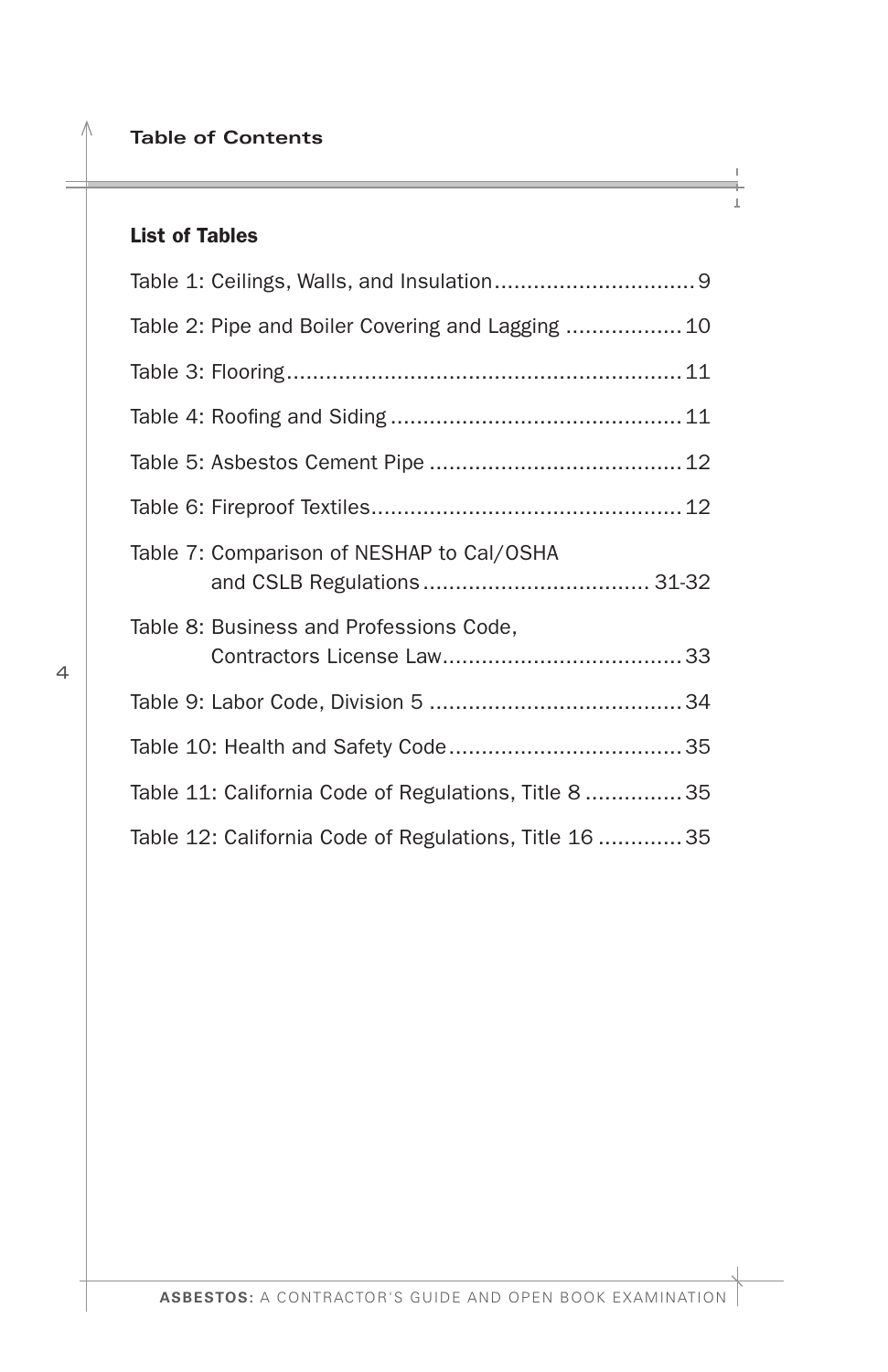**Table of Contents** 

# List of Tables

Λ

| Table 2: Pipe and Boiler Covering and Lagging  10     |
|-------------------------------------------------------|
|                                                       |
|                                                       |
|                                                       |
|                                                       |
| Table 7: Comparison of NESHAP to Cal/OSHA             |
| Table 8: Business and Professions Code,               |
|                                                       |
|                                                       |
| Table 11: California Code of Regulations, Title 8  35 |
| Table 12: California Code of Regulations, Title 16 35 |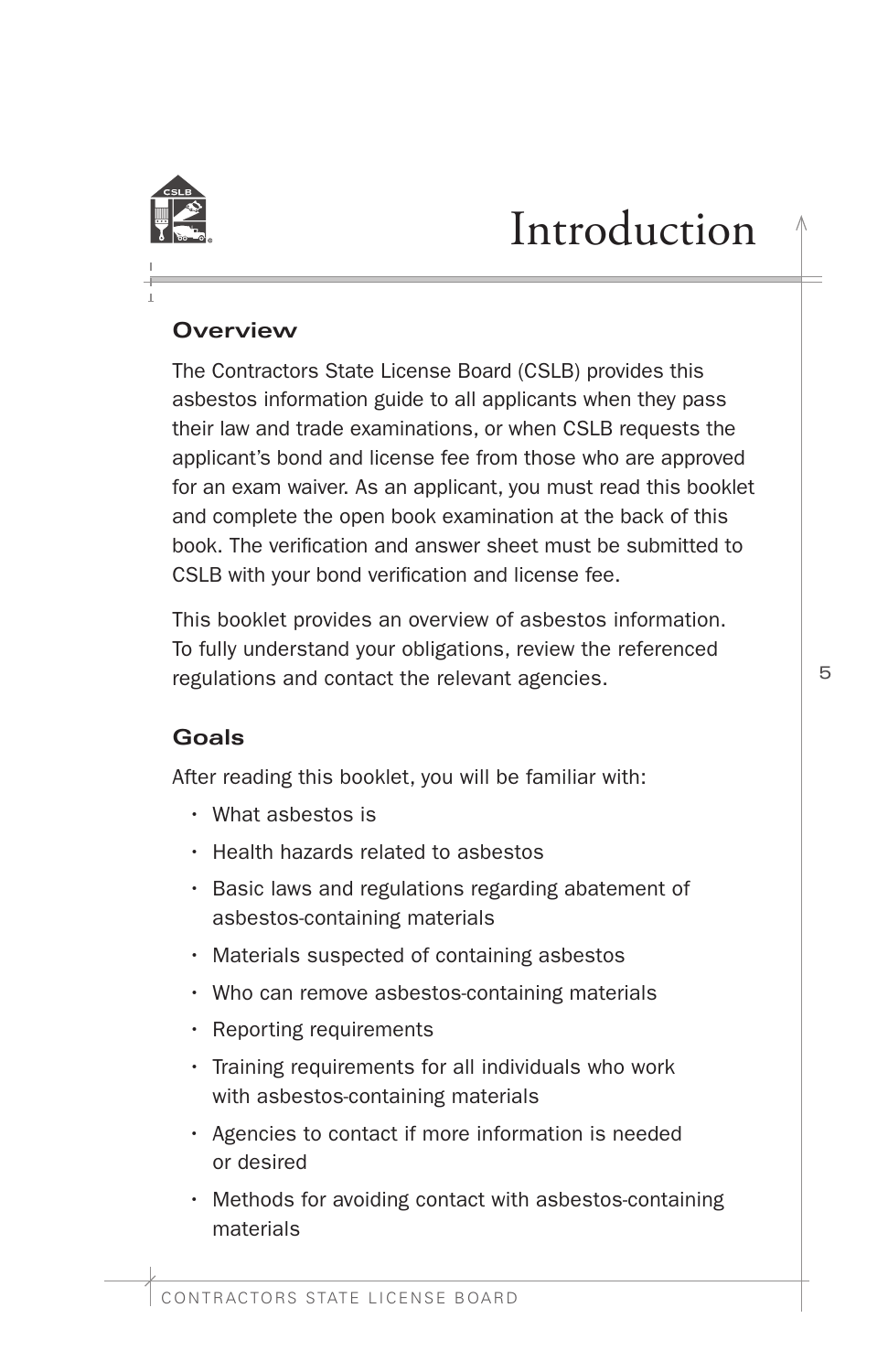<span id="page-6-0"></span>

# Introduction

# **Overview**

The Contractors State License Board (CSLB) provides this asbestos information guide to all applicants when they pass their law and trade examinations, or when CSLB requests the applicant's bond and license fee from those who are approved for an exam waiver. As an applicant, you must read this booklet and complete the open book examination at the back of this book. The verifcation and answer sheet must be submitted to CSLB with your bond verifcation and license fee.

This booklet provides an overview of asbestos information. To fully understand your obligations, review the referenced regulations and contact the relevant agencies.

# **Goals**

After reading this booklet, you will be familiar with:

- What asbestos is
- Health hazards related to asbestos
- Basic laws and regulations regarding abatement of asbestos-containing materials
- Materials suspected of containing asbestos
- Who can remove asbestos-containing materials
- Reporting requirements
- Training requirements for all individuals who work with asbestos-containing materials
- Agencies to contact if more information is needed or desired
- Methods for avoiding contact with asbestos-containing materials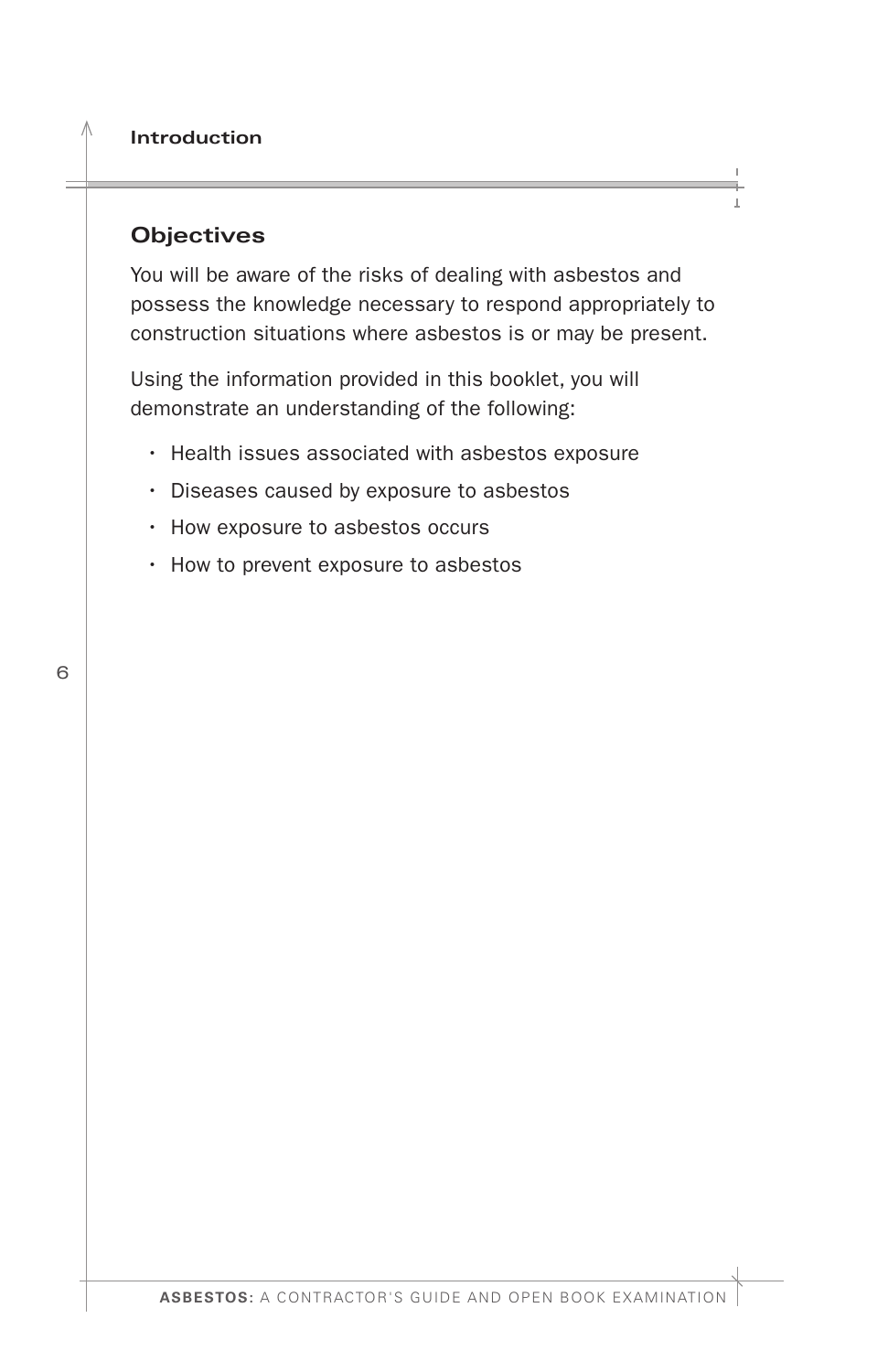### <span id="page-7-0"></span>**Objectives**

You will be aware of the risks of dealing with asbestos and possess the knowledge necessary to respond appropriately to construction situations where asbestos is or may be present.

Using the information provided in this booklet, you will demonstrate an understanding of the following:

- Health issues associated with asbestos exposure
- Diseases caused by exposure to asbestos
- How exposure to asbestos occurs
- How to prevent exposure to asbestos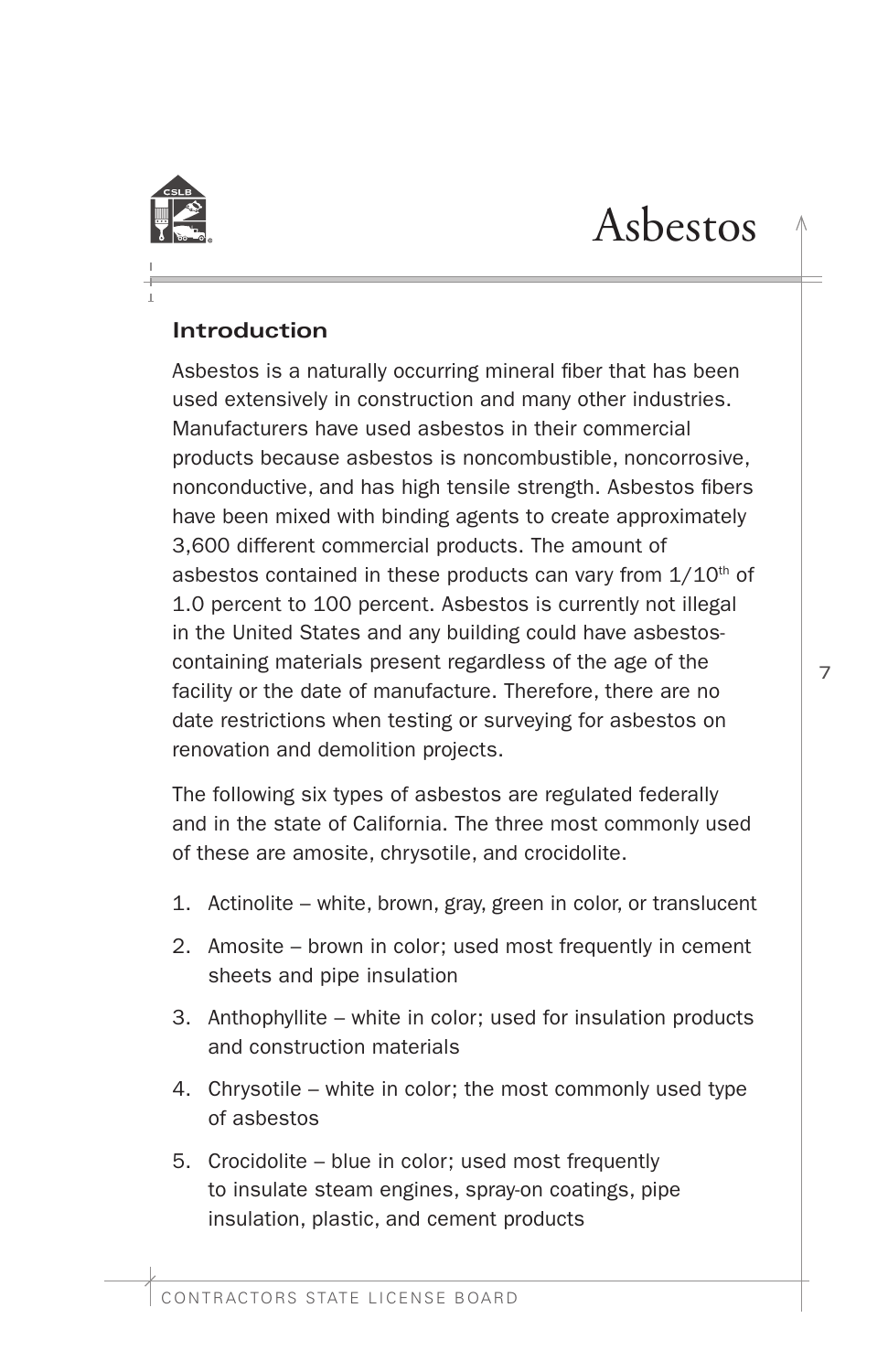<span id="page-8-0"></span>

# Asbestos

# **Introduction**

Asbestos is a naturally occurring mineral fiber that has been used extensively in construction and many other industries. Manufacturers have used asbestos in their commercial products because asbestos is noncombustible, noncorrosive, nonconductive, and has high tensile strength. Asbestos fbers have been mixed with binding agents to create approximately 3,600 different commercial products. The amount of asbestos contained in these products can vary from  $1/10<sup>th</sup>$  of 1.0 percent to 100 percent. Asbestos is currently not illegal in the United States and any building could have asbestoscontaining materials present regardless of the age of the facility or the date of manufacture. Therefore, there are no date restrictions when testing or surveying for asbestos on renovation and demolition projects.

The following six types of asbestos are regulated federally and in the state of California. The three most commonly used of these are amosite, chrysotile, and crocidolite.

- 1. Actinolite white, brown, gray, green in color, or translucent
- 2. Amosite brown in color; used most frequently in cement sheets and pipe insulation
- 3. Anthophyllite white in color; used for insulation products and construction materials
- 4. Chrysotile white in color; the most commonly used type of asbestos
- 5. Crocidolite blue in color; used most frequently to insulate steam engines, spray-on coatings, pipe insulation, plastic, and cement products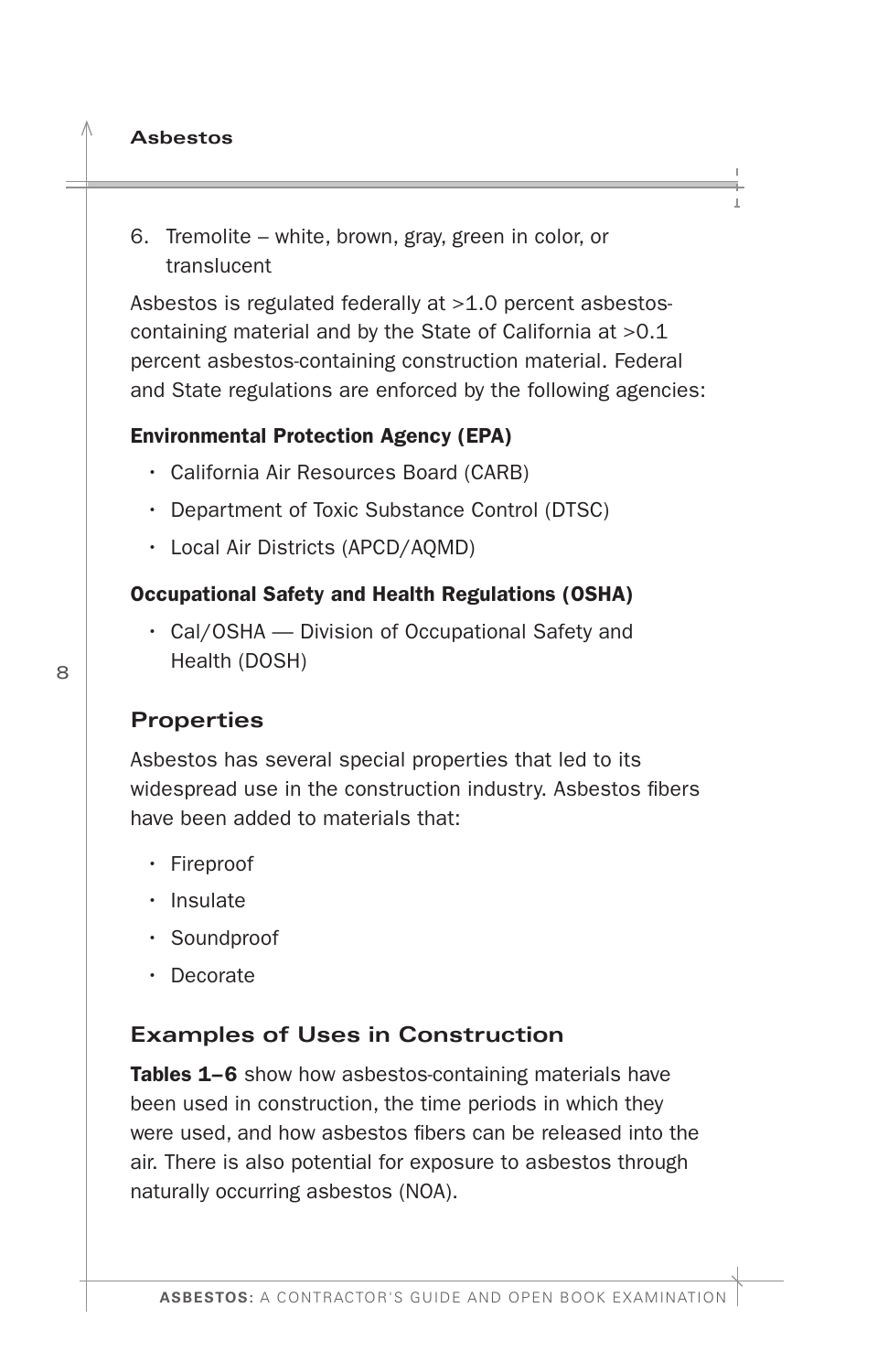- <span id="page-9-0"></span>**Asbestos**
- 6. Tremolite white, brown, gray, green in color, or translucent

Asbestos is regulated federally at >1.0 percent asbestoscontaining material and by the State of California at >0.1 percent asbestos-containing construction material. Federal and State regulations are enforced by the following agencies:

#### Environmental Protection Agency (EPA)

- California Air Resources Board (CARB)
- Department of Toxic Substance Control (DTSC)
- Local Air Districts (APCD/AQMD)

#### Occupational Safety and Health Regulations (OSHA)

• Cal/OSHA — Division of Occupational Safety and Health (DOSH)

#### **Properties**

Asbestos has several special properties that led to its widespread use in the construction industry. Asbestos fbers have been added to materials that:

- Fireproof
- Insulate
- Soundproof
- Decorate

#### **Examples of Uses in Construction**

Tables 1–6 show how asbestos-containing materials have been used in construction, the time periods in which they were used, and how asbestos fibers can be released into the air. There is also potential for exposure to asbestos through naturally occurring asbestos (NOA).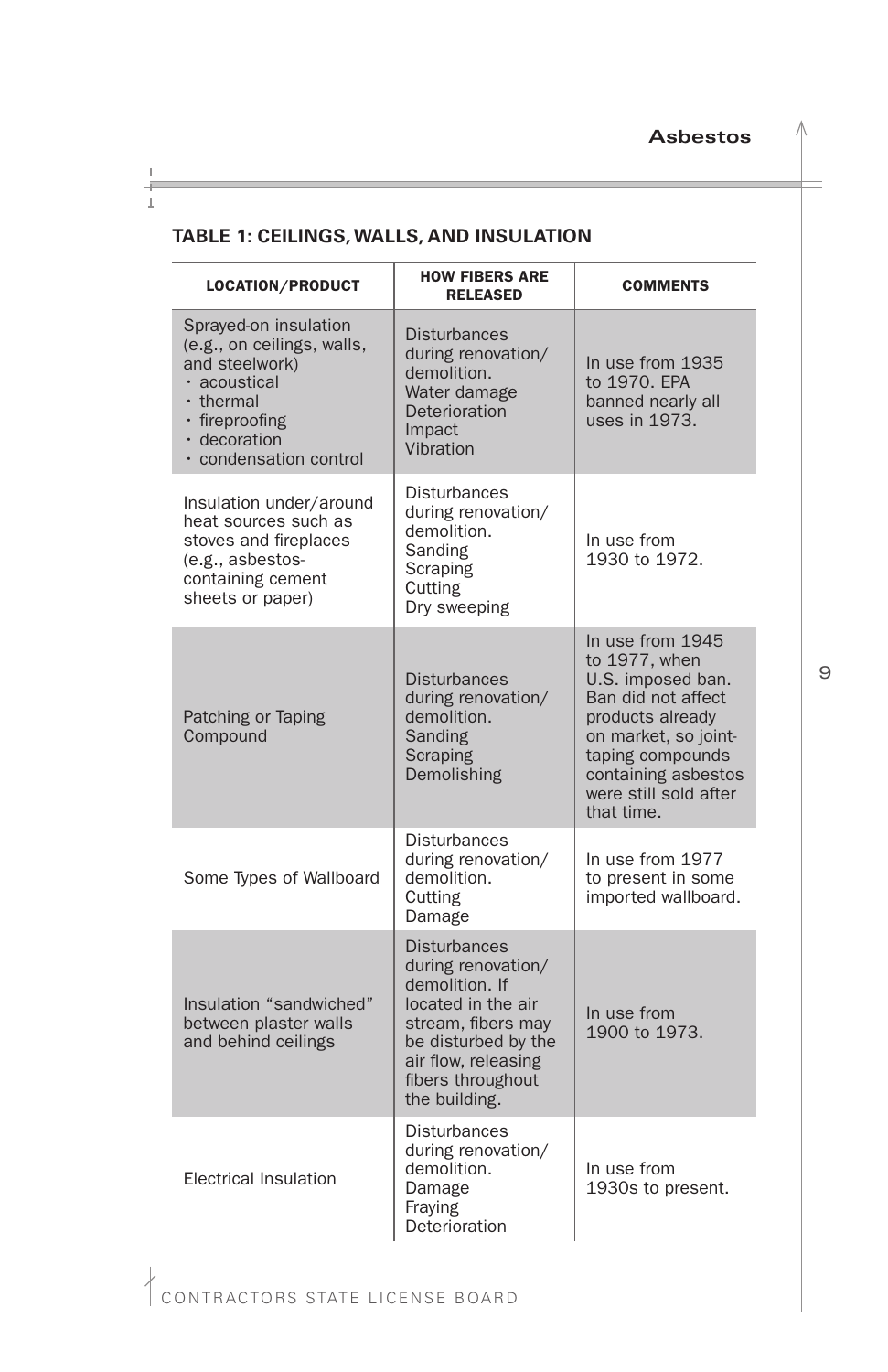#### <span id="page-10-0"></span>**TABLE 1: CEILINGS, WALLS, AND INSULATION**

| <b>LOCATION/PRODUCT</b>                                                                                                                                              | <b>HOW FIBERS ARE</b><br><b>RELEASED</b>                                                                                                                                                    | <b>COMMENTS</b>                                                                                                                                                                                            |
|----------------------------------------------------------------------------------------------------------------------------------------------------------------------|---------------------------------------------------------------------------------------------------------------------------------------------------------------------------------------------|------------------------------------------------------------------------------------------------------------------------------------------------------------------------------------------------------------|
| Sprayed-on insulation<br>(e.g., on ceilings, walls,<br>and steelwork)<br>· acoustical<br>$\cdot$ thermal<br>· fireproofing<br>· decoration<br>· condensation control | <b>Disturbances</b><br>during renovation/<br>demolition.<br>Water damage<br>Deterioration<br>Impact<br>Vibration                                                                            | In use from 1935<br>to 1970. EPA<br>banned nearly all<br>uses in 1973.                                                                                                                                     |
| Insulation under/around<br>heat sources such as<br>stoves and fireplaces<br>(e.g., asbestos-<br>containing cement<br>sheets or paper)                                | <b>Disturbances</b><br>during renovation/<br>demolition.<br>Sanding<br>Scraping<br>Cutting<br>Dry sweeping                                                                                  | In use from<br>1930 to 1972.                                                                                                                                                                               |
| Patching or Taping<br>Compound                                                                                                                                       | <b>Disturbances</b><br>during renovation/<br>demolition.<br>Sanding<br>Scraping<br>Demolishing                                                                                              | In use from 1945<br>to 1977, when<br>U.S. imposed ban.<br>Ban did not affect<br>products already<br>on market, so joint-<br>taping compounds<br>containing asbestos<br>were still sold after<br>that time. |
| Some Types of Wallboard                                                                                                                                              | <b>Disturbances</b><br>during renovation/<br>demolition.<br>Cutting<br>Damage                                                                                                               | In use from 1977<br>to present in some<br>imported wallboard.                                                                                                                                              |
| Insulation "sandwiched"<br>between plaster walls<br>and behind ceilings                                                                                              | <b>Disturbances</b><br>during renovation/<br>demolition. If<br>located in the air<br>stream, fibers may<br>be disturbed by the<br>air flow, releasing<br>fibers throughout<br>the building. | In use from<br>1900 to 1973.                                                                                                                                                                               |
| <b>Electrical Insulation</b>                                                                                                                                         | <b>Disturbances</b><br>during renovation/<br>demolition.<br>Damage<br>Fraying<br>Deterioration                                                                                              | In use from<br>1930s to present.                                                                                                                                                                           |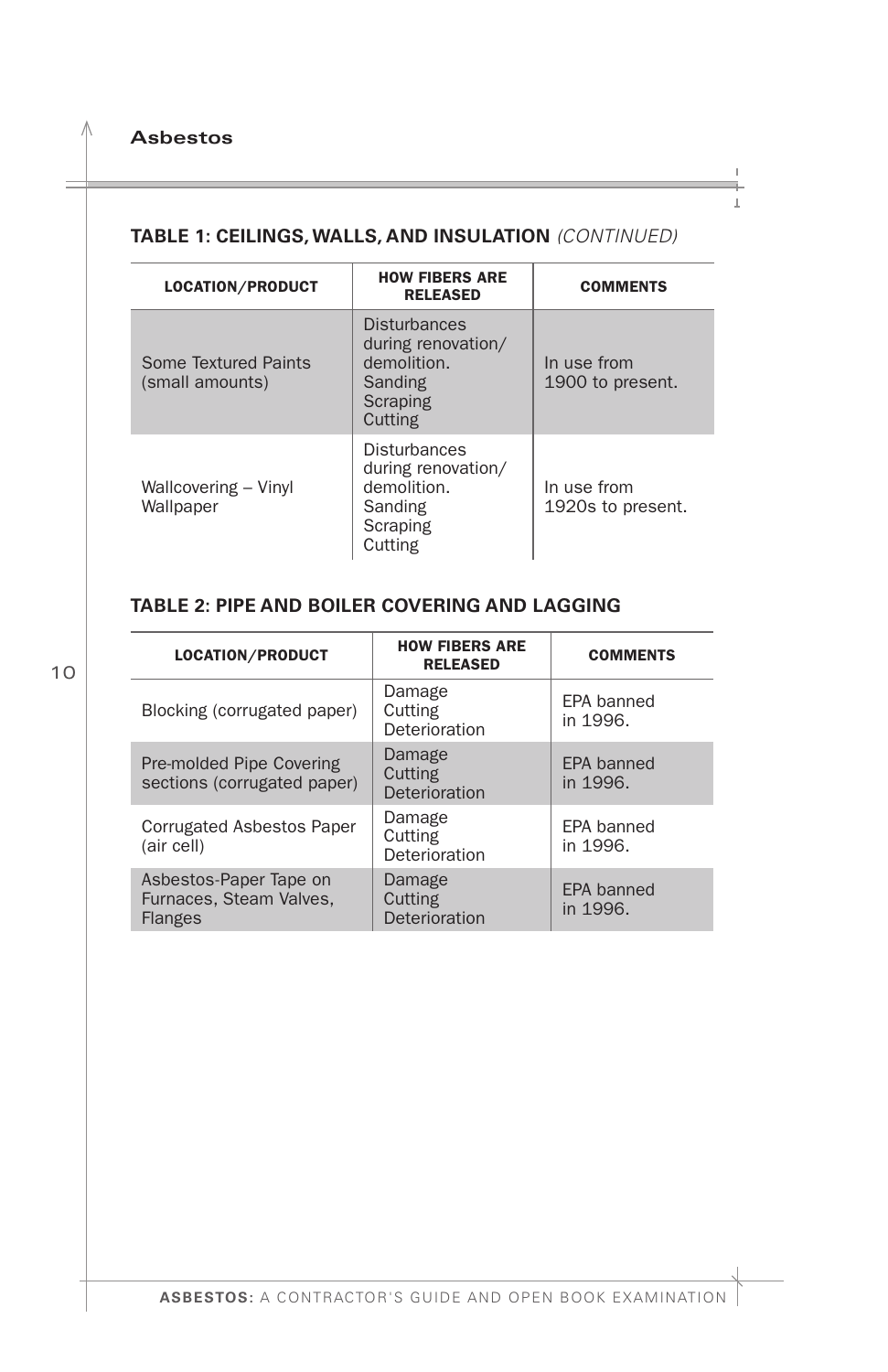#### <span id="page-11-0"></span> **TABLE 1: CEILINGS, WALLS, AND INSULATION** *(CONTINUED)*

| <b>LOCATION/PRODUCT</b>                 | <b>HOW FIBERS ARE</b><br><b>RELEASED</b>                                                   | <b>COMMENTS</b>                  |
|-----------------------------------------|--------------------------------------------------------------------------------------------|----------------------------------|
| Some Textured Paints<br>(small amounts) | <b>Disturbances</b><br>during renovation/<br>demolition.<br>Sanding<br>Scraping<br>Cutting | In use from<br>1900 to present.  |
| Wallcovering - Vinyl<br>Wallpaper       | <b>Disturbances</b><br>during renovation/<br>demolition.<br>Sanding<br>Scraping<br>Cutting | In use from<br>1920s to present. |

#### **TABLE 2: PIPE AND BOILER COVERING AND LAGGING**

| LOCATION/PRODUCT                                                    | <b>HOW FIBERS ARE</b><br><b>RELEASED</b> | <b>COMMENTS</b>               |
|---------------------------------------------------------------------|------------------------------------------|-------------------------------|
| Blocking (corrugated paper)                                         | Damage<br>Cutting<br>Deterioration       | EPA banned<br>in 1996.        |
| Pre-molded Pipe Covering<br>sections (corrugated paper)             | Damage<br>Cutting<br>Deterioration       | <b>EPA banned</b><br>in 1996. |
| <b>Corrugated Asbestos Paper</b><br>(air cell)                      | Damage<br>Cutting<br>Deterioration       | FPA banned<br>in 1996.        |
| Asbestos-Paper Tape on<br>Furnaces, Steam Valves.<br><b>Flanges</b> | Damage<br>Cutting<br>Deterioration       | <b>EPA</b> banned<br>in 1996. |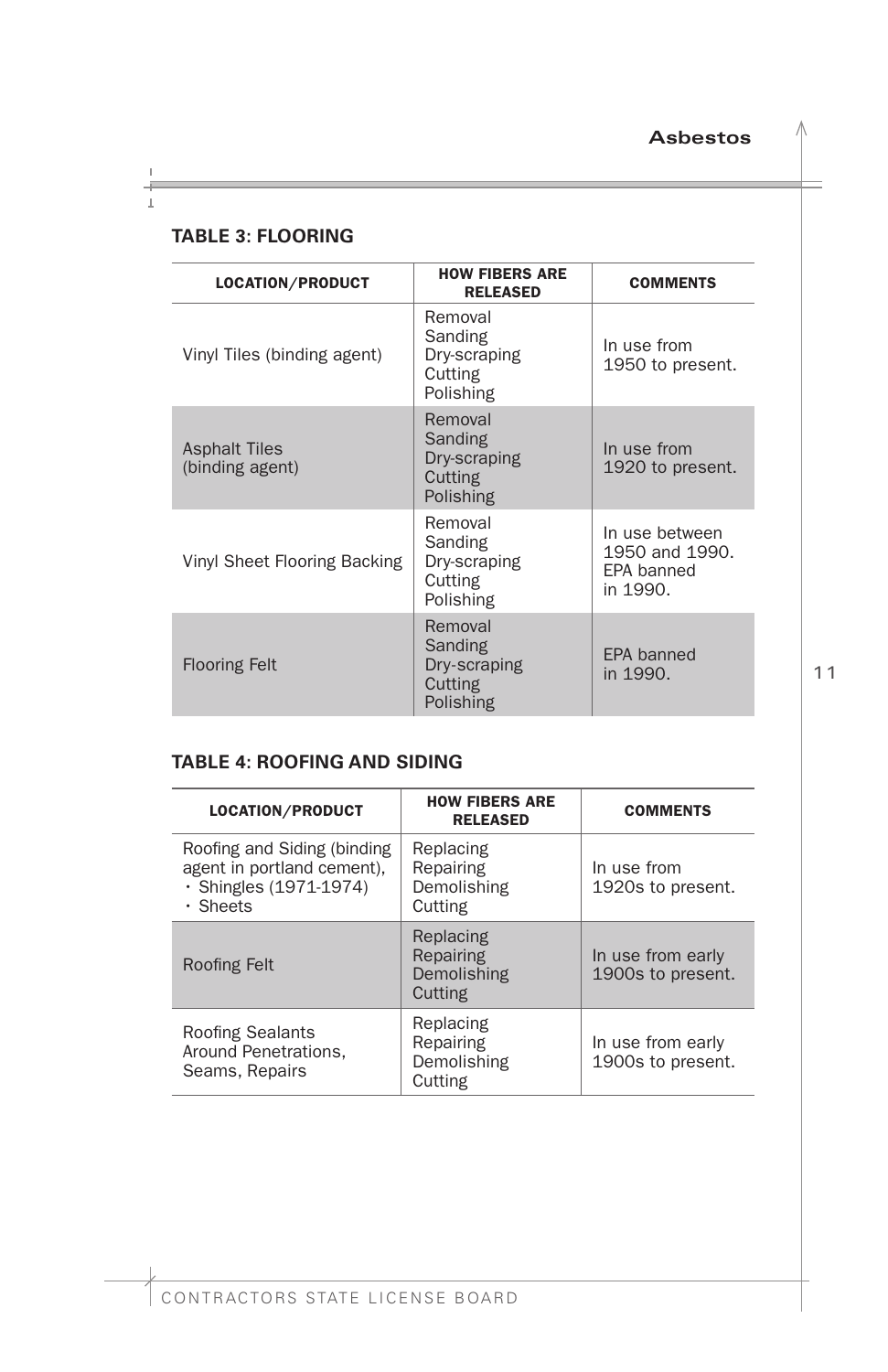<span id="page-12-0"></span>

|  | <b>TABLE 3: FLOORING</b> |  |
|--|--------------------------|--|
|--|--------------------------|--|

| <b>LOCATION/PRODUCT</b>                 | <b>HOW FIBERS ARE</b><br><b>RELEASED</b>                   | <b>COMMENTS</b>                                            |
|-----------------------------------------|------------------------------------------------------------|------------------------------------------------------------|
| Vinyl Tiles (binding agent)             | Removal<br>Sanding<br>Dry-scraping<br>Cutting<br>Polishing | In use from<br>1950 to present.                            |
| <b>Asphalt Tiles</b><br>(binding agent) | Removal<br>Sanding<br>Dry-scraping<br>Cutting<br>Polishing | In use from<br>1920 to present.                            |
| Vinyl Sheet Flooring Backing            | Removal<br>Sanding<br>Dry-scraping<br>Cutting<br>Polishing | In use between<br>1950 and 1990.<br>EPA banned<br>in 1990. |
| <b>Flooring Felt</b>                    | Removal<br>Sanding<br>Dry-scraping<br>Cutting<br>Polishing | <b>EPA banned</b><br>in 1990.                              |

#### **TABLE 4: ROOFING AND SIDING**

| LOCATION/PRODUCT                                                                                      | <b>HOW FIBERS ARE</b><br><b>RELEASED</b>         | <b>COMMENTS</b>                        |
|-------------------------------------------------------------------------------------------------------|--------------------------------------------------|----------------------------------------|
| Roofing and Siding (binding<br>agent in portland cement),<br>· Shingles (1971-1974)<br>$\cdot$ Sheets | Replacing<br>Repairing<br>Demolishing<br>Cutting | In use from<br>1920s to present.       |
| Roofing Felt                                                                                          | Replacing<br>Repairing<br>Demolishing<br>Cutting | In use from early<br>1900s to present. |
| <b>Roofing Sealants</b><br>Around Penetrations.<br>Seams, Repairs                                     | Replacing<br>Repairing<br>Demolishing<br>Cutting | In use from early<br>1900s to present. |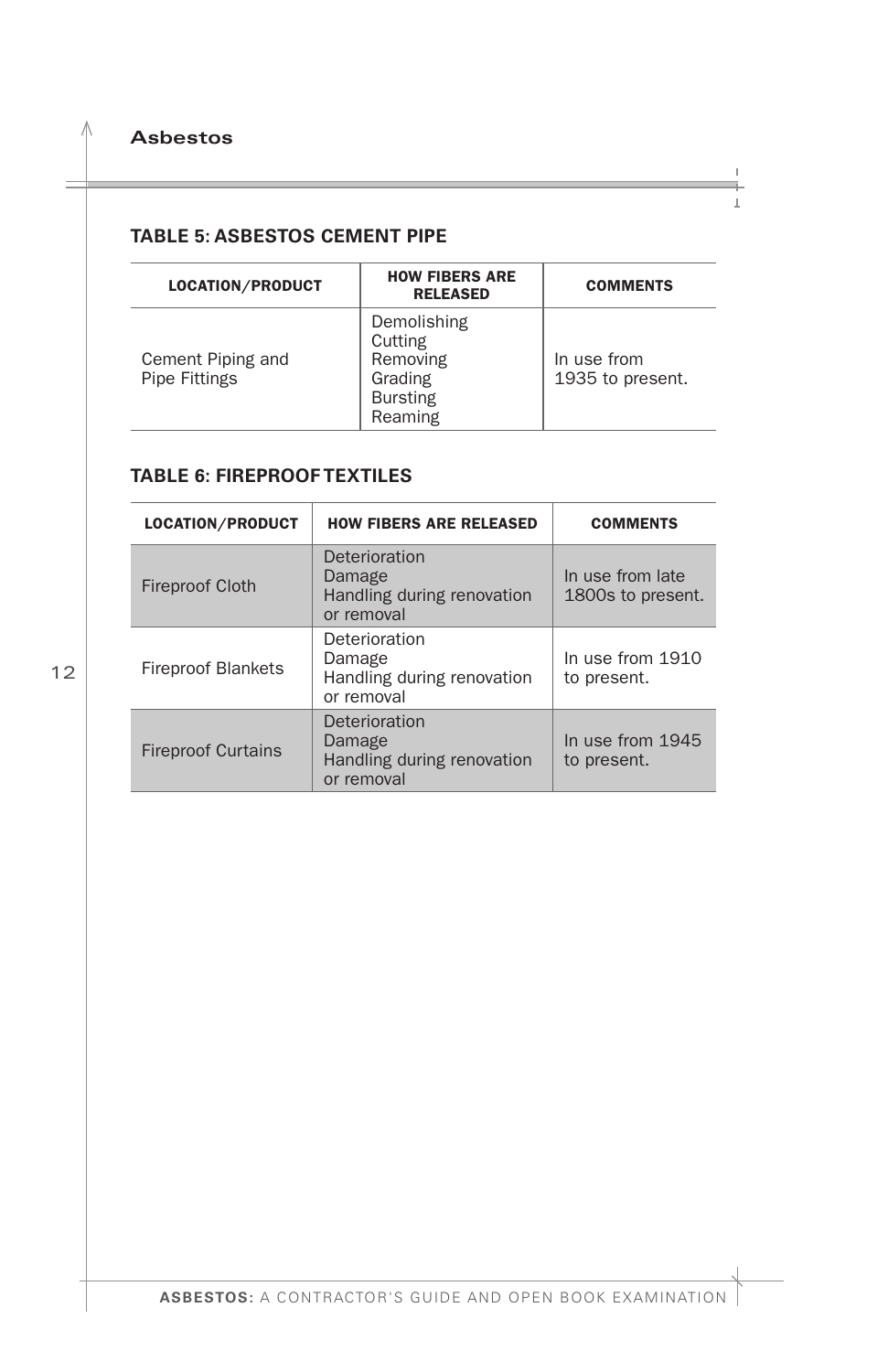<span id="page-13-0"></span>Λ.

#### **TABLE 5: ASBESTOS CEMENT PIPE**

| LOCATION/PRODUCT                          | <b>HOW FIBERS ARE</b><br><b>RELEASED</b>                                    | <b>COMMENTS</b>                 |
|-------------------------------------------|-----------------------------------------------------------------------------|---------------------------------|
| Cement Piping and<br><b>Pipe Fittings</b> | Demolishing<br>Cutting<br>Removing<br>Grading<br><b>Bursting</b><br>Reaming | In use from<br>1935 to present. |

#### **TABLE 6: FIREPROOF TEXTILES**

| <b>LOCATION/PRODUCT</b>   | <b>HOW FIBERS ARE RELEASED</b>                                      | <b>COMMENTS</b>                       |
|---------------------------|---------------------------------------------------------------------|---------------------------------------|
| <b>Fireproof Cloth</b>    | Deterioration<br>Damage<br>Handling during renovation<br>or removal | In use from late<br>1800s to present. |
| <b>Fireproof Blankets</b> | Deterioration<br>Damage<br>Handling during renovation<br>or removal | In use from 1910<br>to present.       |
| <b>Fireproof Curtains</b> | Deterioration<br>Damage<br>Handling during renovation<br>or removal | In use from 1945<br>to present.       |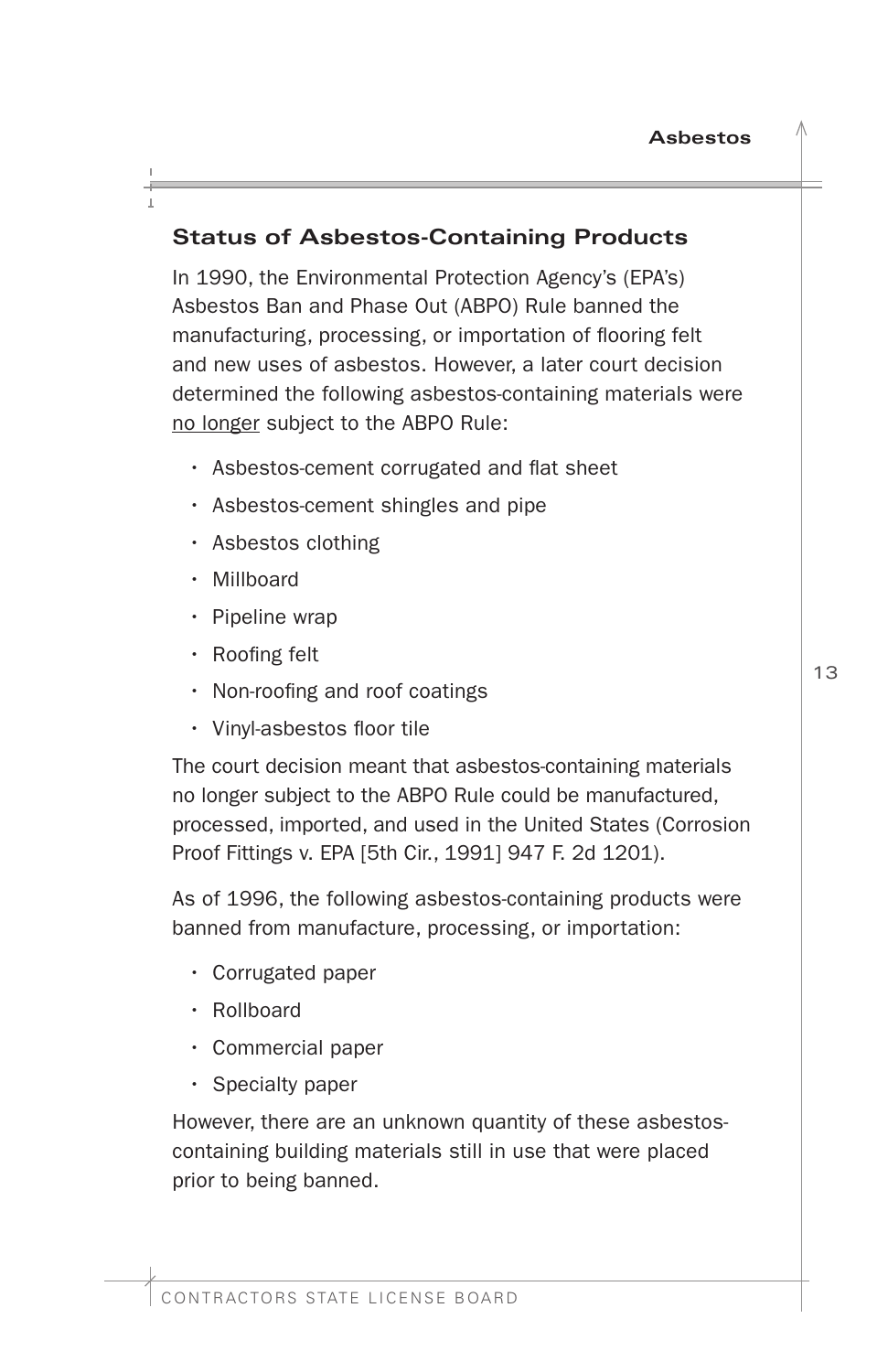# <span id="page-14-0"></span>**Status of Asbestos-Containing Products**

In 1990, the Environmental Protection Agency's (EPA's) Asbestos Ban and Phase Out (ABPO) Rule banned the manufacturing, processing, or importation of flooring felt and new uses of asbestos. However, a later court decision determined the following asbestos-containing materials were no longer subject to the ABPO Rule:

- Asbestos-cement corrugated and flat sheet
- Asbestos-cement shingles and pipe
- Asbestos clothing
- Millboard
- Pipeline wrap
- Roofing felt
- Non-roofing and roof coatings
- Vinyl-asbestos floor tile

The court decision meant that asbestos-containing materials no longer subject to the ABPO Rule could be manufactured, processed, imported, and used in the United States (Corrosion Proof Fittings v. EPA [5th Cir., 1991] 947 F. 2d 1201).

As of 1996, the following asbestos-containing products were banned from manufacture, processing, or importation:

- Corrugated paper
- Rollboard
- Commercial paper
- Specialty paper

However, there are an unknown quantity of these asbestoscontaining building materials still in use that were placed prior to being banned.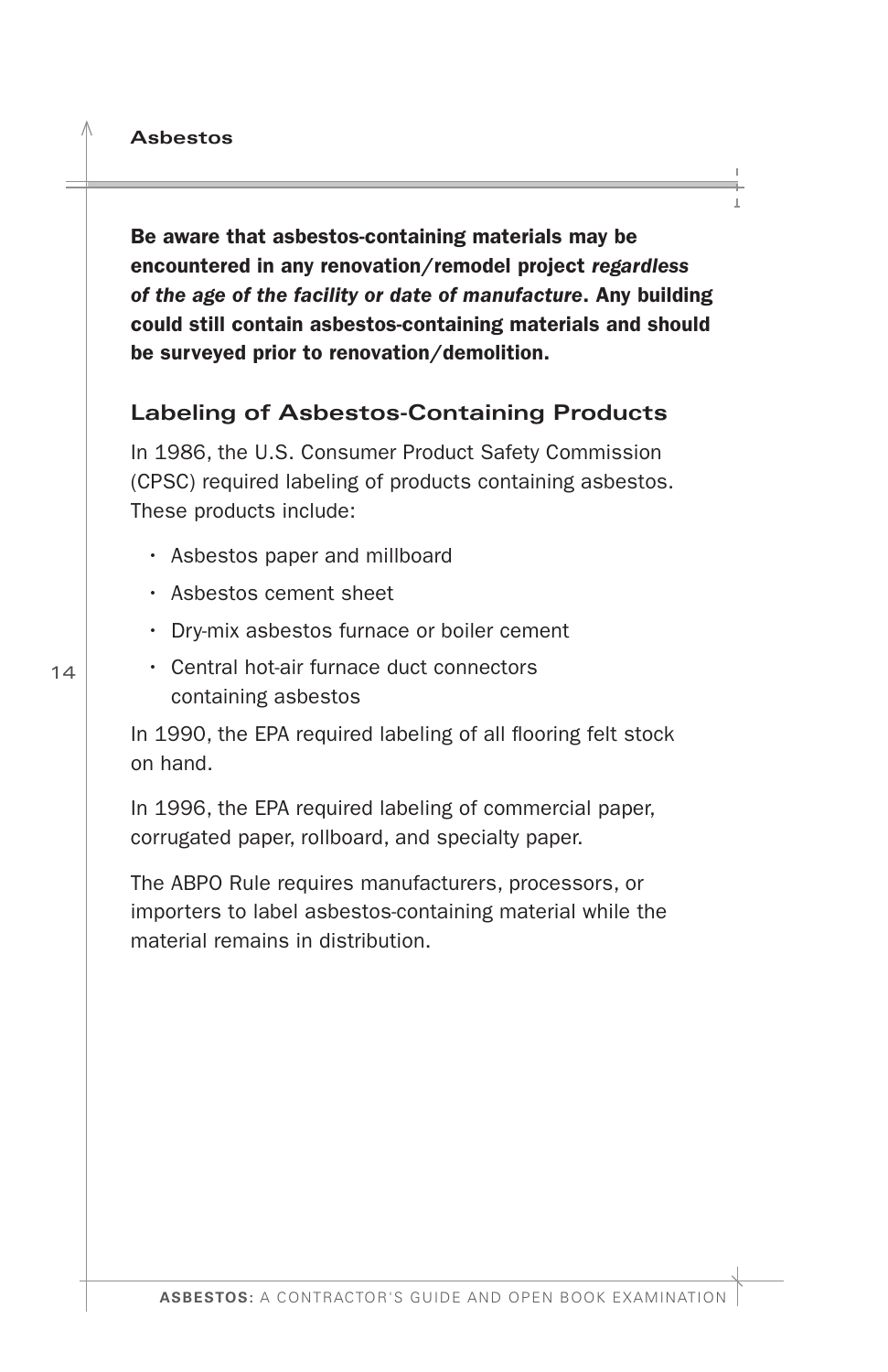<span id="page-15-0"></span>Be aware that asbestos-containing materials may be encountered in any renovation/remodel project *regardless of the age of the facility or date of manufacture*. Any building could still contain asbestos-containing materials and should be surveyed prior to renovation/demolition.

#### **Labeling of Asbestos-Containing Products**

In 1986, the U.S. Consumer Product Safety Commission (CPSC) required labeling of products containing asbestos. These products include:

- Asbestos paper and millboard
- Asbestos cement sheet
- Dry-mix asbestos furnace or boiler cement
- Central hot-air furnace duct connectors containing asbestos

In 1990, the EPA required labeling of all flooring felt stock on hand.

In 1996, the EPA required labeling of commercial paper, corrugated paper, rollboard, and specialty paper.

The ABPO Rule requires manufacturers, processors, or importers to label asbestos-containing material while the material remains in distribution.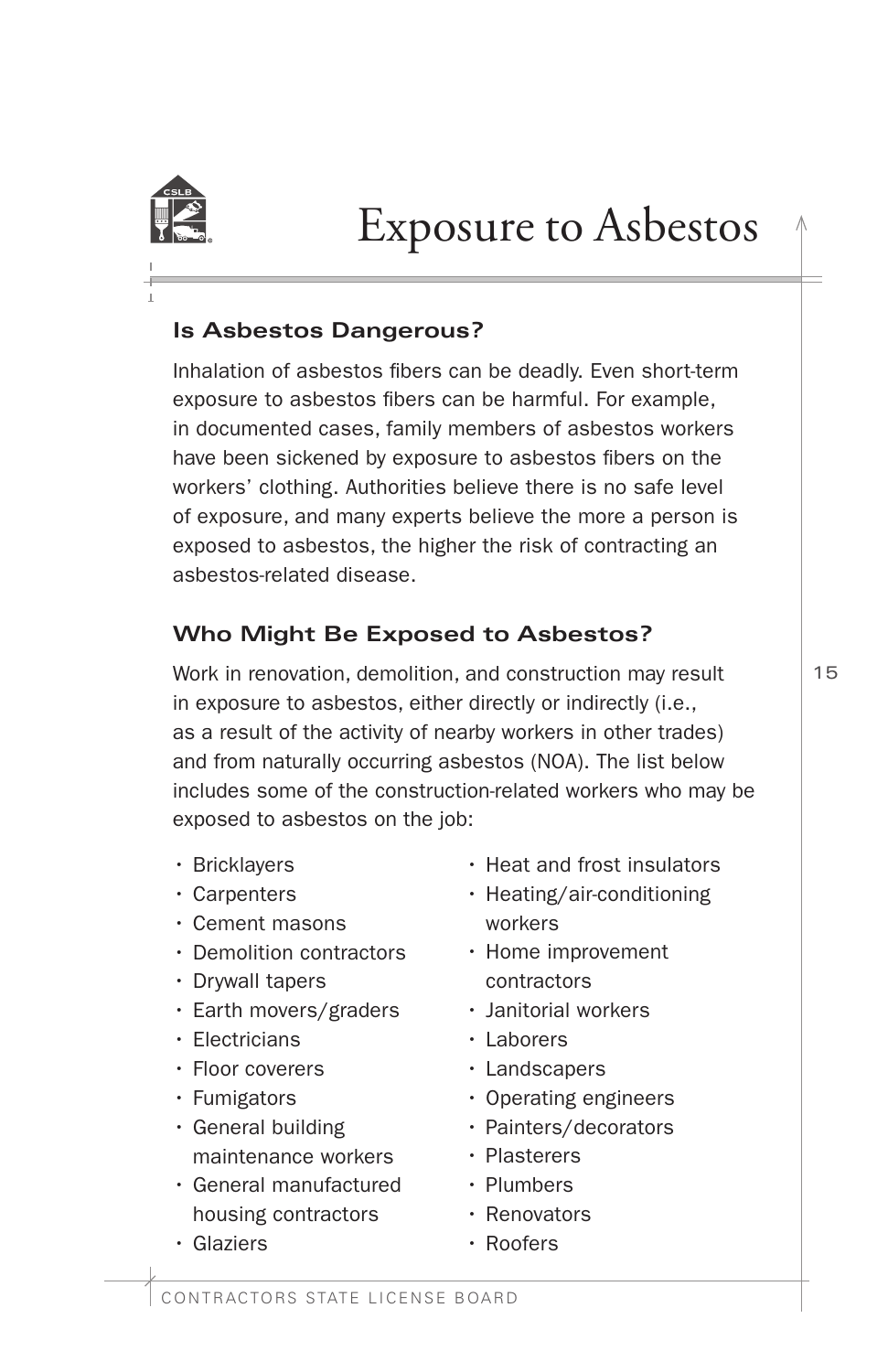<span id="page-16-0"></span>

# Exposure to Asbestos

### **Is Asbestos Dangerous?**

Inhalation of asbestos fbers can be deadly. Even short-term exposure to asbestos fibers can be harmful. For example, in documented cases, family members of asbestos workers have been sickened by exposure to asbestos fibers on the workers' clothing. Authorities believe there is no safe level of exposure, and many experts believe the more a person is exposed to asbestos, the higher the risk of contracting an asbestos-related disease.

# **Who Might Be Exposed to Asbestos?**

Work in renovation, demolition, and construction may result in exposure to asbestos, either directly or indirectly (i.e., as a result of the activity of nearby workers in other trades) and from naturally occurring asbestos (NOA). The list below includes some of the construction-related workers who may be exposed to asbestos on the job:

- Bricklayers
- Carpenters
- Cement masons
- Demolition contractors
- Drywall tapers
- Earth movers/graders
- Electricians
- Floor coverers
- Fumigators
- General building maintenance workers
- General manufactured housing contractors
- Glaziers
- Heat and frost insulators
- Heating/air-conditioning workers
- Home improvement contractors
- Janitorial workers
- Laborers
- Landscapers
- Operating engineers
- Painters/decorators
- Plasterers
- Plumbers
- Renovators
- Roofers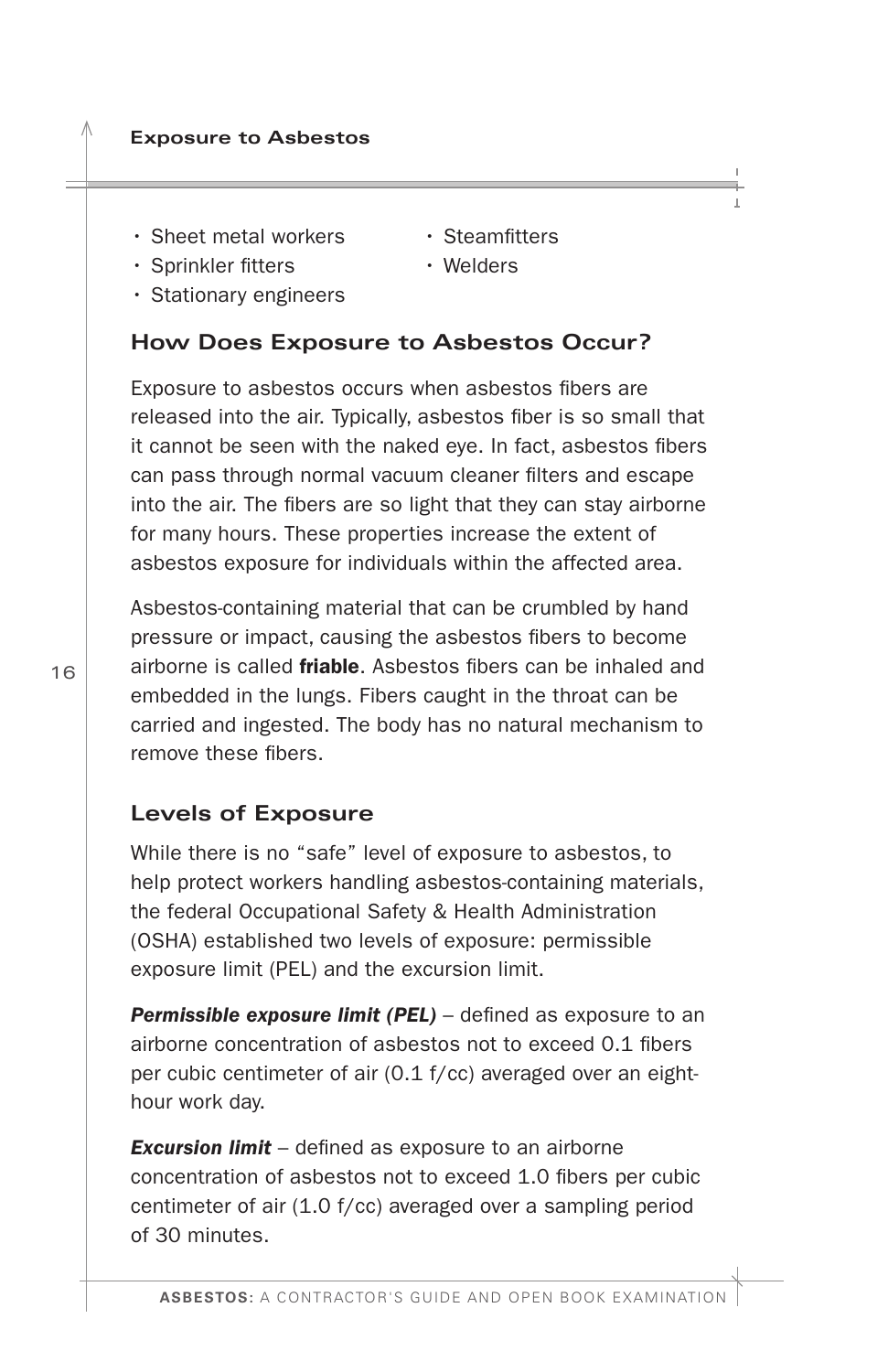- <span id="page-17-0"></span>• Sheet metal workers
- Steamfitters
- Sprinkler fitters
- Welders
- Stationary engineers

# **How Does Exposure to Asbestos Occur?**

Exposure to asbestos occurs when asbestos fibers are released into the air. Typically, asbestos fiber is so small that it cannot be seen with the naked eye. In fact, asbestos fbers can pass through normal vacuum cleaner flters and escape into the air. The fibers are so light that they can stay airborne for many hours. These properties increase the extent of asbestos exposure for individuals within the affected area.

Asbestos-containing material that can be crumbled by hand pressure or impact, causing the asbestos fbers to become airborne is called **friable**. Asbestos fibers can be inhaled and embedded in the lungs. Fibers caught in the throat can be carried and ingested. The body has no natural mechanism to remove these fibers.

# **Levels of Exposure**

While there is no "safe" level of exposure to asbestos, to help protect workers handling asbestos-containing materials, the federal Occupational Safety & Health Administration (OSHA) established two levels of exposure: permissible exposure limit (PEL) and the excursion limit.

**Permissible exposure limit (PEL)** – defined as exposure to an airborne concentration of asbestos not to exceed 0.1 fibers per cubic centimeter of air (0.1 f/cc) averaged over an eighthour work day.

*Excursion limit* – defned as exposure to an airborne concentration of asbestos not to exceed 1.0 fbers per cubic centimeter of air (1.0 f/cc) averaged over a sampling period of 30 minutes.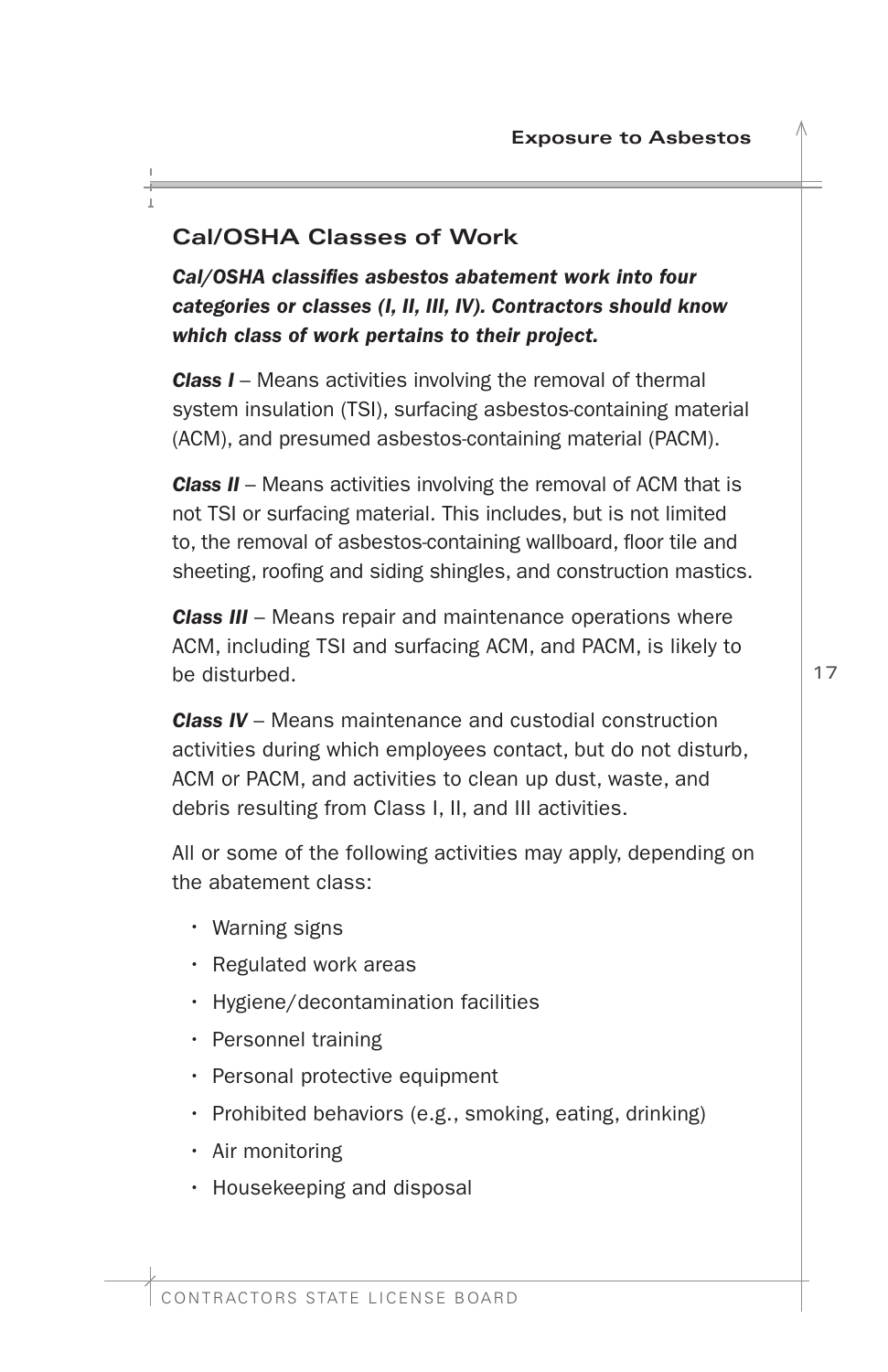# <span id="page-18-0"></span>**Cal/OSHA Classes of Work**

*Cal/OSHA classifes asbestos abatement work into four categories or classes (I, II, III, IV). Contractors should know which class of work pertains to their project.* 

*Class I –* Means activities involving the removal of thermal system insulation (TSI), surfacing asbestos-containing material (ACM), and presumed asbestos-containing material (PACM).

*Class II* – Means activities involving the removal of ACM that is not TSI or surfacing material. This includes, but is not limited to, the removal of asbestos-containing wallboard, foor tile and sheeting, roofing and siding shingles, and construction mastics.

*Class III* – Means repair and maintenance operations where ACM, including TSI and surfacing ACM, and PACM, is likely to be disturbed.

*Class IV* – Means maintenance and custodial construction activities during which employees contact, but do not disturb, ACM or PACM, and activities to clean up dust, waste, and debris resulting from Class I, II, and III activities.

All or some of the following activities may apply, depending on the abatement class:

- Warning signs
- Regulated work areas
- Hygiene/decontamination facilities
- Personnel training
- Personal protective equipment
- Prohibited behaviors (e.g., smoking, eating, drinking)
- Air monitoring
- Housekeeping and disposal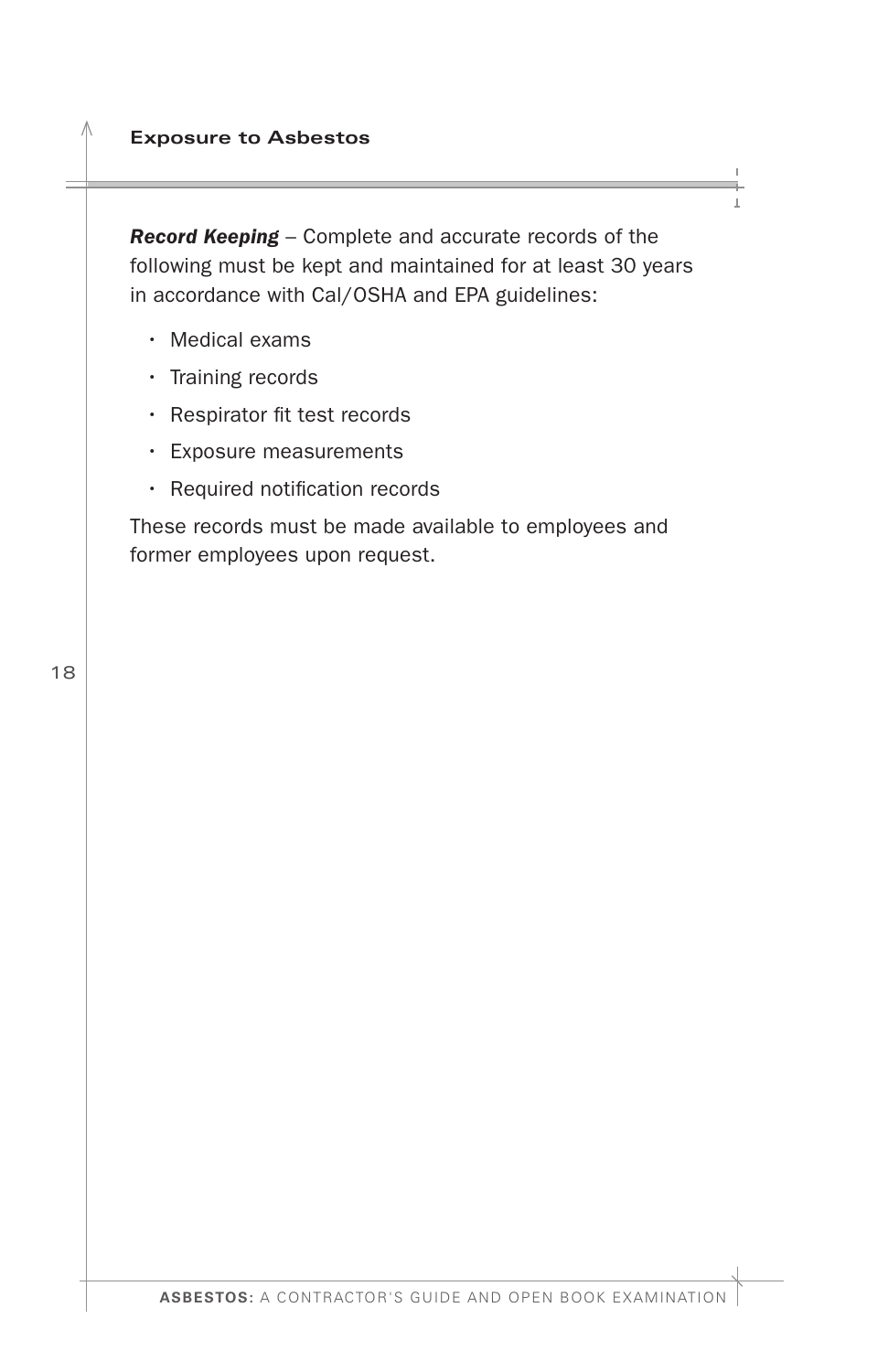<span id="page-19-0"></span>**Exposure to Asbestos** 

*Record Keeping* – Complete and accurate records of the following must be kept and maintained for at least 30 years in accordance with Cal/OSHA and EPA guidelines:

- Medical exams
- Training records
- Respirator fit test records
- Exposure measurements
- Required notification records

These records must be made available to employees and former employees upon request.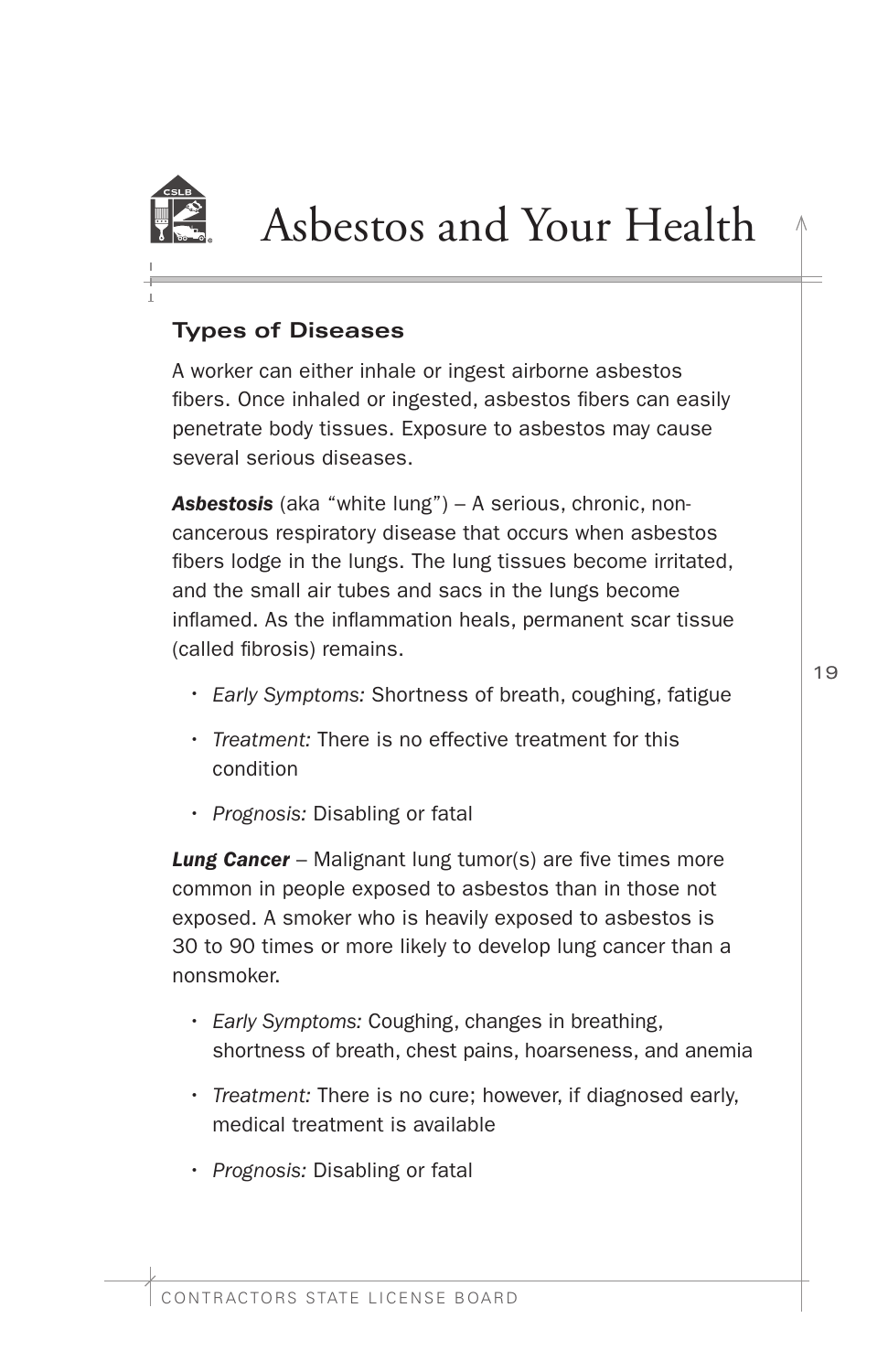<span id="page-20-0"></span>

# Asbestos and Your Health

## **Types of Diseases**

A worker can either inhale or ingest airborne asbestos fibers. Once inhaled or ingested, asbestos fibers can easily penetrate body tissues. Exposure to asbestos may cause several serious diseases.

*Asbestosis* (aka "white lung") – A serious, chronic, noncancerous respiratory disease that occurs when asbestos fbers lodge in the lungs. The lung tissues become irritated, and the small air tubes and sacs in the lungs become infamed. As the infammation heals, permanent scar tissue (called fbrosis) remains.

- *Early Symptoms:* Shortness of breath, coughing, fatigue
- *Treatment:* There is no effective treatment for this condition
- *Prognosis:* Disabling or fatal

**Lung Cancer** – Malignant lung tumor(s) are five times more common in people exposed to asbestos than in those not exposed. A smoker who is heavily exposed to asbestos is 30 to 90 times or more likely to develop lung cancer than a nonsmoker.

- *Early Symptoms:* Coughing, changes in breathing, shortness of breath, chest pains, hoarseness, and anemia
- *Treatment:* There is no cure; however, if diagnosed early, medical treatment is available
- *Prognosis:* Disabling or fatal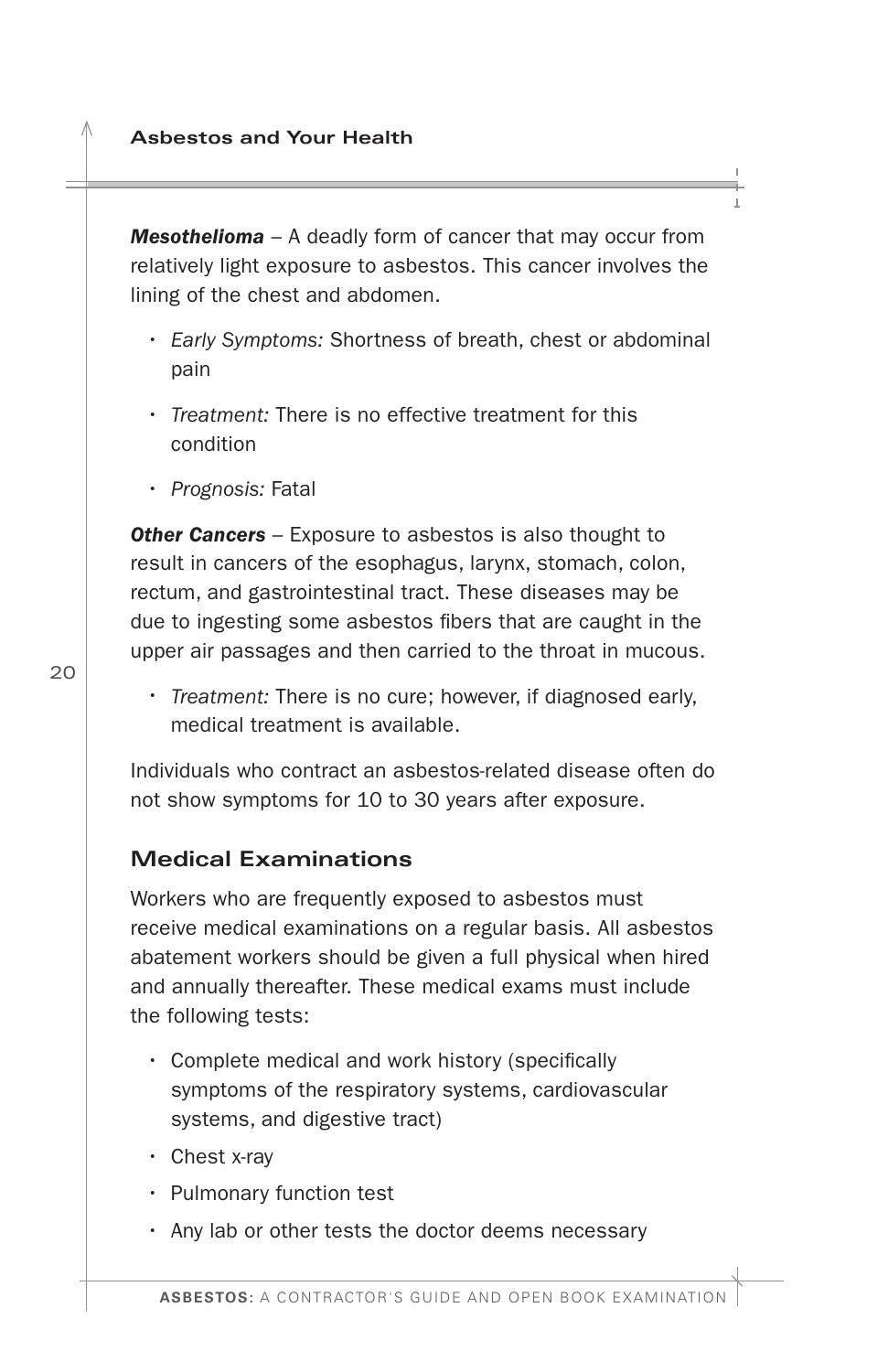<span id="page-21-0"></span>*Mesothelioma* – A deadly form of cancer that may occur from relatively light exposure to asbestos. This cancer involves the lining of the chest and abdomen.

- *Early Symptoms:* Shortness of breath, chest or abdominal pain
- *Treatment:* There is no effective treatment for this condition
- *Prognosis:* Fatal

**Other Cancers** – Exposure to asbestos is also thought to result in cancers of the esophagus, larynx, stomach, colon, rectum, and gastrointestinal tract. These diseases may be due to ingesting some asbestos fbers that are caught in the upper air passages and then carried to the throat in mucous.

• *Treatment:* There is no cure; however, if diagnosed early, medical treatment is available.

Individuals who contract an asbestos-related disease often do not show symptoms for 10 to 30 years after exposure.

### **Medical Examinations**

Workers who are frequently exposed to asbestos must receive medical examinations on a regular basis. All asbestos abatement workers should be given a full physical when hired and annually thereafter. These medical exams must include the following tests:

- $\cdot$  Complete medical and work history (specifically symptoms of the respiratory systems, cardiovascular systems, and digestive tract)
- Chest x-ray
- Pulmonary function test
- Any lab or other tests the doctor deems necessary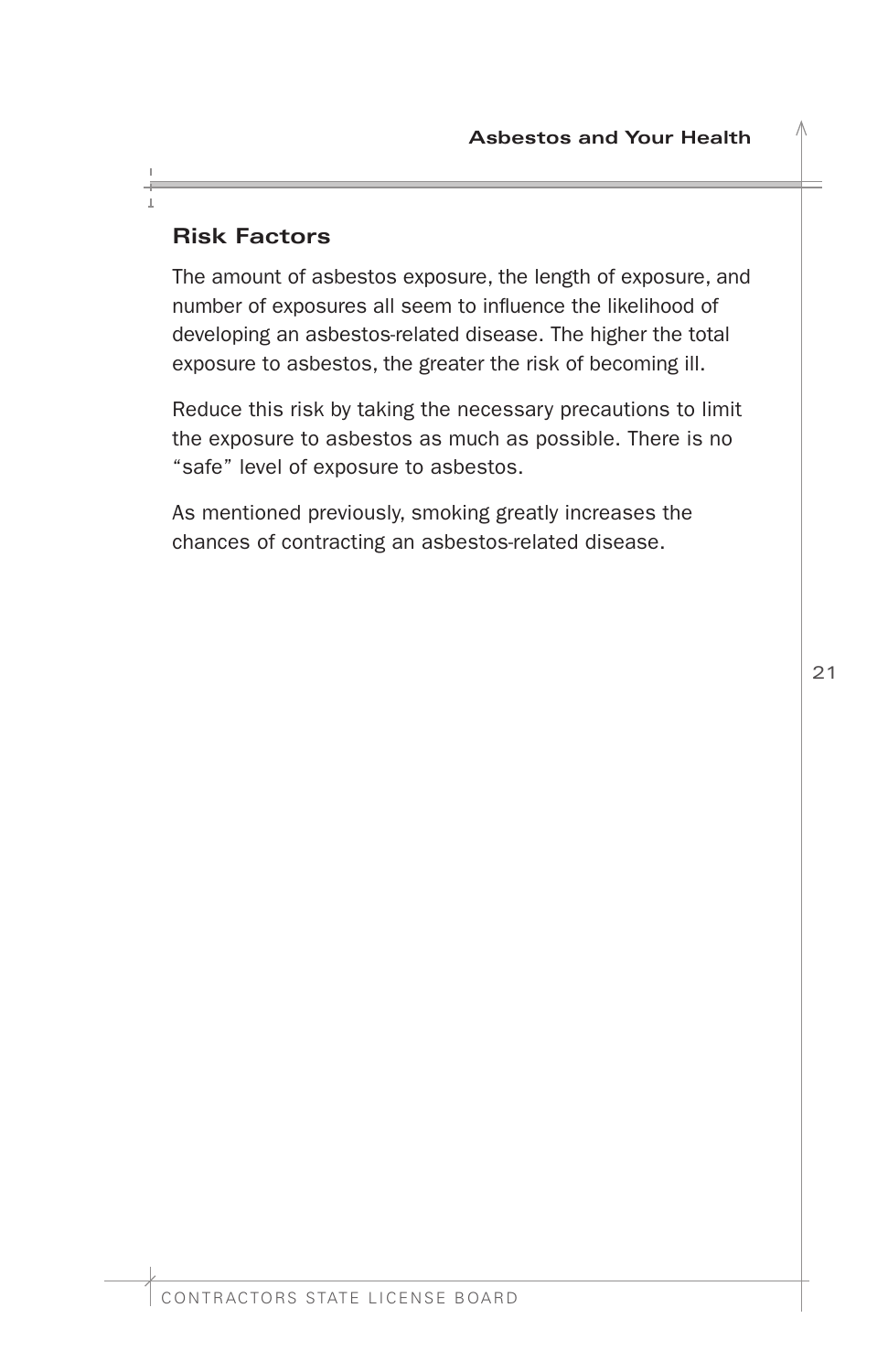# <span id="page-22-0"></span>**Risk Factors**

The amount of asbestos exposure, the length of exposure, and number of exposures all seem to infuence the likelihood of developing an asbestos-related disease. The higher the total exposure to asbestos, the greater the risk of becoming ill.

Reduce this risk by taking the necessary precautions to limit the exposure to asbestos as much as possible. There is no "safe" level of exposure to asbestos.

As mentioned previously, smoking greatly increases the chances of contracting an asbestos-related disease.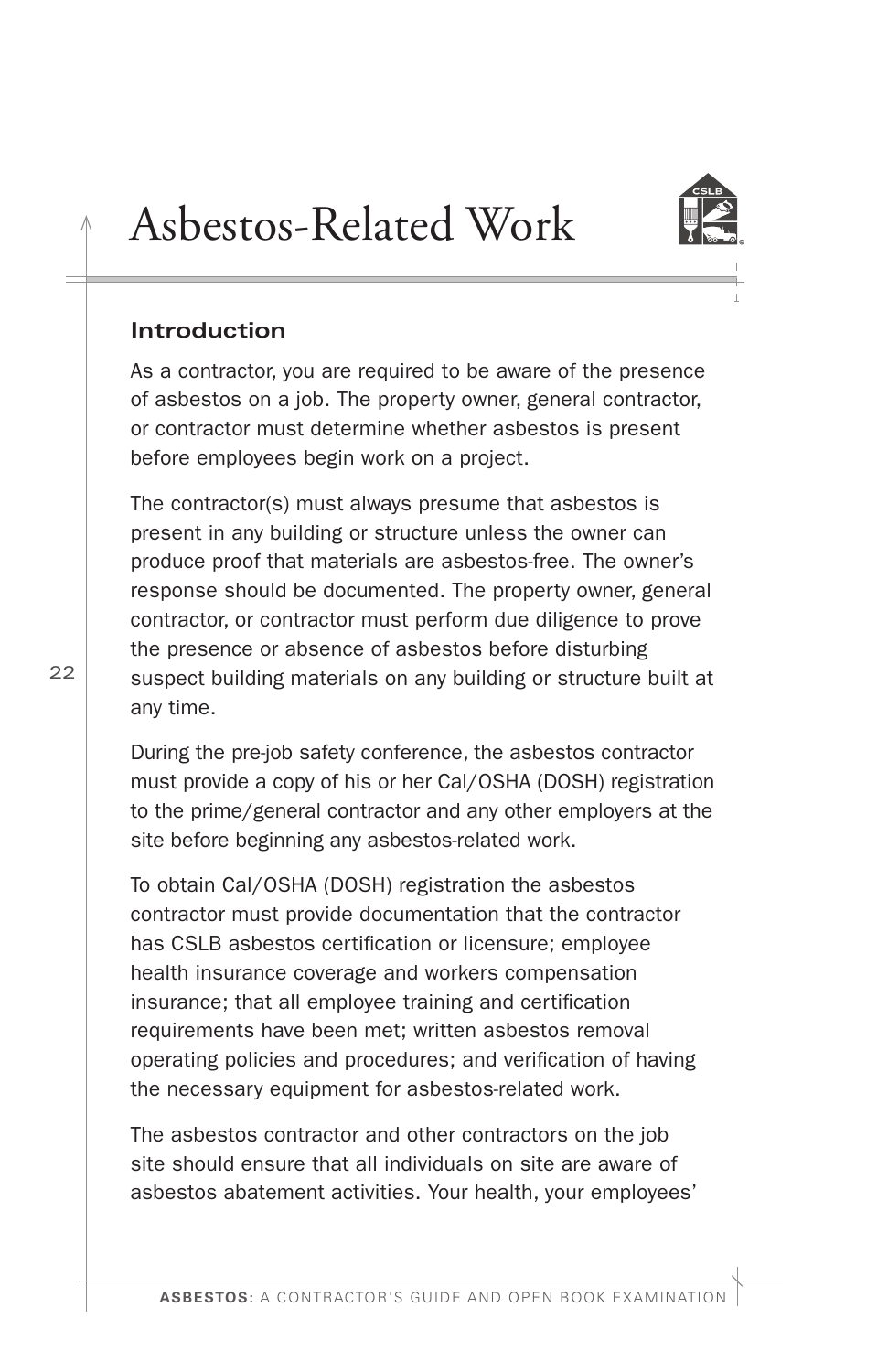

# <span id="page-23-0"></span>Asbestos-Related Work

#### **Introduction**

As a contractor, you are required to be aware of the presence of asbestos on a job. The property owner, general contractor, or contractor must determine whether asbestos is present before employees begin work on a project.

The contractor(s) must always presume that asbestos is present in any building or structure unless the owner can produce proof that materials are asbestos-free. The owner's response should be documented. The property owner, general contractor, or contractor must perform due diligence to prove the presence or absence of asbestos before disturbing suspect building materials on any building or structure built at any time.

During the pre-job safety conference, the asbestos contractor must provide a copy of his or her Cal/OSHA (DOSH) registration to the prime/general contractor and any other employers at the site before beginning any asbestos-related work.

To obtain Cal/OSHA (DOSH) registration the asbestos contractor must provide documentation that the contractor has CSLB asbestos certification or licensure; employee health insurance coverage and workers compensation insurance; that all employee training and certifcation requirements have been met; written asbestos removal operating policies and procedures; and verifcation of having the necessary equipment for asbestos-related work.

The asbestos contractor and other contractors on the job site should ensure that all individuals on site are aware of asbestos abatement activities. Your health, your employees'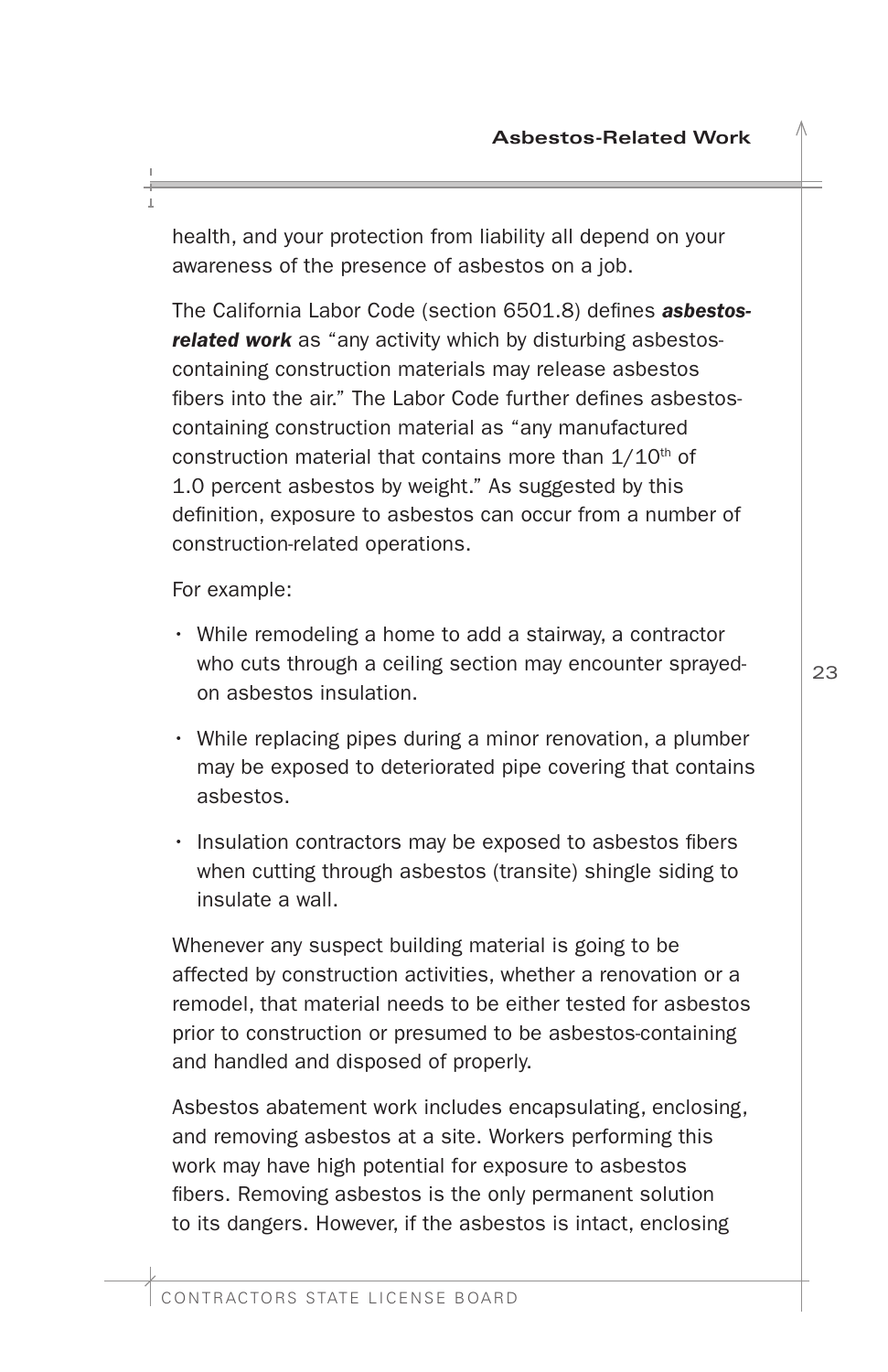health, and your protection from liability all depend on your awareness of the presence of asbestos on a job.

The California Labor Code (section 6501.8) defnes *asbestosrelated work* as "any activity which by disturbing asbestoscontaining construction materials may release asbestos fbers into the air." The Labor Code further defnes asbestoscontaining construction material as "any manufactured construction material that contains more than  $1/10<sup>th</sup>$  of 1.0 percent asbestos by weight." As suggested by this defnition, exposure to asbestos can occur from a number of construction-related operations.

For example:

- While remodeling a home to add a stairway, a contractor who cuts through a ceiling section may encounter sprayedon asbestos insulation.
- While replacing pipes during a minor renovation, a plumber may be exposed to deteriorated pipe covering that contains asbestos.
- Insulation contractors may be exposed to asbestos fibers when cutting through asbestos (transite) shingle siding to insulate a wall.

Whenever any suspect building material is going to be affected by construction activities, whether a renovation or a remodel, that material needs to be either tested for asbestos prior to construction or presumed to be asbestos-containing and handled and disposed of properly.

Asbestos abatement work includes encapsulating, enclosing, and removing asbestos at a site. Workers performing this work may have high potential for exposure to asbestos fbers. Removing asbestos is the only permanent solution to its dangers. However, if the asbestos is intact, enclosing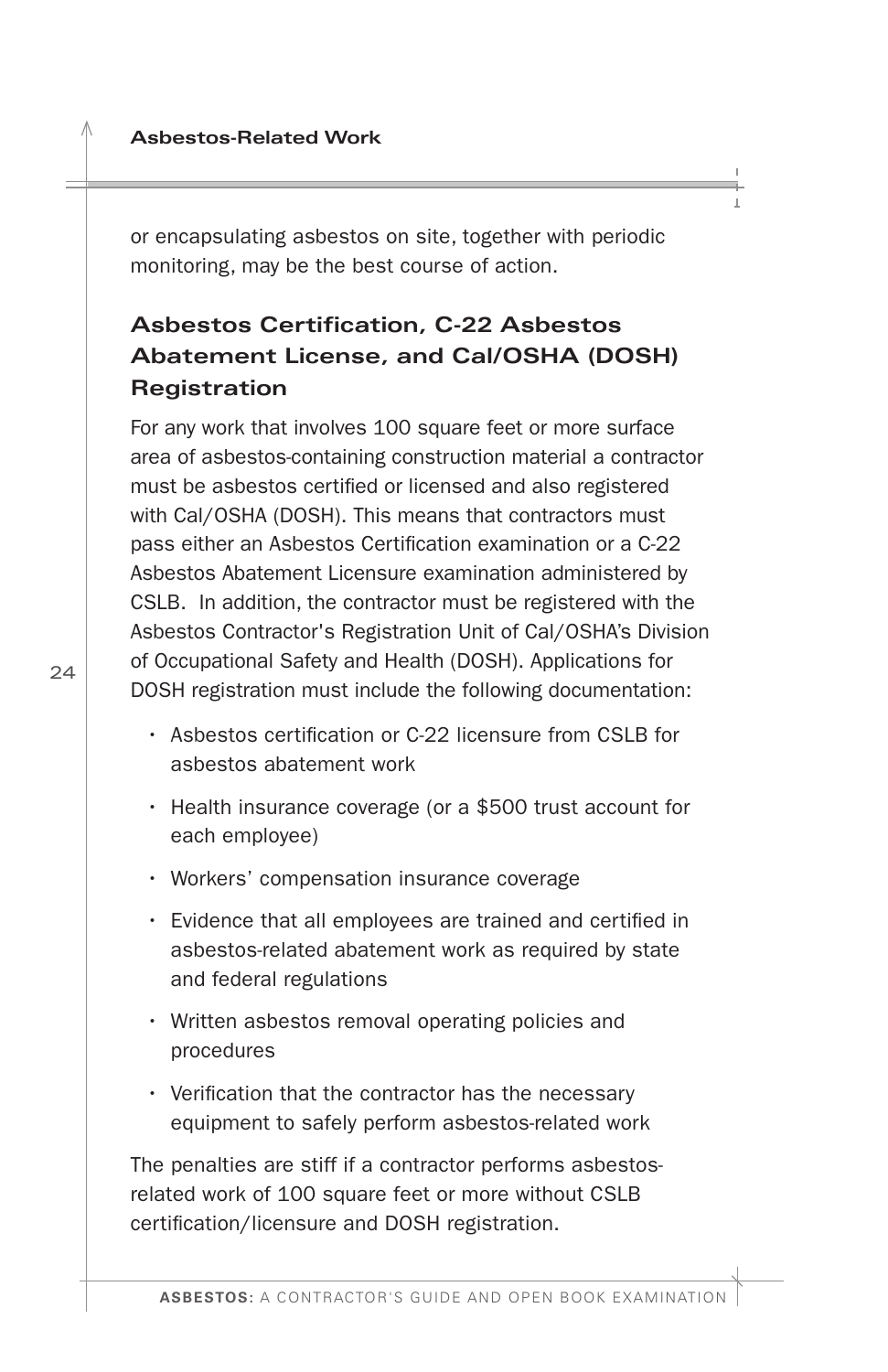<span id="page-25-0"></span>or encapsulating asbestos on site, together with periodic monitoring, may be the best course of action.

# **Asbestos Certifcation, C-22 Asbestos Abatement License, and Cal/OSHA (DOSH) Registration**

For any work that involves 100 square feet or more surface area of asbestos-containing construction material a contractor must be asbestos certifed or licensed and also registered with Cal/OSHA (DOSH). This means that contractors must pass either an Asbestos Certifcation examination or a C-22 Asbestos Abatement Licensure examination administered by CSLB. In addition, the contractor must be registered with the Asbestos Contractor's Registration Unit of Cal/OSHA's Division of Occupational Safety and Health (DOSH). Applications for DOSH registration must include the following documentation:

- Asbestos certifcation or C-22 licensure from CSLB for asbestos abatement work
- Health insurance coverage (or a \$500 trust account for each employee)
- Workers' compensation insurance coverage
- Evidence that all employees are trained and certifed in asbestos-related abatement work as required by state and federal regulations
- Written asbestos removal operating policies and procedures
- Verifcation that the contractor has the necessary equipment to safely perform asbestos-related work

The penalties are stiff if a contractor performs asbestosrelated work of 100 square feet or more without CSLB certifcation/licensure and DOSH registration.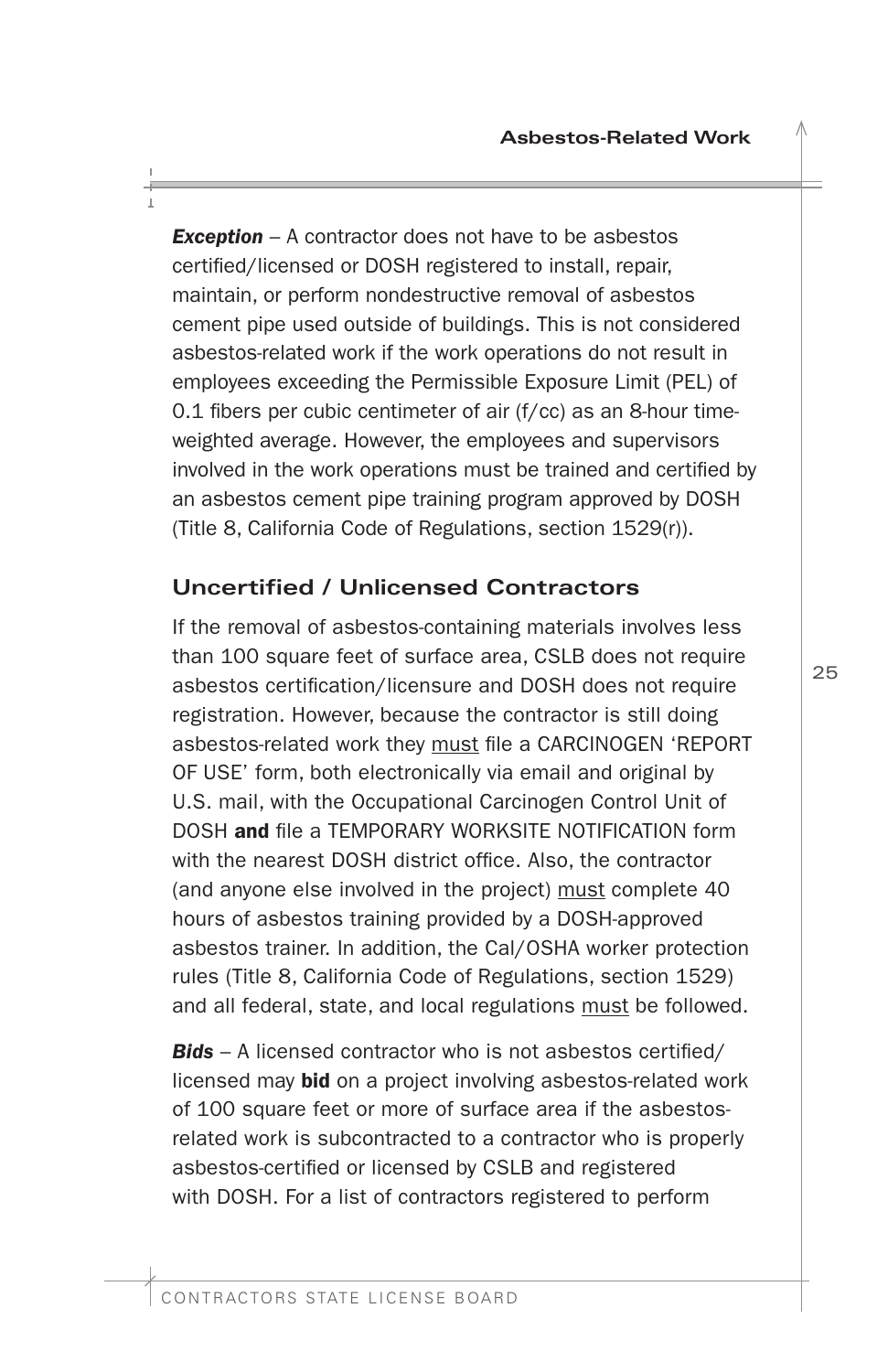<span id="page-26-0"></span>**Exception** – A contractor does not have to be asbestos certifed/licensed or DOSH registered to install, repair, maintain, or perform nondestructive removal of asbestos cement pipe used outside of buildings. This is not considered asbestos-related work if the work operations do not result in employees exceeding the Permissible Exposure Limit (PEL) of  $0.1$  fibers per cubic centimeter of air (f/cc) as an 8-hour timeweighted average. However, the employees and supervisors involved in the work operations must be trained and certifed by an asbestos cement pipe training program approved by DOSH (Title 8, California Code of Regulations, section 1529(r)).

# **Uncertifed / Unlicensed Contractors**

If the removal of asbestos-containing materials involves less than 100 square feet of surface area, CSLB does not require asbestos certifcation/licensure and DOSH does not require registration. However, because the contractor is still doing asbestos-related work they must fle a CARCINOGEN 'REPORT OF USE' form, both electronically via email and original by U.S. mail, with the Occupational Carcinogen Control Unit of DOSH and fle a TEMPORARY WORKSITE NOTIFICATION form with the nearest DOSH district office. Also, the contractor (and anyone else involved in the project) must complete 40 hours of asbestos training provided by a DOSH-approved asbestos trainer. In addition, the Cal/OSHA worker protection rules (Title 8, California Code of Regulations, section 1529) and all federal, state, and local regulations must be followed.

*Bids* – A licensed contractor who is not asbestos certifed/ licensed may **bid** on a project involving asbestos-related work of 100 square feet or more of surface area if the asbestosrelated work is subcontracted to a contractor who is properly asbestos-certifed or licensed by CSLB and registered with DOSH. For a list of contractors registered to perform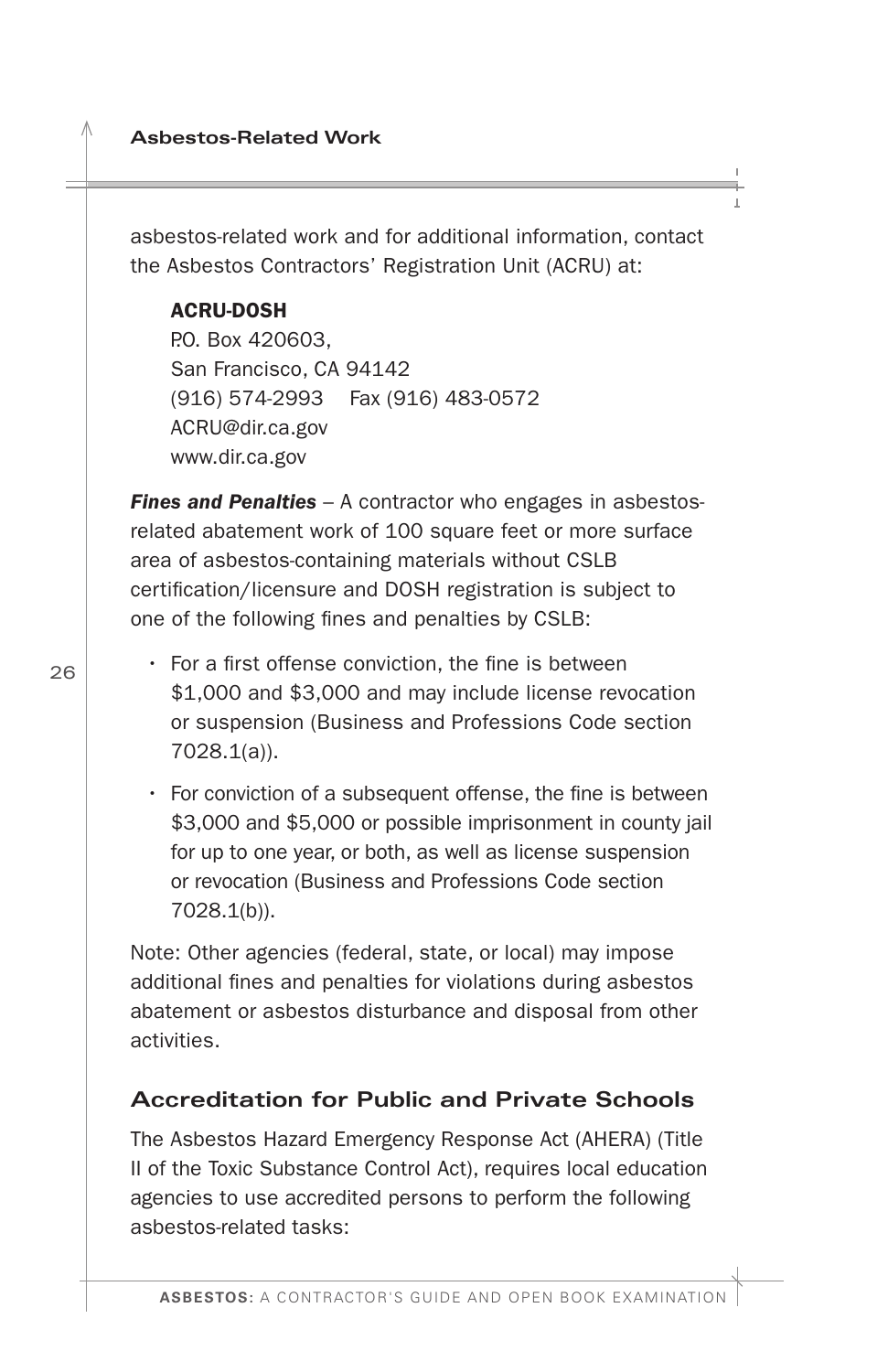<span id="page-27-0"></span>asbestos-related work and for additional information, contact the Asbestos Contractors' Registration Unit (ACRU) at:

#### ACRU-DOSH

P.O. Box 420603, San Francisco, CA 94142 (916) 574-2993 Fax (916) 483-0572 [ACRU@dir.ca.gov](mailto:ACRU@dir.ca.gov)  <www.dir.ca.gov>

*Fines and Penalties* – A contractor who engages in asbestosrelated abatement work of 100 square feet or more surface area of asbestos-containing materials without CSLB certifcation/licensure and DOSH registration is subject to one of the following fnes and penalties by CSLB:

- $\cdot$  For a first offense conviction, the fine is between \$1,000 and \$3,000 and may include license revocation or suspension (Business and Professions Code section 7028.1(a)).
- $\cdot$  For conviction of a subsequent offense, the fine is between \$3,000 and \$5,000 or possible imprisonment in county jail for up to one year, or both, as well as license suspension or revocation (Business and Professions Code section 7028.1(b)).

Note: Other agencies (federal, state, or local) may impose additional fnes and penalties for violations during asbestos abatement or asbestos disturbance and disposal from other activities.

### **Accreditation for Public and Private Schools**

The Asbestos Hazard Emergency Response Act (AHERA) (Title II of the Toxic Substance Control Act), requires local education agencies to use accredited persons to perform the following asbestos-related tasks: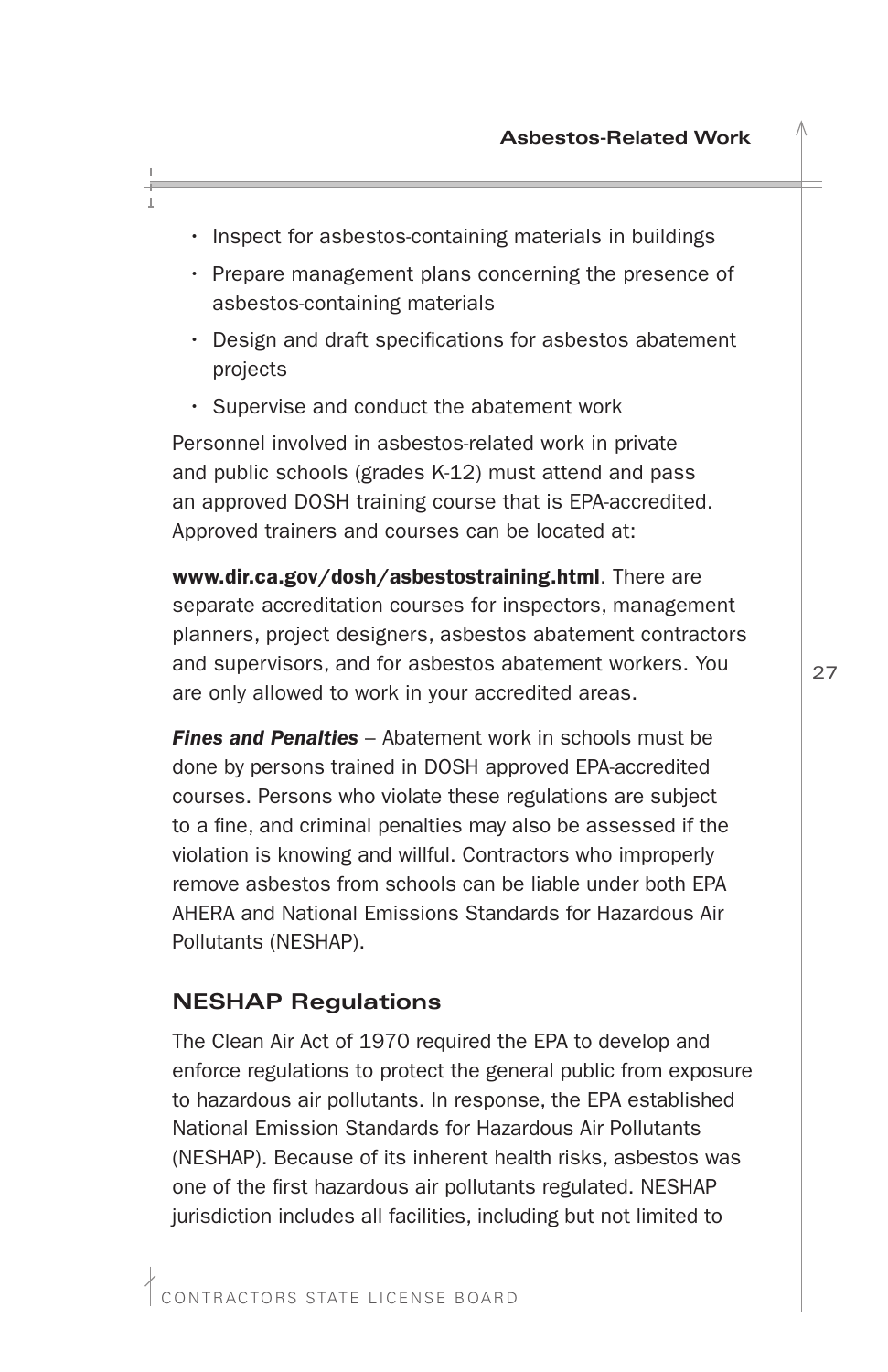- <span id="page-28-0"></span>• Inspect for asbestos-containing materials in buildings
- Prepare management plans concerning the presence of asbestos-containing materials
- Design and draft specifcations for asbestos abatement projects
- Supervise and conduct the abatement work

Personnel involved in asbestos-related work in private and public schools (grades K-12) must attend and pass an approved DOSH training course that is EPA-accredited. Approved trainers and courses can be located at:

<www.dir.ca.gov/dosh/asbestostraining.html>. There are separate accreditation courses for inspectors, management planners, project designers, asbestos abatement contractors and supervisors, and for asbestos abatement workers. You are only allowed to work in your accredited areas.

**Fines and Penalties** – Abatement work in schools must be done by persons trained in DOSH approved EPA-accredited courses. Persons who violate these regulations are subject to a fne, and criminal penalties may also be assessed if the violation is knowing and willful. Contractors who improperly remove asbestos from schools can be liable under both EPA AHERA and National Emissions Standards for Hazardous Air Pollutants (NESHAP).

#### **NESHAP Regulations**

The Clean Air Act of 1970 required the EPA to develop and enforce regulations to protect the general public from exposure to hazardous air pollutants. In response, the EPA established National Emission Standards for Hazardous Air Pollutants (NESHAP). Because of its inherent health risks, asbestos was one of the frst hazardous air pollutants regulated. NESHAP jurisdiction includes all facilities, including but not limited to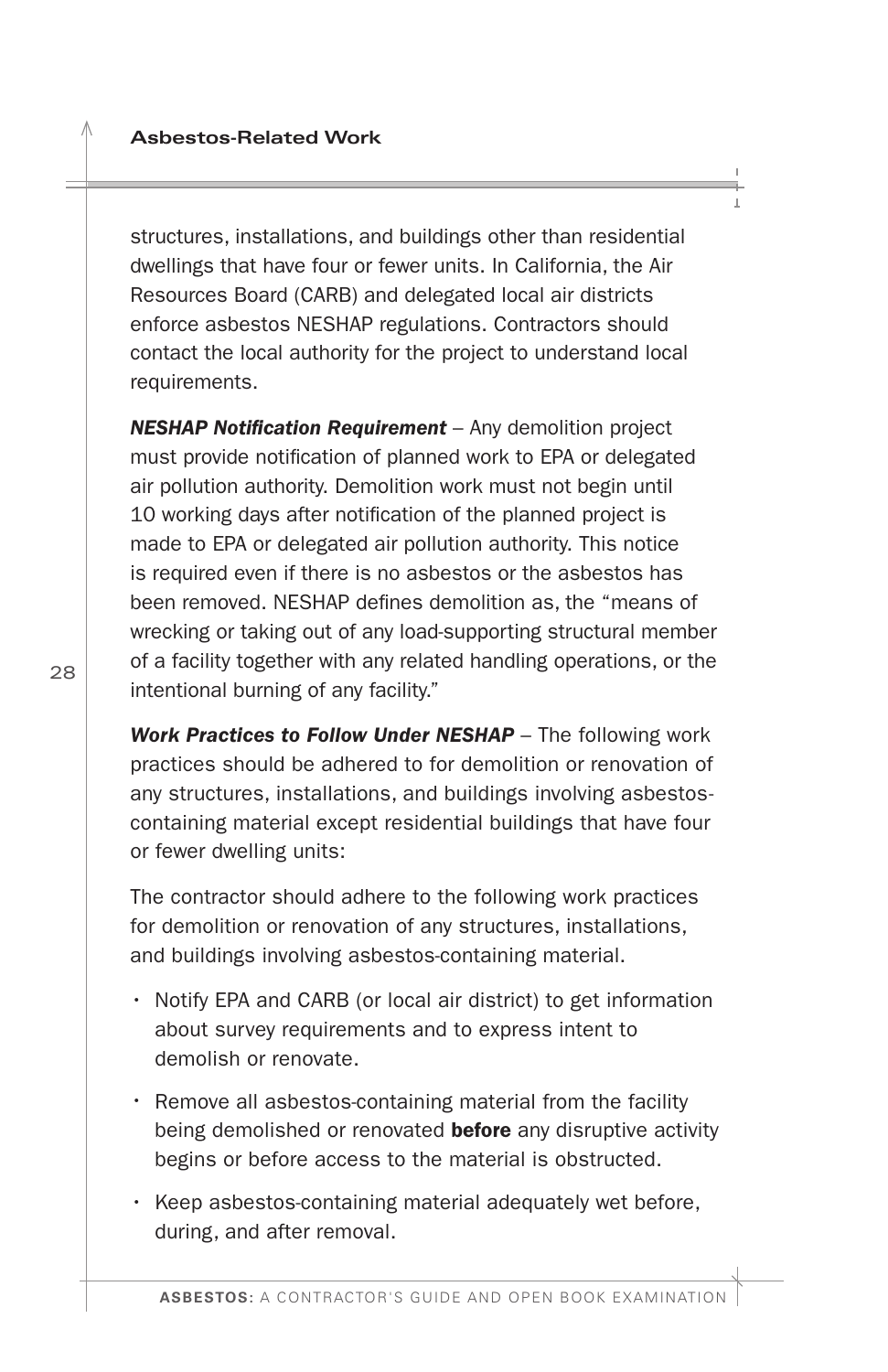<span id="page-29-0"></span>structures, installations, and buildings other than residential dwellings that have four or fewer units. In California, the Air Resources Board (CARB) and delegated local air districts enforce asbestos NESHAP regulations. Contractors should contact the local authority for the project to understand local requirements.

*NESHAP Notifcation Requirement* – Any demolition project must provide notifcation of planned work to EPA or delegated air pollution authority. Demolition work must not begin until 10 working days after notifcation of the planned project is made to EPA or delegated air pollution authority. This notice is required even if there is no asbestos or the asbestos has been removed. NESHAP defnes demolition as, the "means of wrecking or taking out of any load-supporting structural member of a facility together with any related handling operations, or the intentional burning of any facility."

**Work Practices to Follow Under NESHAP** - The following work practices should be adhered to for demolition or renovation of any structures, installations, and buildings involving asbestoscontaining material except residential buildings that have four or fewer dwelling units:

The contractor should adhere to the following work practices for demolition or renovation of any structures, installations, and buildings involving asbestos-containing material.

- Notify EPA and CARB (or local air district) to get information about survey requirements and to express intent to demolish or renovate.
- Remove all asbestos-containing material from the facility being demolished or renovated **before** any disruptive activity begins or before access to the material is obstructed.
- Keep asbestos-containing material adequately wet before, during, and after removal.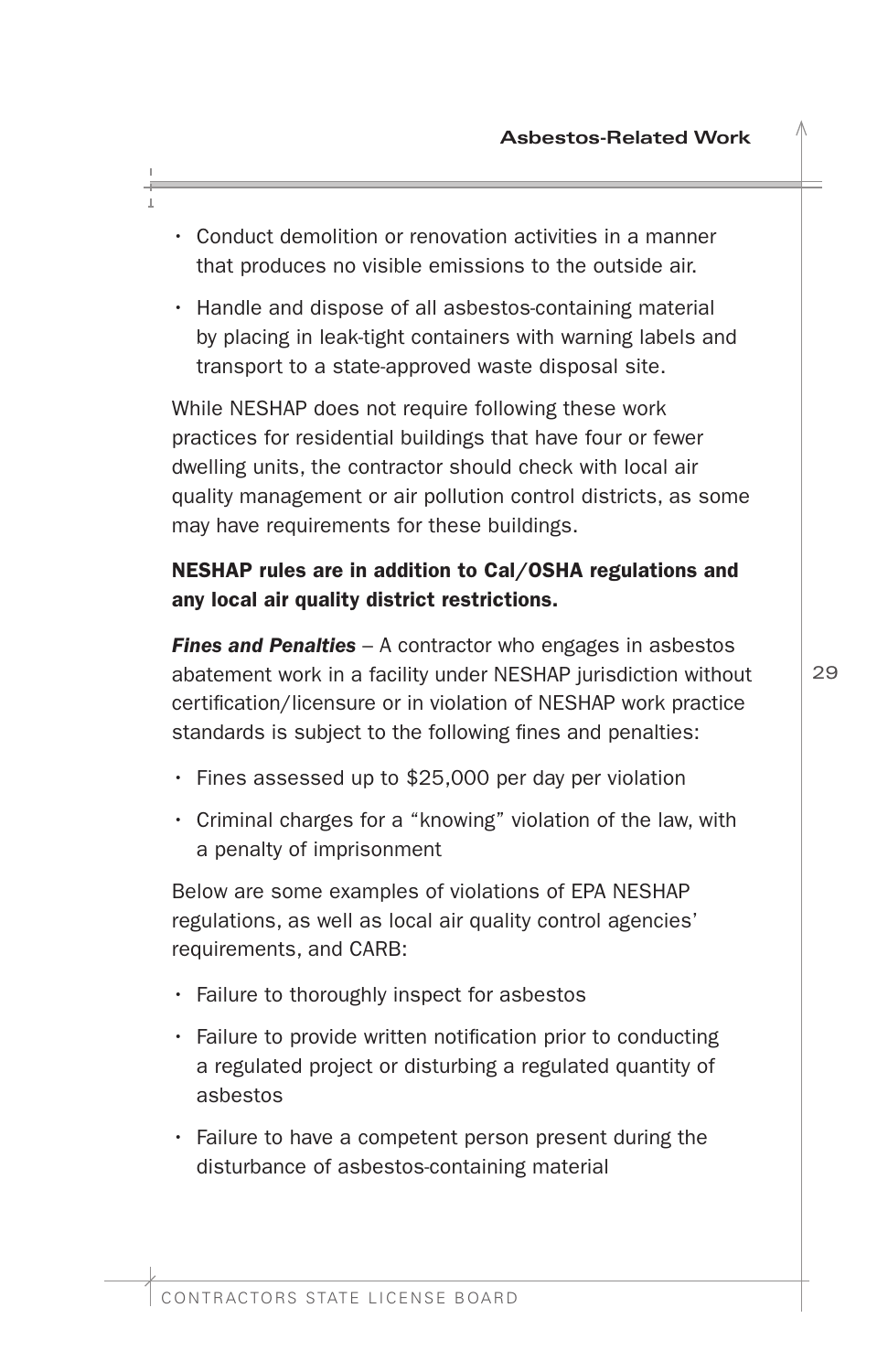- <span id="page-30-0"></span>• Conduct demolition or renovation activities in a manner that produces no visible emissions to the outside air.
- Handle and dispose of all asbestos-containing material by placing in leak-tight containers with warning labels and transport to a state-approved waste disposal site.

While NESHAP does not require following these work practices for residential buildings that have four or fewer dwelling units, the contractor should check with local air quality management or air pollution control districts, as some may have requirements for these buildings.

## NESHAP rules are in addition to Cal/OSHA regulations and any local air quality district restrictions.

*Fines and Penalties* – A contractor who engages in asbestos abatement work in a facility under NESHAP jurisdiction without certifcation/licensure or in violation of NESHAP work practice standards is subject to the following fines and penalties:

- Fines assessed up to \$25,000 per day per violation
- Criminal charges for a "knowing" violation of the law, with a penalty of imprisonment

Below are some examples of violations of EPA NESHAP regulations, as well as local air quality control agencies' requirements, and CARB:

- Failure to thoroughly inspect for asbestos
- Failure to provide written notification prior to conducting a regulated project or disturbing a regulated quantity of asbestos
- Failure to have a competent person present during the disturbance of asbestos-containing material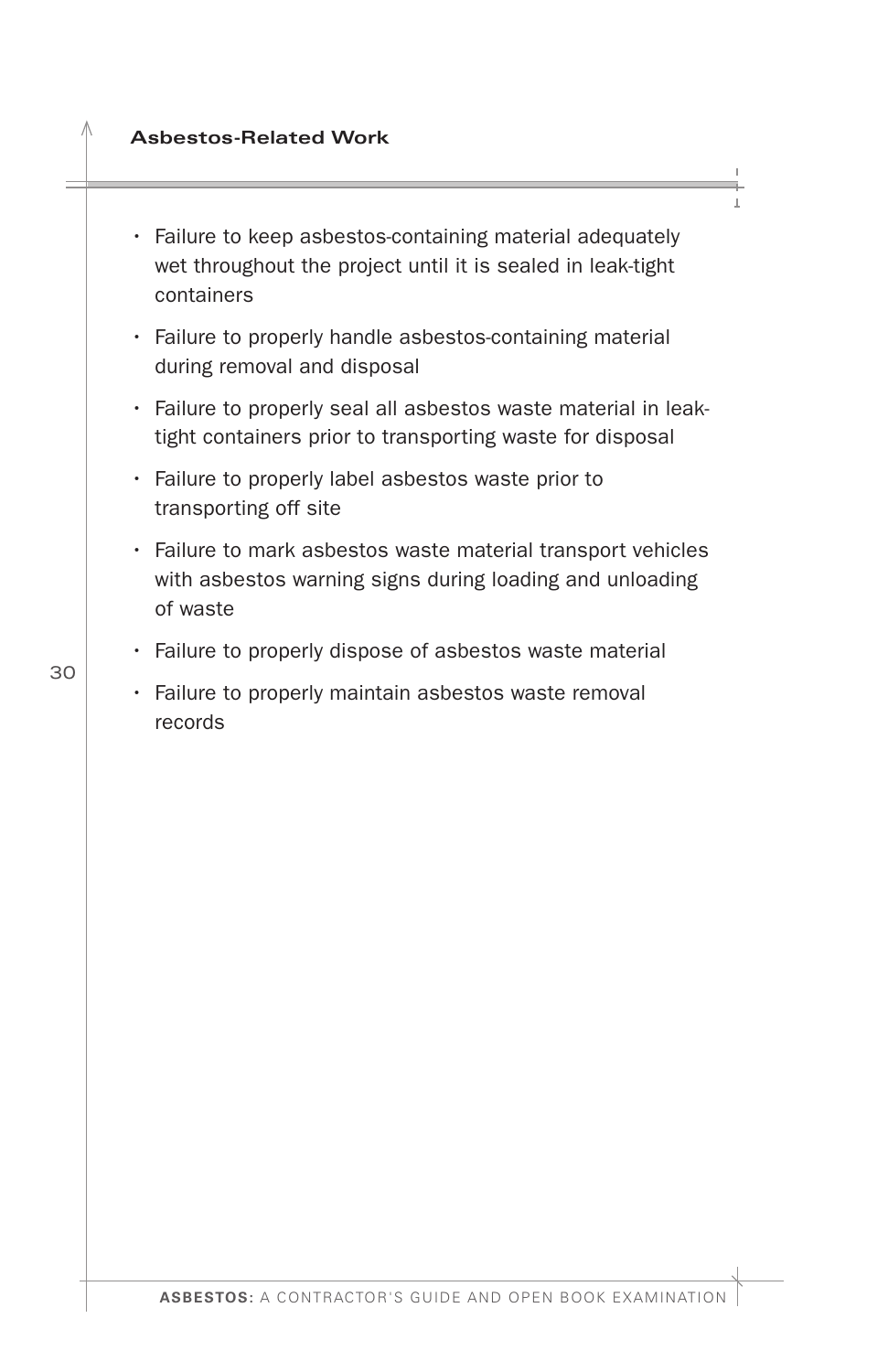#### **Asbestos-Related Work**

- Failure to keep asbestos-containing material adequately wet throughout the project until it is sealed in leak-tight containers
- Failure to properly handle asbestos-containing material during removal and disposal
- Failure to properly seal all asbestos waste material in leaktight containers prior to transporting waste for disposal
- Failure to properly label asbestos waste prior to transporting off site
- Failure to mark asbestos waste material transport vehicles with asbestos warning signs during loading and unloading of waste
- Failure to properly dispose of asbestos waste material
- Failure to properly maintain asbestos waste removal records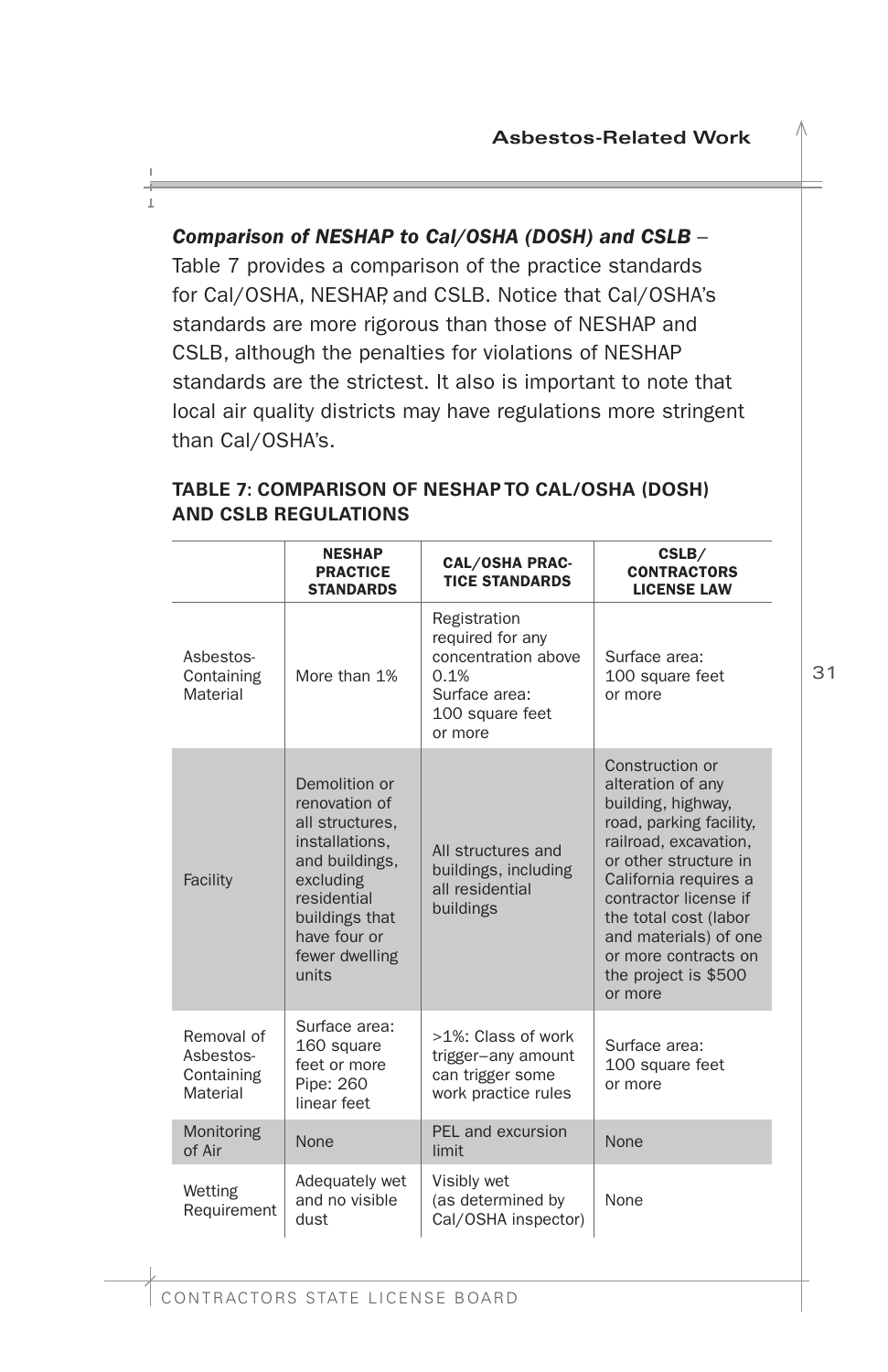#### <span id="page-32-0"></span>*Comparison of NESHAP to Cal/OSHA (DOSH) and CSLB* –

Table 7 provides a comparison of the practice standards for Cal/OSHA, NESHAP, and CSLB. Notice that Cal/OSHA's standards are more rigorous than those of NESHAP and CSLB, although the penalties for violations of NESHAP standards are the strictest. It also is important to note that local air quality districts may have regulations more stringent than Cal/OSHA's.

|                                                                                                                                                                                            | <b>NESHAP</b><br><b>PRACTICE</b><br><b>STANDARDS</b>                    | <b>CAL/OSHA PRAC-</b><br><b>TICE STANDARDS</b>                                                                 | CSLB/<br><b>CONTRACTORS</b><br><b>LICENSE LAW</b>                                                                                                                                                                                                                                                      |
|--------------------------------------------------------------------------------------------------------------------------------------------------------------------------------------------|-------------------------------------------------------------------------|----------------------------------------------------------------------------------------------------------------|--------------------------------------------------------------------------------------------------------------------------------------------------------------------------------------------------------------------------------------------------------------------------------------------------------|
| Asbestos-<br>Containing<br>Material                                                                                                                                                        | More than 1%                                                            | Registration<br>required for any<br>concentration above<br>0.1%<br>Surface area:<br>100 square feet<br>or more | Surface area:<br>100 square feet<br>or more                                                                                                                                                                                                                                                            |
| Demolition or<br>renovation of<br>all structures.<br>installations,<br>and buildings,<br>excluding<br>Facility<br>residential<br>buildings that<br>have four or<br>fewer dwelling<br>units |                                                                         | All structures and<br>buildings, including<br>all residential<br>buildings                                     | Construction or<br>alteration of any<br>building, highway,<br>road, parking facility,<br>railroad, excavation,<br>or other structure in<br>California requires a<br>contractor license if<br>the total cost (labor<br>and materials) of one<br>or more contracts on<br>the project is \$500<br>or more |
| Removal of<br>Asbestos-<br>Containing<br>Material                                                                                                                                          | Surface area:<br>160 square<br>feet or more<br>Pipe: 260<br>linear feet | >1%: Class of work<br>trigger-any amount<br>can trigger some<br>work practice rules                            | Surface area:<br>100 square feet<br>or more                                                                                                                                                                                                                                                            |
| Monitoring<br>of Air                                                                                                                                                                       | None                                                                    | PEL and excursion<br>limit                                                                                     | None                                                                                                                                                                                                                                                                                                   |
| Wetting<br>Requirement                                                                                                                                                                     | Adequately wet<br>and no visible<br>dust                                | Visibly wet<br>(as determined by<br>Cal/OSHA inspector)                                                        | None                                                                                                                                                                                                                                                                                                   |

#### **TABLE 7: COMPARISON OF NESHAP TO CAL/OSHA (DOSH) AND CSLB REGULATIONS**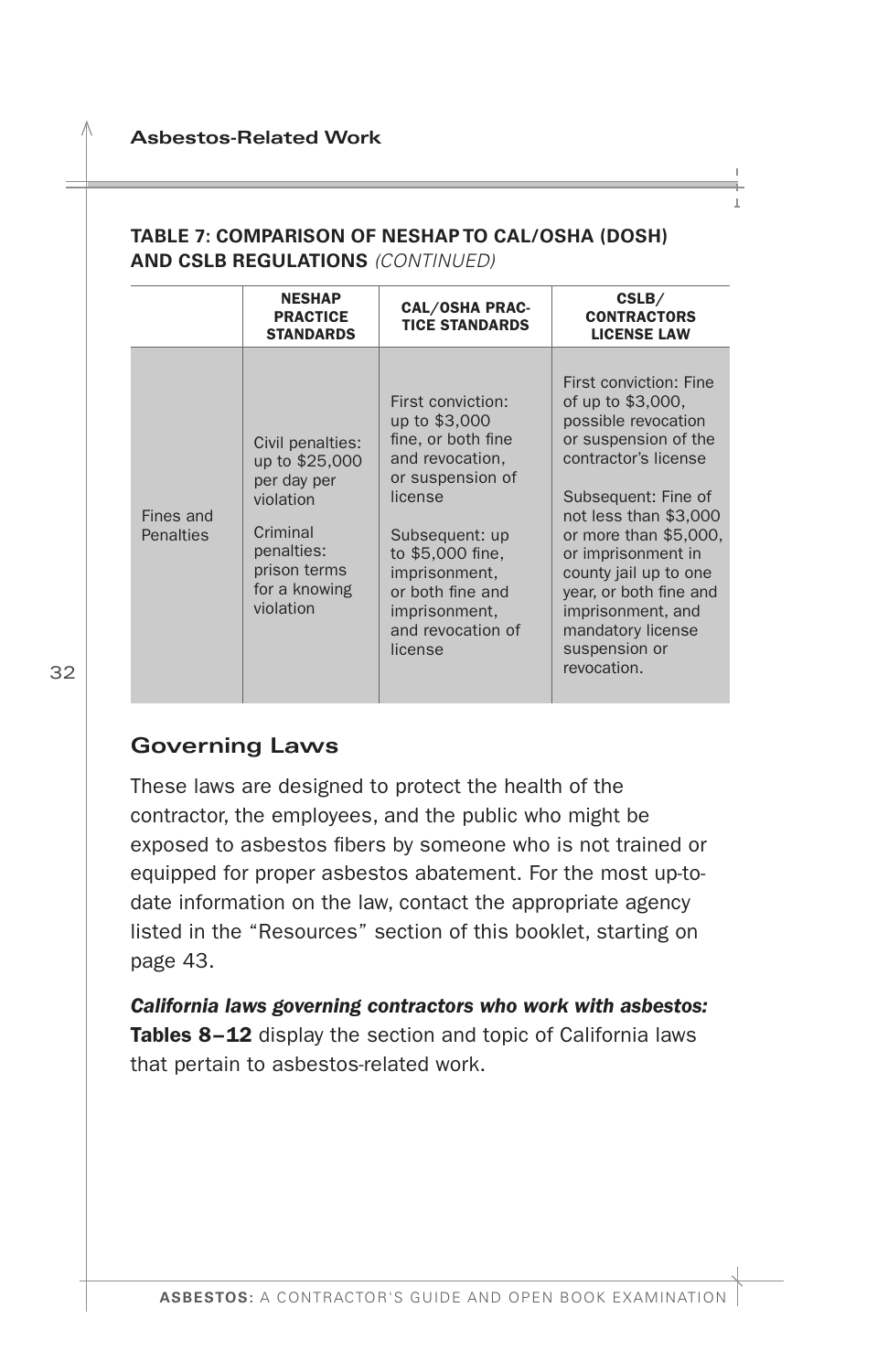#### <span id="page-33-0"></span>**TABLE 7: COMPARISON OF NESHAP TO CAL/OSHA (DOSH) AND CSLB REGULATIONS** *(CONTINUED)*

|                        | <b>NESHAP</b><br><b>PRACTICE</b><br><b>STANDARDS</b>                                                                                   | <b>CAL/OSHA PRAC-</b><br><b>TICE STANDARDS</b>                                                                                                                                                                                         | CSLB/<br><b>CONTRACTORS</b><br><b>LICENSE LAW</b>                                                                                                                                                                                                                                                                                              |
|------------------------|----------------------------------------------------------------------------------------------------------------------------------------|----------------------------------------------------------------------------------------------------------------------------------------------------------------------------------------------------------------------------------------|------------------------------------------------------------------------------------------------------------------------------------------------------------------------------------------------------------------------------------------------------------------------------------------------------------------------------------------------|
| Fines and<br>Penalties | Civil penalties:<br>up to \$25,000<br>per day per<br>violation<br>Criminal<br>penalties:<br>prison terms<br>for a knowing<br>violation | First conviction:<br>up to \$3,000<br>fine, or both fine<br>and revocation,<br>or suspension of<br>license<br>Subsequent: up<br>to \$5,000 fine.<br>imprisonment.<br>or both fine and<br>imprisonment.<br>and revocation of<br>license | First conviction: Fine<br>of up to \$3,000,<br>possible revocation<br>or suspension of the<br>contractor's license<br>Subsequent: Fine of<br>not less than \$3,000<br>or more than \$5,000.<br>or imprisonment in<br>county jail up to one<br>year, or both fine and<br>imprisonment, and<br>mandatory license<br>suspension or<br>revocation. |

### **Governing Laws**

These laws are designed to protect the health of the contractor, the employees, and the public who might be exposed to asbestos fibers by someone who is not trained or equipped for proper asbestos abatement. For the most up-todate information on the law, contact the appropriate agency listed in the "Resources" section of this booklet, starting on page 43.

*California laws governing contractors who work with asbestos:*  Tables 8-12 display the section and topic of California laws that pertain to asbestos-related work.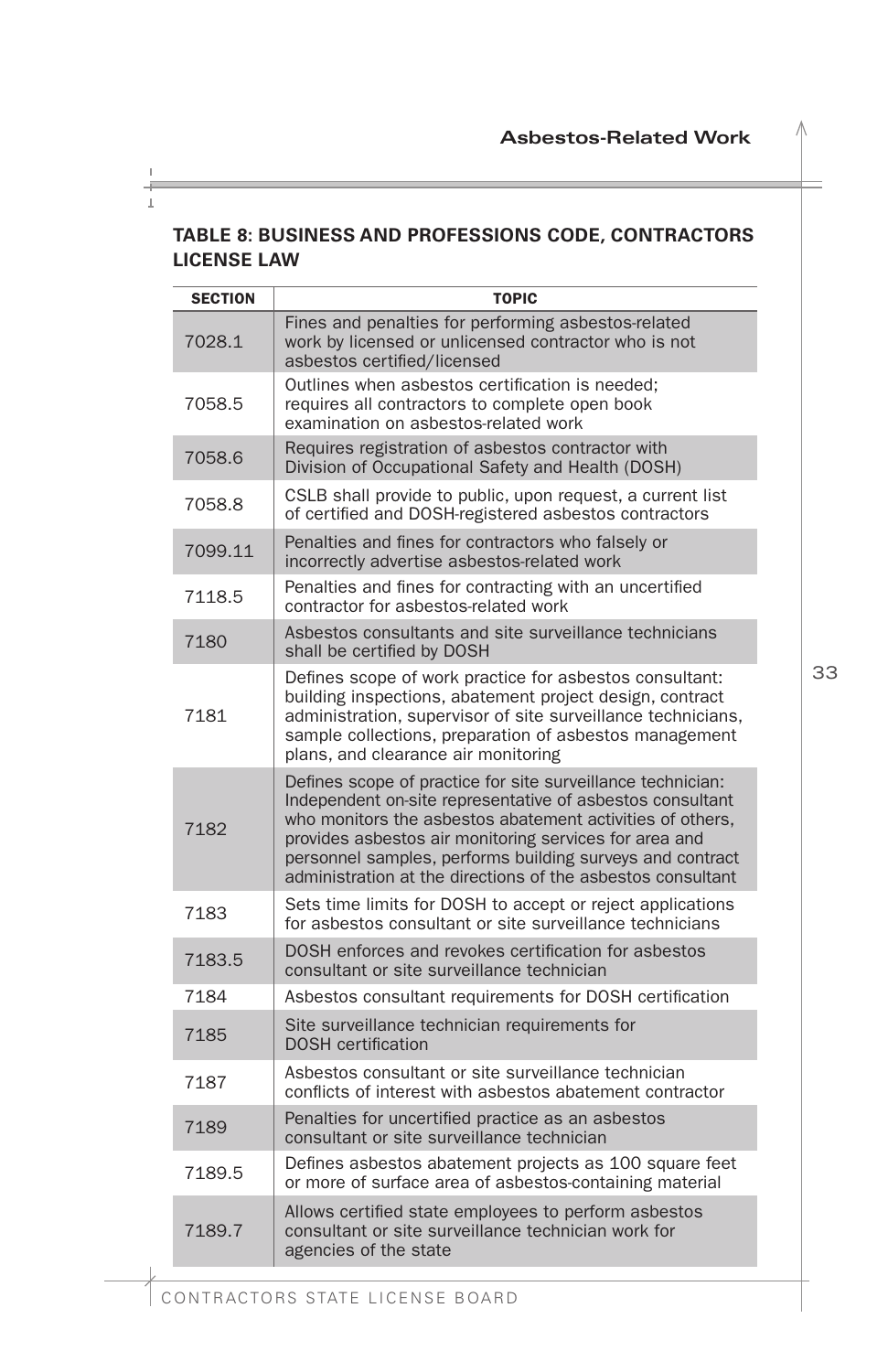#### <span id="page-34-0"></span>**TABLE 8: BUSINESS AND PROFESSIONS CODE, CONTRACTORS LICENSE LAW**

| <b>SECTION</b> | <b>TOPIC</b>                                                                                                                                                                                                                                                                                                                                                                |
|----------------|-----------------------------------------------------------------------------------------------------------------------------------------------------------------------------------------------------------------------------------------------------------------------------------------------------------------------------------------------------------------------------|
| 7028.1         | Fines and penalties for performing asbestos-related<br>work by licensed or unlicensed contractor who is not<br>asbestos certified/licensed                                                                                                                                                                                                                                  |
| 7058.5         | Outlines when asbestos certification is needed;<br>requires all contractors to complete open book<br>examination on asbestos-related work                                                                                                                                                                                                                                   |
| 7058.6         | Requires registration of asbestos contractor with<br>Division of Occupational Safety and Health (DOSH)                                                                                                                                                                                                                                                                      |
| 7058.8         | CSLB shall provide to public, upon request, a current list<br>of certified and DOSH-registered asbestos contractors                                                                                                                                                                                                                                                         |
| 7099.11        | Penalties and fines for contractors who falsely or<br>incorrectly advertise asbestos-related work                                                                                                                                                                                                                                                                           |
| 7118.5         | Penalties and fines for contracting with an uncertified<br>contractor for asbestos-related work                                                                                                                                                                                                                                                                             |
| 7180           | Asbestos consultants and site surveillance technicians<br>shall be certified by DOSH                                                                                                                                                                                                                                                                                        |
| 7181           | Defines scope of work practice for asbestos consultant:<br>building inspections, abatement project design, contract<br>administration, supervisor of site surveillance technicians,<br>sample collections, preparation of asbestos management<br>plans, and clearance air monitoring                                                                                        |
| 7182           | Defines scope of practice for site surveillance technician:<br>Independent on-site representative of asbestos consultant<br>who monitors the asbestos abatement activities of others.<br>provides asbestos air monitoring services for area and<br>personnel samples, performs building surveys and contract<br>administration at the directions of the asbestos consultant |
| 7183           | Sets time limits for DOSH to accept or reject applications<br>for asbestos consultant or site surveillance technicians                                                                                                                                                                                                                                                      |
| 7183.5         | DOSH enforces and revokes certification for asbestos<br>consultant or site surveillance technician                                                                                                                                                                                                                                                                          |
| 7184           | Asbestos consultant requirements for DOSH certification                                                                                                                                                                                                                                                                                                                     |
| 7185           | Site surveillance technician requirements for<br><b>DOSH</b> certification                                                                                                                                                                                                                                                                                                  |
| 7187           | Asbestos consultant or site surveillance technician<br>conflicts of interest with asbestos abatement contractor                                                                                                                                                                                                                                                             |
| 7189           | Penalties for uncertified practice as an asbestos<br>consultant or site surveillance technician                                                                                                                                                                                                                                                                             |
| 7189.5         | Defines asbestos abatement projects as 100 square feet<br>or more of surface area of asbestos-containing material                                                                                                                                                                                                                                                           |
| 7189.7         | Allows certified state employees to perform asbestos<br>consultant or site surveillance technician work for<br>agencies of the state                                                                                                                                                                                                                                        |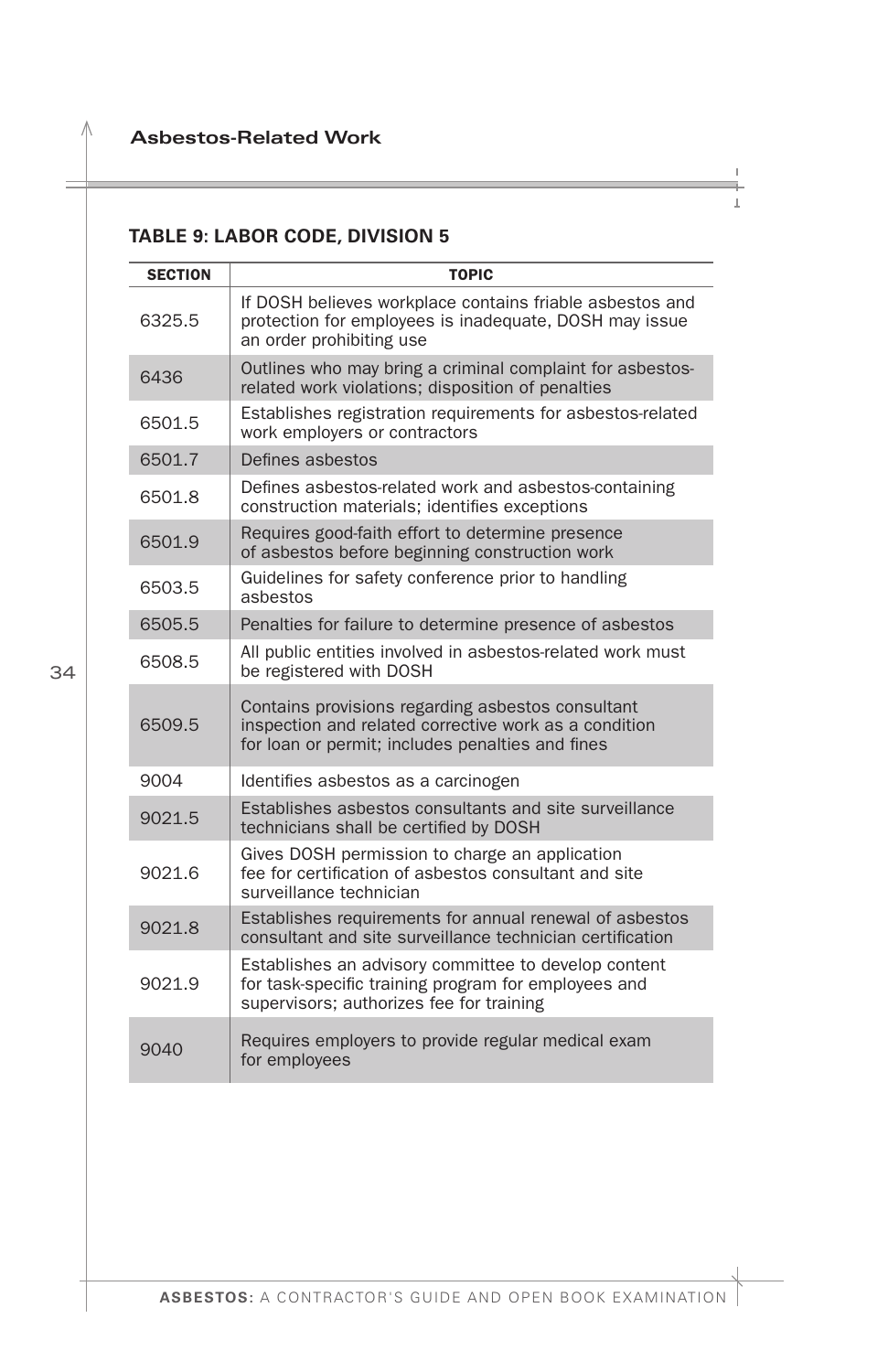### <span id="page-35-0"></span>**TABLE 9: LABOR CODE, DIVISION 5**

| <b>SECTION</b> | <b>TOPIC</b>                                                                                                                                                   |
|----------------|----------------------------------------------------------------------------------------------------------------------------------------------------------------|
| 6325.5         | If DOSH believes workplace contains friable asbestos and<br>protection for employees is inadequate, DOSH may issue<br>an order prohibiting use                 |
| 6436           | Outlines who may bring a criminal complaint for asbestos-<br>related work violations; disposition of penalties                                                 |
| 6501.5         | Establishes registration requirements for asbestos-related<br>work employers or contractors                                                                    |
| 6501.7         | Defines asbestos                                                                                                                                               |
| 6501.8         | Defines asbestos-related work and asbestos-containing<br>construction materials; identifies exceptions                                                         |
| 6501.9         | Requires good-faith effort to determine presence<br>of asbestos before beginning construction work                                                             |
| 6503.5         | Guidelines for safety conference prior to handling<br>asbestos                                                                                                 |
| 6505.5         | Penalties for failure to determine presence of asbestos                                                                                                        |
| 6508.5         | All public entities involved in asbestos-related work must<br>be registered with DOSH                                                                          |
| 6509.5         | Contains provisions regarding asbestos consultant<br>inspection and related corrective work as a condition<br>for loan or permit; includes penalties and fines |
| 9004           | Identifies asbestos as a carcinogen                                                                                                                            |
| 9021.5         | Establishes asbestos consultants and site surveillance<br>technicians shall be certified by DOSH                                                               |
| 9021.6         | Gives DOSH permission to charge an application<br>fee for certification of asbestos consultant and site<br>surveillance technician                             |
| 9021.8         | Establishes requirements for annual renewal of asbestos<br>consultant and site surveillance technician certification                                           |
| 9021.9         | Establishes an advisory committee to develop content<br>for task-specific training program for employees and<br>supervisors; authorizes fee for training       |
| 9040           | Requires employers to provide regular medical exam<br>for employees                                                                                            |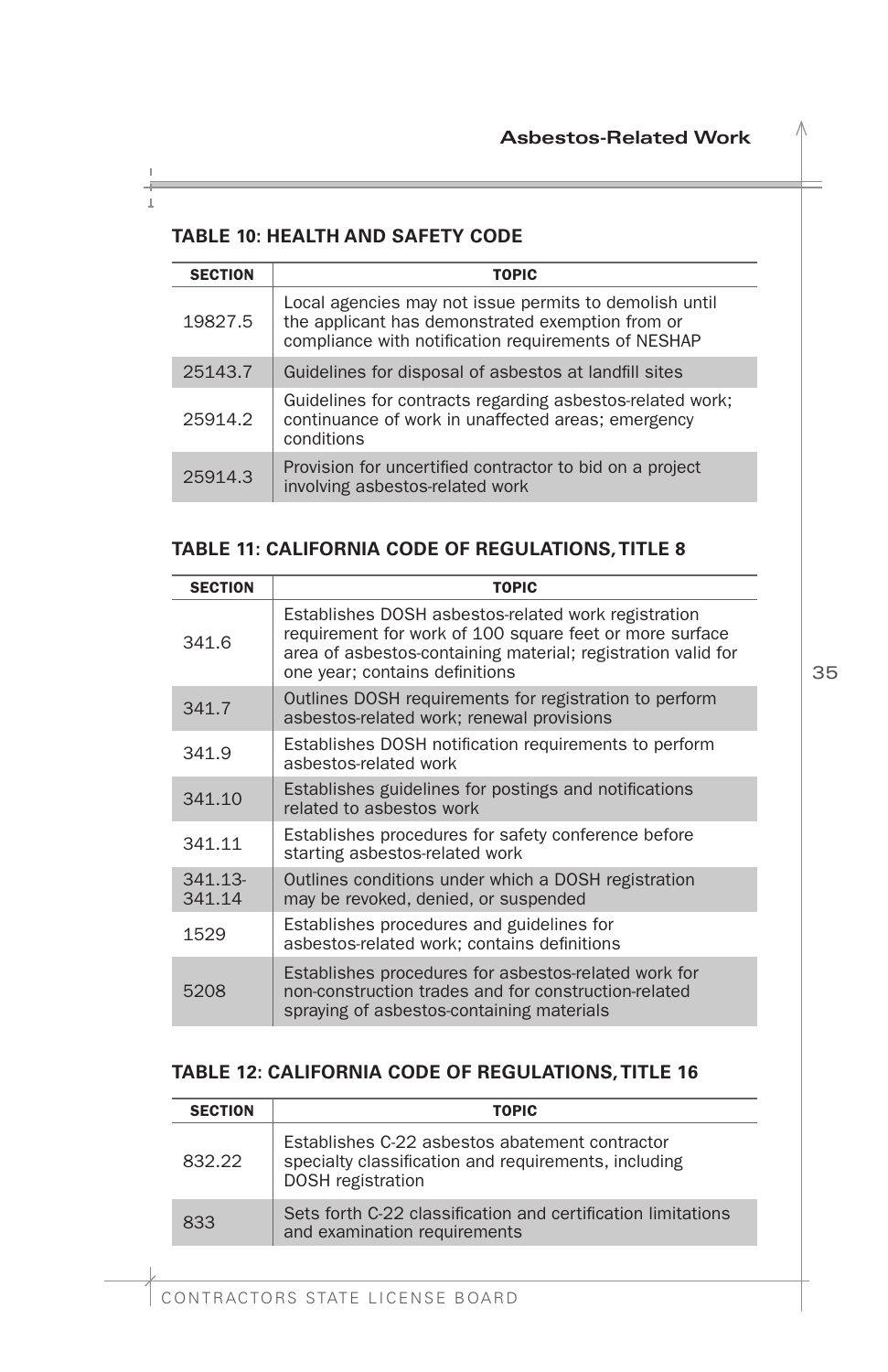#### <span id="page-36-0"></span>**TABLE 10: HEALTH AND SAFETY CODE**

| <b>SECTION</b> | <b>TOPIC</b>                                                                                                                                                      |
|----------------|-------------------------------------------------------------------------------------------------------------------------------------------------------------------|
| 19827.5        | Local agencies may not issue permits to demolish until<br>the applicant has demonstrated exemption from or<br>compliance with notification requirements of NESHAP |
| 25143.7        | Guidelines for disposal of asbestos at landfill sites                                                                                                             |
| 25914.2        | Guidelines for contracts regarding asbestos-related work;<br>continuance of work in unaffected areas; emergency<br>conditions                                     |
| 25914.3        | Provision for uncertified contractor to bid on a project<br>involving asbestos-related work                                                                       |

<u> 1989 - Johann Barnett, mars eta idazlea (h. 19</u>

#### **TABLE 11: CALIFORNIA CODE OF REGULATIONS,TITLE 8**

| <b>SECTION</b>    | <b>TOPIC</b>                                                                                                                                                                                                     |
|-------------------|------------------------------------------------------------------------------------------------------------------------------------------------------------------------------------------------------------------|
| 341.6             | Establishes DOSH asbestos-related work registration<br>requirement for work of 100 square feet or more surface<br>area of asbestos-containing material; registration valid for<br>one year; contains definitions |
| 341.7             | Outlines DOSH requirements for registration to perform<br>asbestos-related work; renewal provisions                                                                                                              |
| 341.9             | Establishes DOSH notification requirements to perform<br>asbestos-related work                                                                                                                                   |
| 341.10            | Establishes guidelines for postings and notifications<br>related to asbestos work                                                                                                                                |
| 341.11            | Establishes procedures for safety conference before<br>starting asbestos-related work                                                                                                                            |
| 341.13-<br>341.14 | Outlines conditions under which a DOSH registration<br>may be revoked, denied, or suspended                                                                                                                      |
| 1529              | Establishes procedures and guidelines for<br>asbestos-related work; contains definitions                                                                                                                         |
| 5208              | Establishes procedures for asbestos-related work for<br>non-construction trades and for construction-related<br>spraying of asbestos-containing materials                                                        |

#### **TABLE 12: CALIFORNIA CODE OF REGULATIONS, TITLE 16**

| <b>SECTION</b> | <b>TOPIC</b>                                                                                                                       |
|----------------|------------------------------------------------------------------------------------------------------------------------------------|
| 832.22         | Establishes C-22 asbestos abatement contractor<br>specialty classification and requirements, including<br><b>DOSH</b> registration |
| 833            | Sets forth C-22 classification and certification limitations<br>and examination requirements                                       |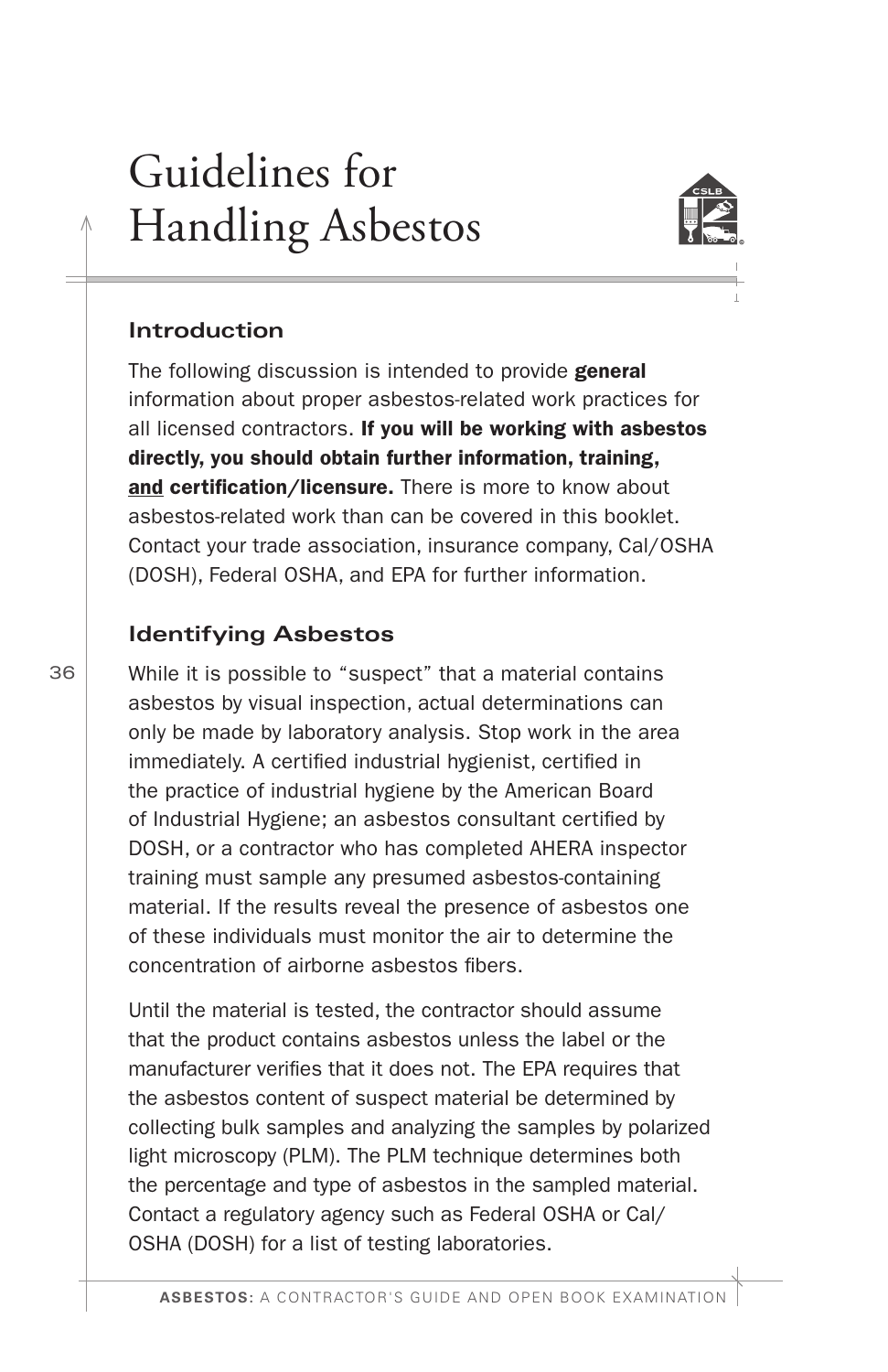# <span id="page-37-0"></span>Guidelines for Handling Asbestos



#### **Introduction**

The following discussion is intended to provide general information about proper asbestos-related work practices for all licensed contractors. If you will be working with asbestos directly, you should obtain further information, training, and certification/licensure. There is more to know about asbestos-related work than can be covered in this booklet. Contact your trade association, insurance company, Cal/OSHA (DOSH), Federal OSHA, and EPA for further information.

#### **Identifying Asbestos**

While it is possible to "suspect" that a material contains asbestos by visual inspection, actual determinations can only be made by laboratory analysis. Stop work in the area immediately. A certifed industrial hygienist, certifed in the practice of industrial hygiene by the American Board of Industrial Hygiene; an asbestos consultant certifed by DOSH, or a contractor who has completed AHERA inspector training must sample any presumed asbestos-containing material. If the results reveal the presence of asbestos one of these individuals must monitor the air to determine the concentration of airborne asbestos fbers.

Until the material is tested, the contractor should assume that the product contains asbestos unless the label or the manufacturer verifes that it does not. The EPA requires that the asbestos content of suspect material be determined by collecting bulk samples and analyzing the samples by polarized light microscopy (PLM). The PLM technique determines both the percentage and type of asbestos in the sampled material. Contact a regulatory agency such as Federal OSHA or Cal/ OSHA (DOSH) for a list of testing laboratories.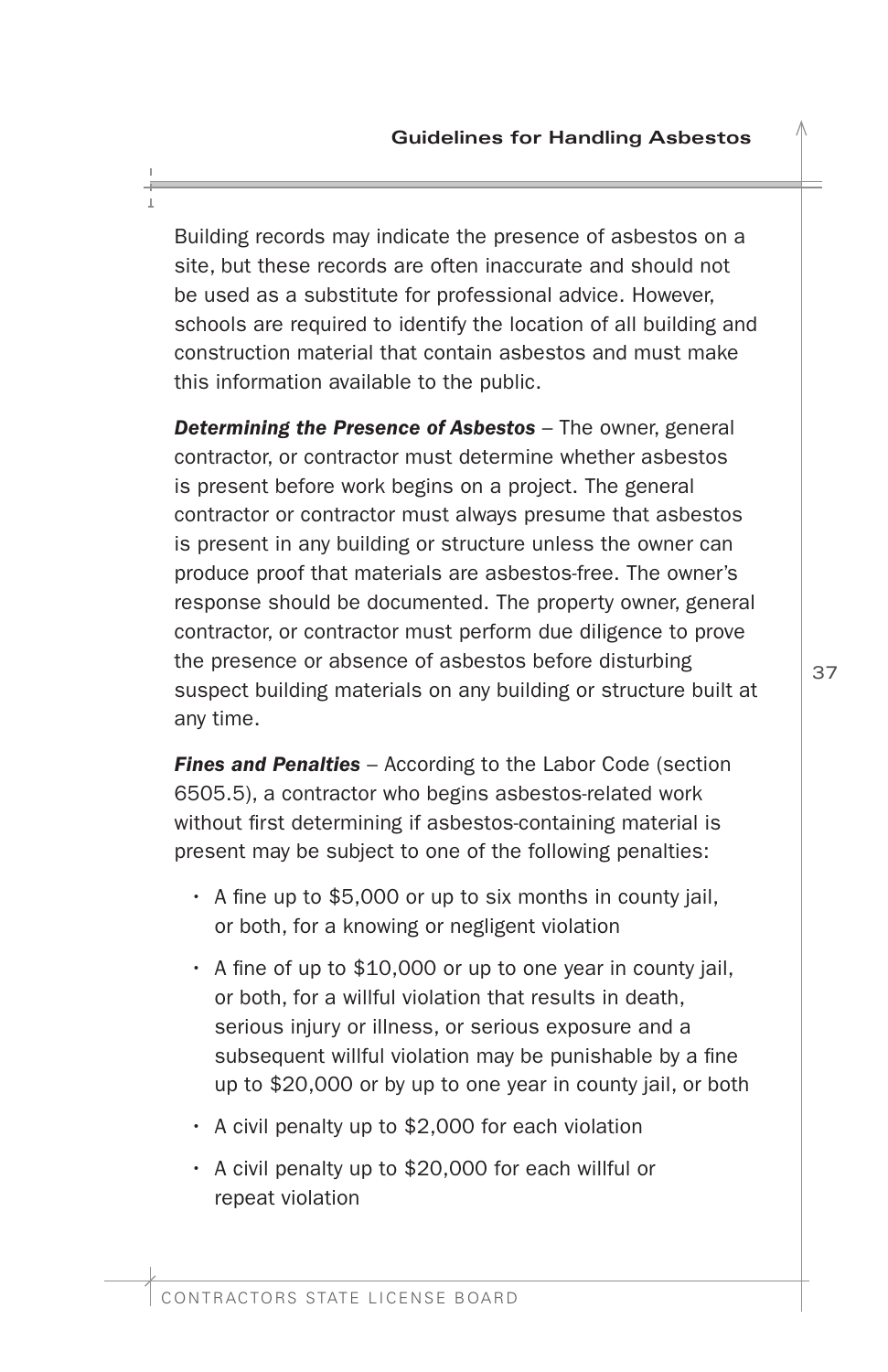<span id="page-38-0"></span>Building records may indicate the presence of asbestos on a site, but these records are often inaccurate and should not be used as a substitute for professional advice. However, schools are required to identify the location of all building and construction material that contain asbestos and must make this information available to the public.

*Determining the Presence of Asbestos* – The owner, general contractor, or contractor must determine whether asbestos is present before work begins on a project. The general contractor or contractor must always presume that asbestos is present in any building or structure unless the owner can produce proof that materials are asbestos-free. The owner's response should be documented. The property owner, general contractor, or contractor must perform due diligence to prove the presence or absence of asbestos before disturbing suspect building materials on any building or structure built at any time.

*Fines and Penalties* – According to the Labor Code (section 6505.5), a contractor who begins asbestos-related work without first determining if asbestos-containing material is present may be subject to one of the following penalties:

- $\cdot$  A fine up to \$5,000 or up to six months in county jail, or both, for a knowing or negligent violation
- $\cdot$  A fine of up to \$10,000 or up to one year in county jail, or both, for a willful violation that results in death, serious injury or illness, or serious exposure and a subsequent willful violation may be punishable by a fine up to \$20,000 or by up to one year in county jail, or both
- A civil penalty up to \$2,000 for each violation
- A civil penalty up to \$20,000 for each willful or repeat violation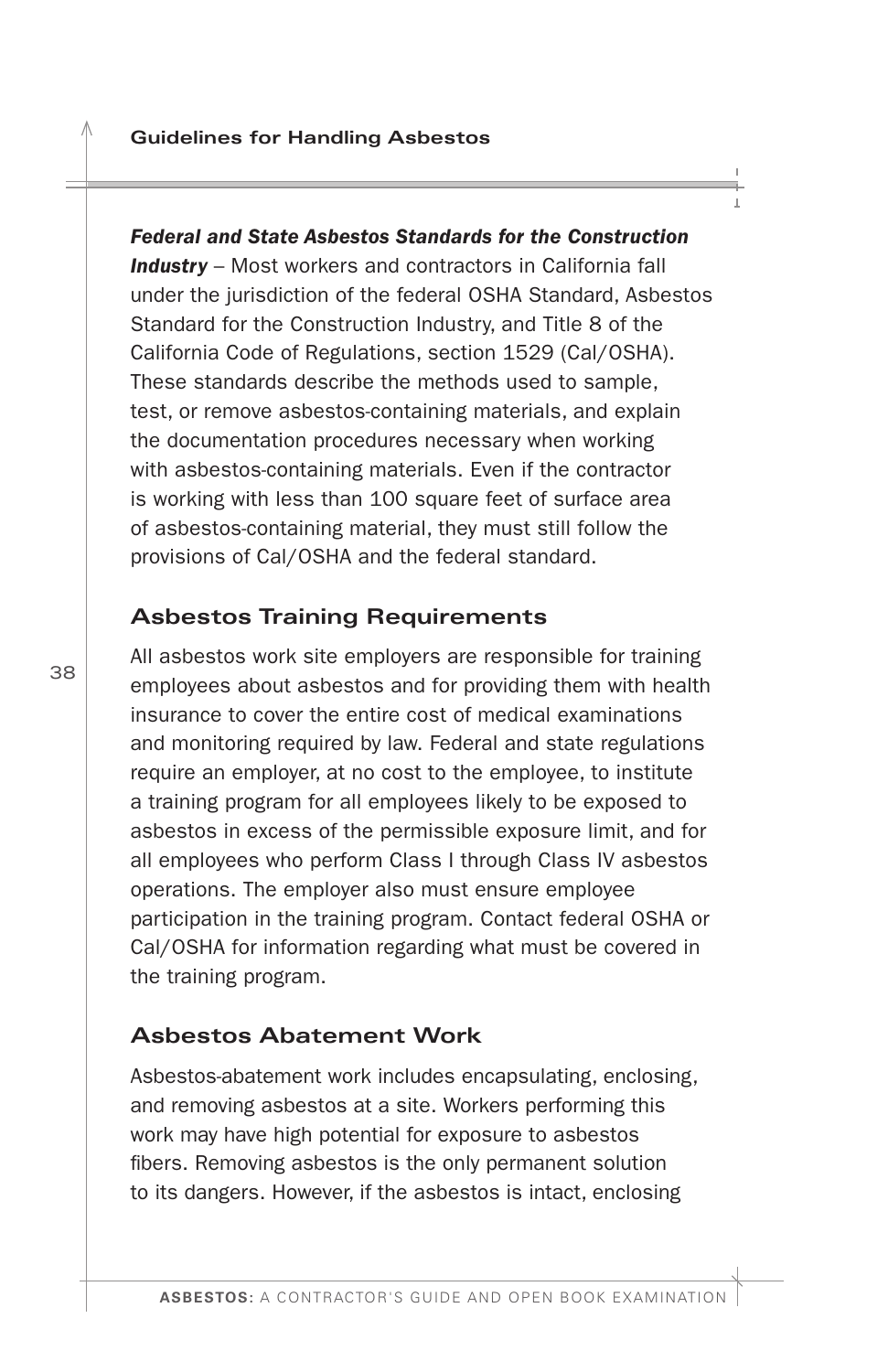<span id="page-39-0"></span>*Federal and State Asbestos Standards for the Construction Industry* – Most workers and contractors in California fall under the jurisdiction of the federal OSHA Standard, Asbestos Standard for the Construction Industry, and Title 8 of the California Code of Regulations, section 1529 (Cal/OSHA). These standards describe the methods used to sample, test, or remove asbestos-containing materials, and explain the documentation procedures necessary when working with asbestos-containing materials. Even if the contractor is working with less than 100 square feet of surface area of asbestos-containing material, they must still follow the provisions of Cal/OSHA and the federal standard.

#### **Asbestos Training Requirements**

All asbestos work site employers are responsible for training employees about asbestos and for providing them with health insurance to cover the entire cost of medical examinations and monitoring required by law. Federal and state regulations require an employer, at no cost to the employee, to institute a training program for all employees likely to be exposed to asbestos in excess of the permissible exposure limit, and for all employees who perform Class I through Class IV asbestos operations. The employer also must ensure employee participation in the training program. Contact federal OSHA or Cal/OSHA for information regarding what must be covered in the training program.

#### **Asbestos Abatement Work**

Asbestos-abatement work includes encapsulating, enclosing, and removing asbestos at a site. Workers performing this work may have high potential for exposure to asbestos fbers. Removing asbestos is the only permanent solution to its dangers. However, if the asbestos is intact, enclosing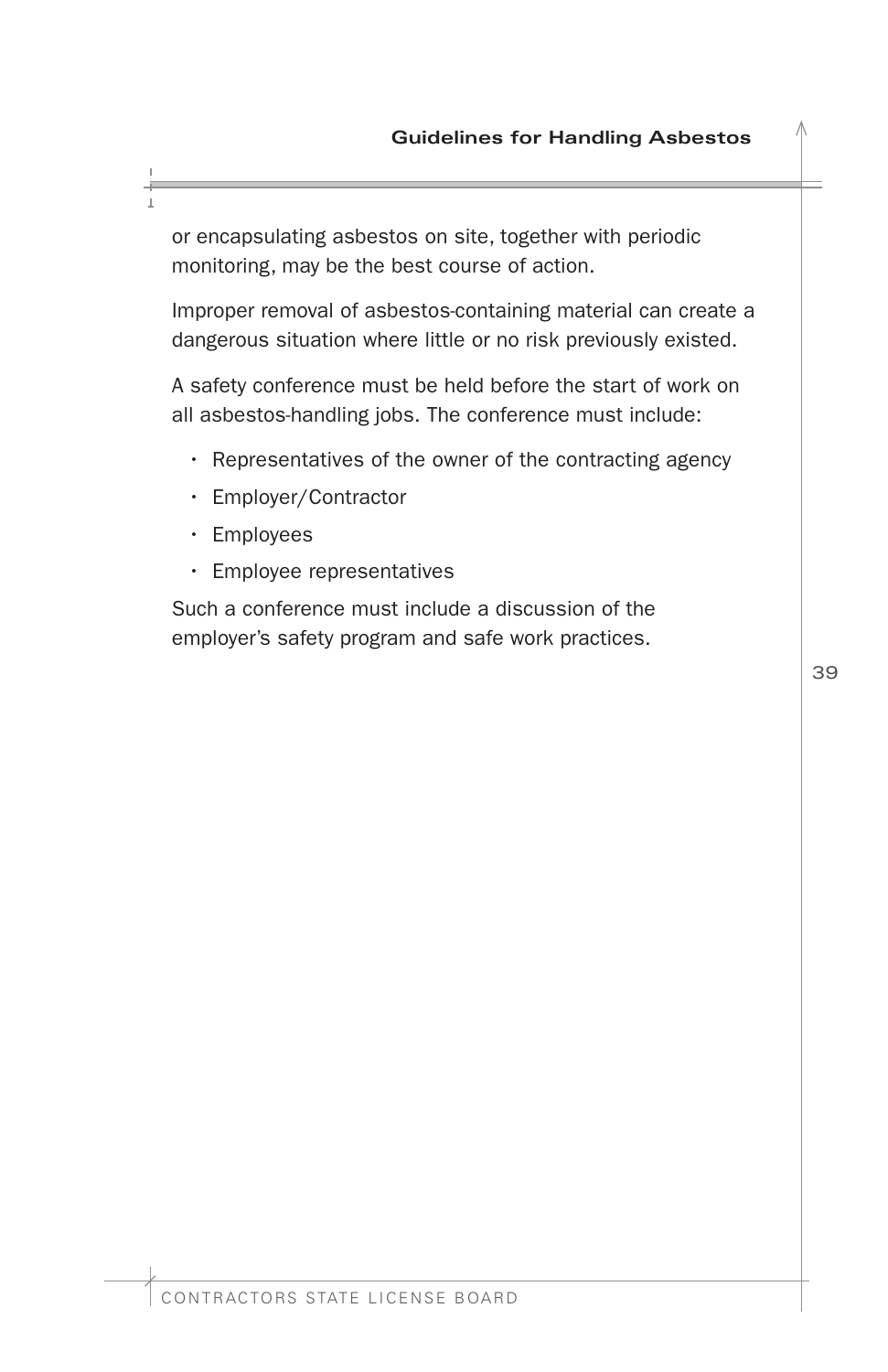or encapsulating asbestos on site, together with periodic monitoring, may be the best course of action.

Improper removal of asbestos-containing material can create a dangerous situation where little or no risk previously existed.

A safety conference must be held before the start of work on all asbestos-handling jobs. The conference must include:

- Representatives of the owner of the contracting agency
- Employer/Contractor
- Employees
- Employee representatives

Such a conference must include a discussion of the employer's safety program and safe work practices.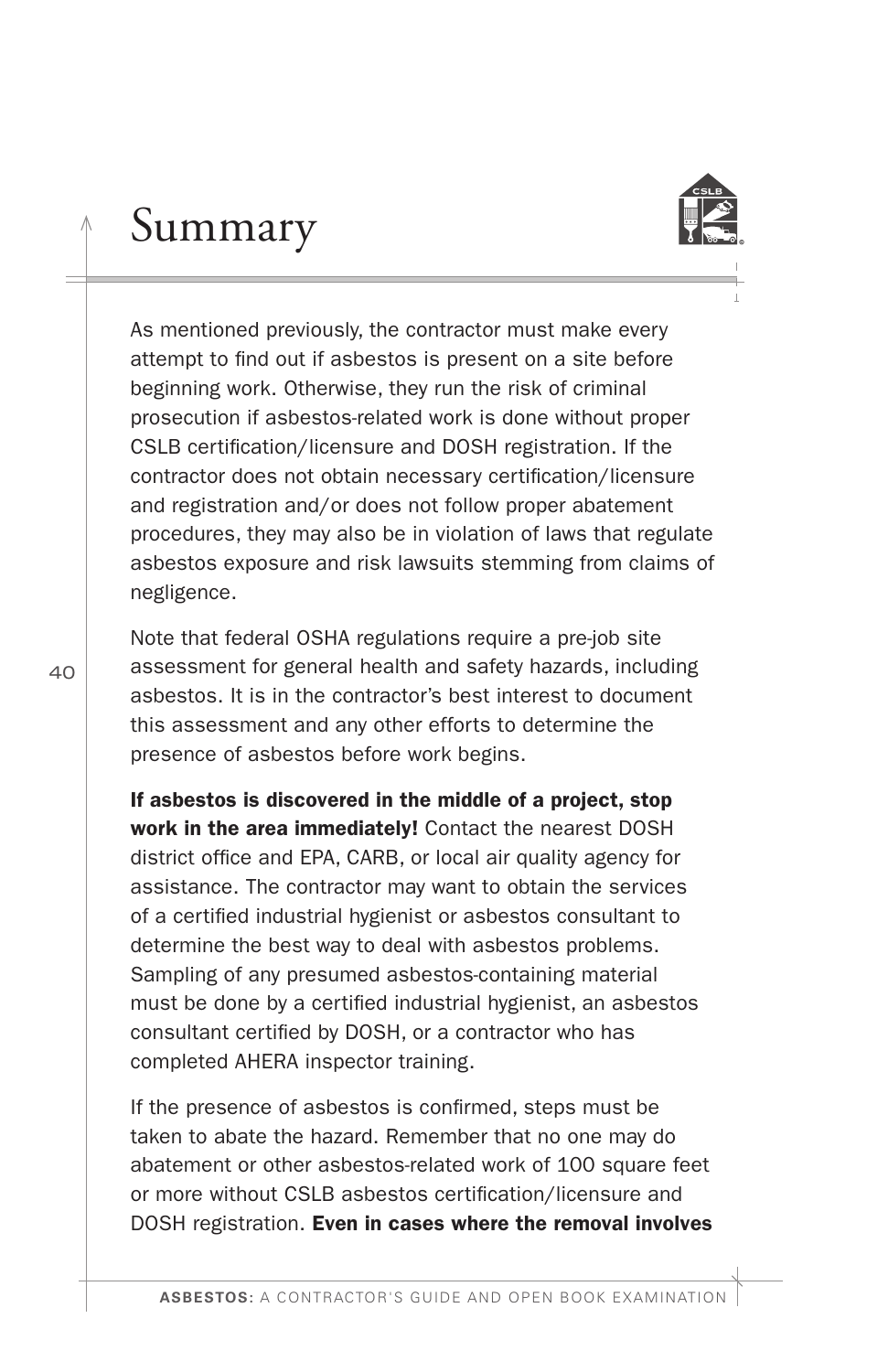As mentioned previously, the contractor must make every attempt to fnd out if asbestos is present on a site before beginning work. Otherwise, they run the risk of criminal prosecution if asbestos-related work is done without proper CSLB certifcation/licensure and DOSH registration. If the contractor does not obtain necessary certifcation/licensure and registration and/or does not follow proper abatement procedures, they may also be in violation of laws that regulate asbestos exposure and risk lawsuits stemming from claims of negligence.

<span id="page-41-0"></span>Summary

Note that federal OSHA regulations require a pre-job site assessment for general health and safety hazards, including asbestos. It is in the contractor's best interest to document this assessment and any other efforts to determine the presence of asbestos before work begins.

If asbestos is discovered in the middle of a project, stop work in the area immediately! Contact the nearest DOSH district office and EPA, CARB, or local air quality agency for assistance. The contractor may want to obtain the services of a certifed industrial hygienist or asbestos consultant to determine the best way to deal with asbestos problems. Sampling of any presumed asbestos-containing material must be done by a certifed industrial hygienist, an asbestos consultant certifed by DOSH, or a contractor who has completed AHERA inspector training.

If the presence of asbestos is confrmed, steps must be taken to abate the hazard. Remember that no one may do abatement or other asbestos-related work of 100 square feet or more without CSLB asbestos certifcation/licensure and DOSH registration. Even in cases where the removal involves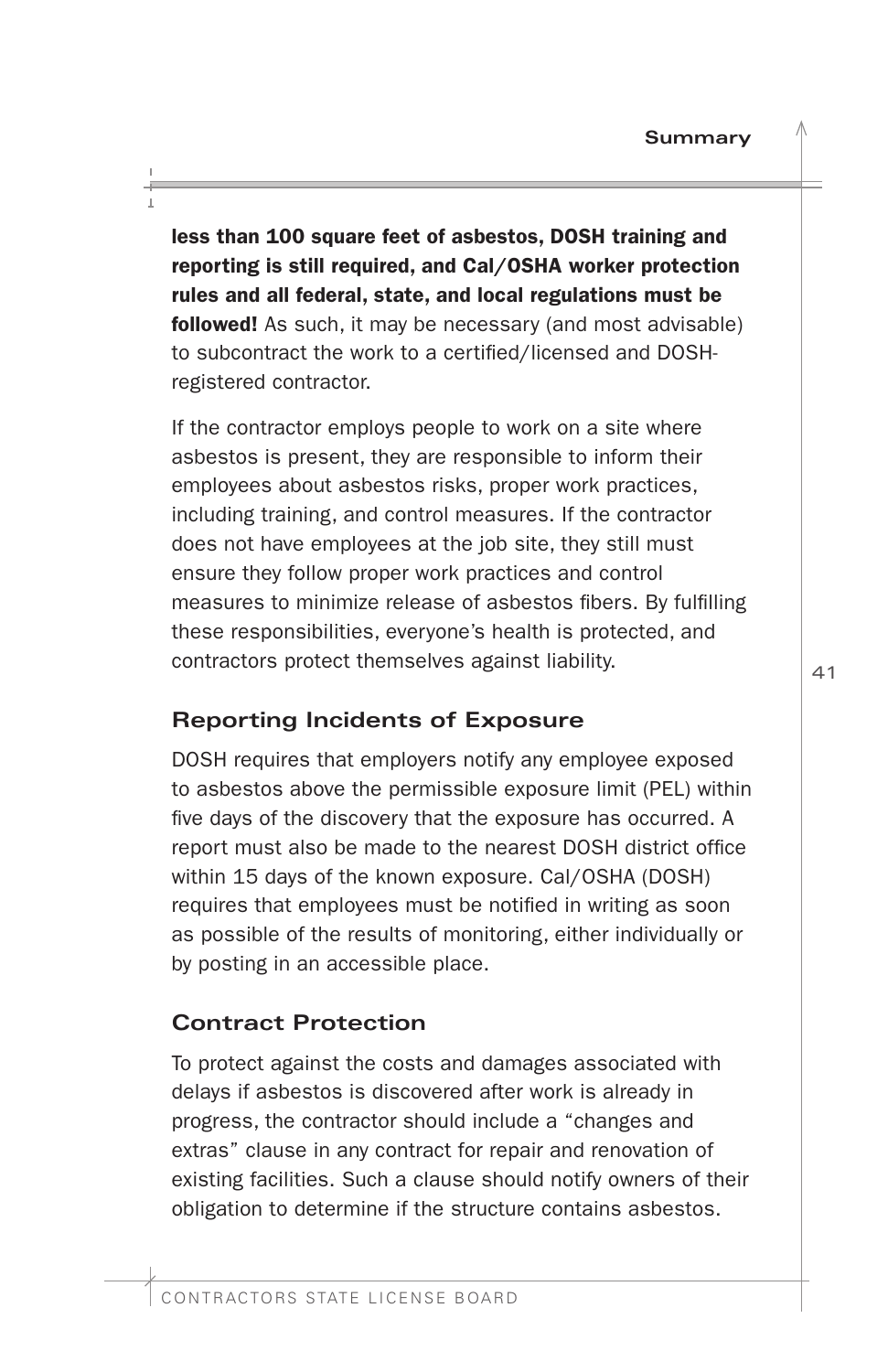<span id="page-42-0"></span>less than 100 square feet of asbestos, DOSH training and reporting is still required, and Cal/OSHA worker protection rules and all federal, state, and local regulations must be followed! As such, it may be necessary (and most advisable) to subcontract the work to a certifed/licensed and DOSHregistered contractor.

If the contractor employs people to work on a site where asbestos is present, they are responsible to inform their employees about asbestos risks, proper work practices, including training, and control measures. If the contractor does not have employees at the job site, they still must ensure they follow proper work practices and control measures to minimize release of asbestos fibers. By fulfilling these responsibilities, everyone's health is protected, and contractors protect themselves against liability.

# **Reporting Incidents of Exposure**

DOSH requires that employers notify any employee exposed to asbestos above the permissible exposure limit (PEL) within five days of the discovery that the exposure has occurred. A report must also be made to the nearest DOSH district office within 15 days of the known exposure. Cal/OSHA (DOSH) requires that employees must be notifed in writing as soon as possible of the results of monitoring, either individually or by posting in an accessible place.

# **Contract Protection**

To protect against the costs and damages associated with delays if asbestos is discovered after work is already in progress, the contractor should include a "changes and extras" clause in any contract for repair and renovation of existing facilities. Such a clause should notify owners of their obligation to determine if the structure contains asbestos.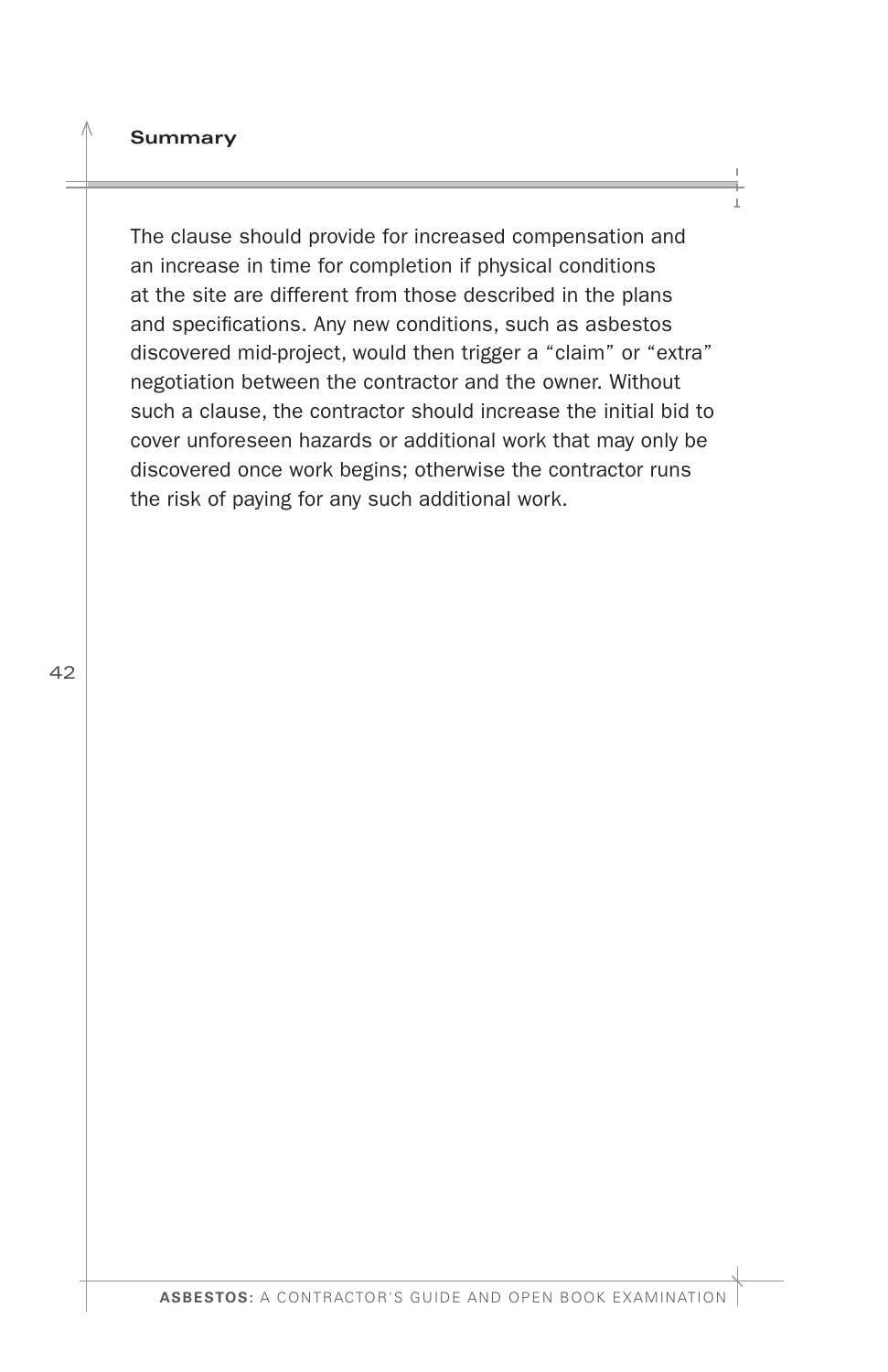#### **Summary**

The clause should provide for increased compensation and an increase in time for completion if physical conditions at the site are different from those described in the plans and specifcations. Any new conditions, such as asbestos discovered mid-project, would then trigger a "claim" or "extra" negotiation between the contractor and the owner. Without such a clause, the contractor should increase the initial bid to cover unforeseen hazards or additional work that may only be discovered once work begins; otherwise the contractor runs the risk of paying for any such additional work.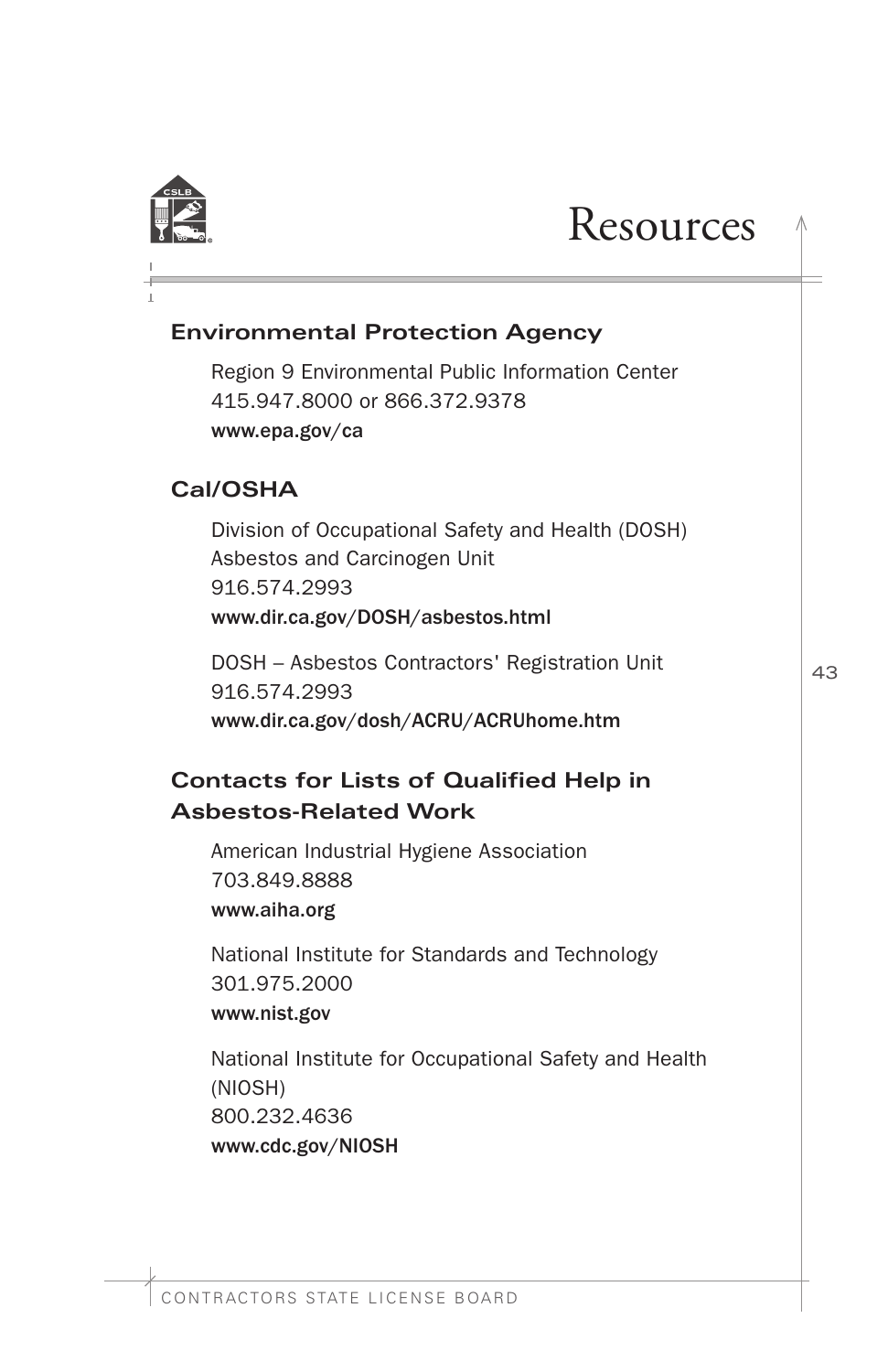<span id="page-44-0"></span>

# **Resources**

# **Environmental Protection Agency**

Region 9 Environmental Public Information Center 415.947.8000 or 866.372.9378 <www.epa.gov/ca>

# **Cal/OSHA**

Division of Occupational Safety and Health (DOSH) Asbestos and Carcinogen Unit 916.574.2993 <www.dir.ca.gov/DOSH/asbestos.html>

DOSH – Asbestos Contractors' Registration Unit 916.574.2993 <www.dir.ca.gov/dosh/ACRU/ACRUhome.htm>

# **Contacts for Lists of Qualifed Help in Asbestos-Related Work**

American Industrial Hygiene Association 703.849.8888 <www.aiha.org>

National Institute for Standards and Technology 301.975.2000 <www.nist.gov>

National Institute for Occupational Safety and Health (NIOSH) 800.232.4636 <www.cdc.gov/NIOSH>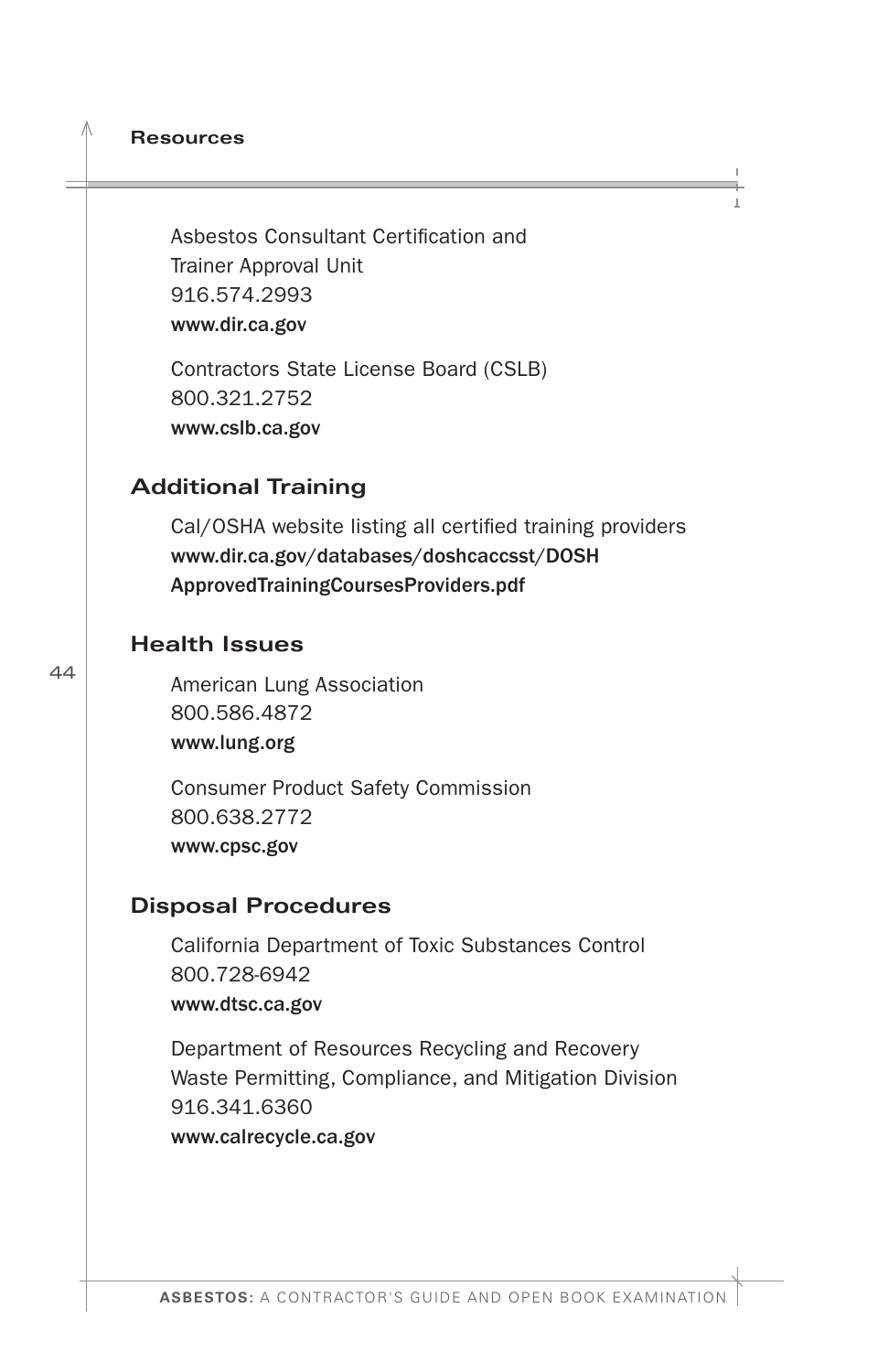**Resources** 

Asbestos Consultant Certifcation and Trainer Approval Unit 916.574.2993 <www.dir.ca.gov>

Contractors State License Board (CSLB) 800.321.2752 <www.cslb.ca.gov>

### **Additional Training**

Cal/OSHA website listing all certifed training providers <www.dir.ca.gov/databases/doshcaccsst/DOSH> ApprovedTrainingCoursesProviders.pdf

#### **Health Issues**

American Lung Association 800.586.4872 <www.lung.org>

Consumer Product Safety Commission 800.638.2772 <www.cpsc.gov>

#### **Disposal Procedures**

California Department of Toxic Substances Control 800.728-6942 <www.dtsc.ca.gov>

Department of Resources Recycling and Recovery Waste Permitting, Compliance, and Mitigation Division 916.341.6360 <www.calrecycle.ca.gov>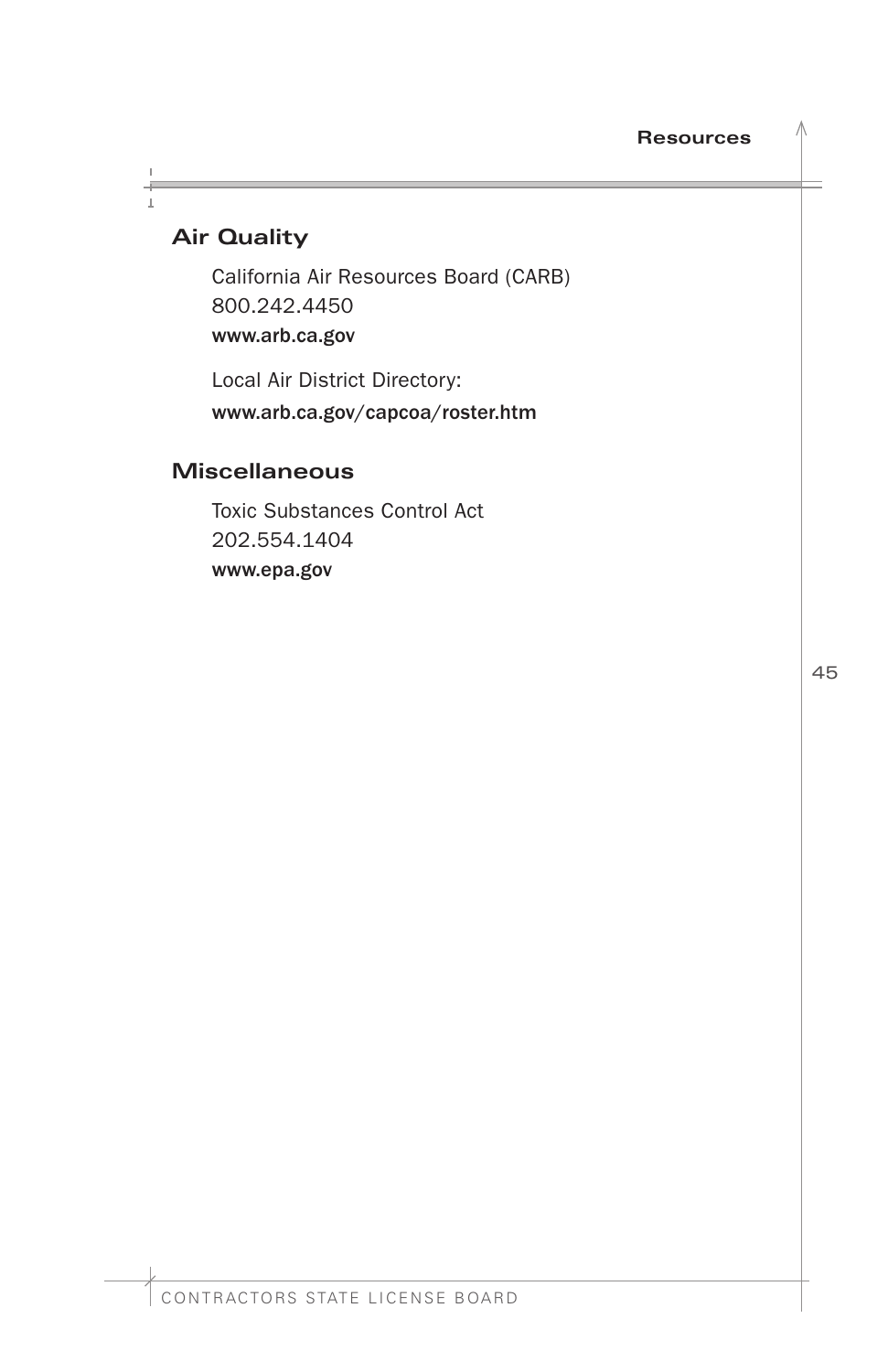# **Air Quality**

California Air Resources Board (CARB) 800.242.4450 <www.arb.ca.gov>

Local Air District Directory: <www.arb.ca.gov/capcoa/roster.htm>

### **Miscellaneous**

Toxic Substances Control Act 202.554.1404 <www.epa.gov>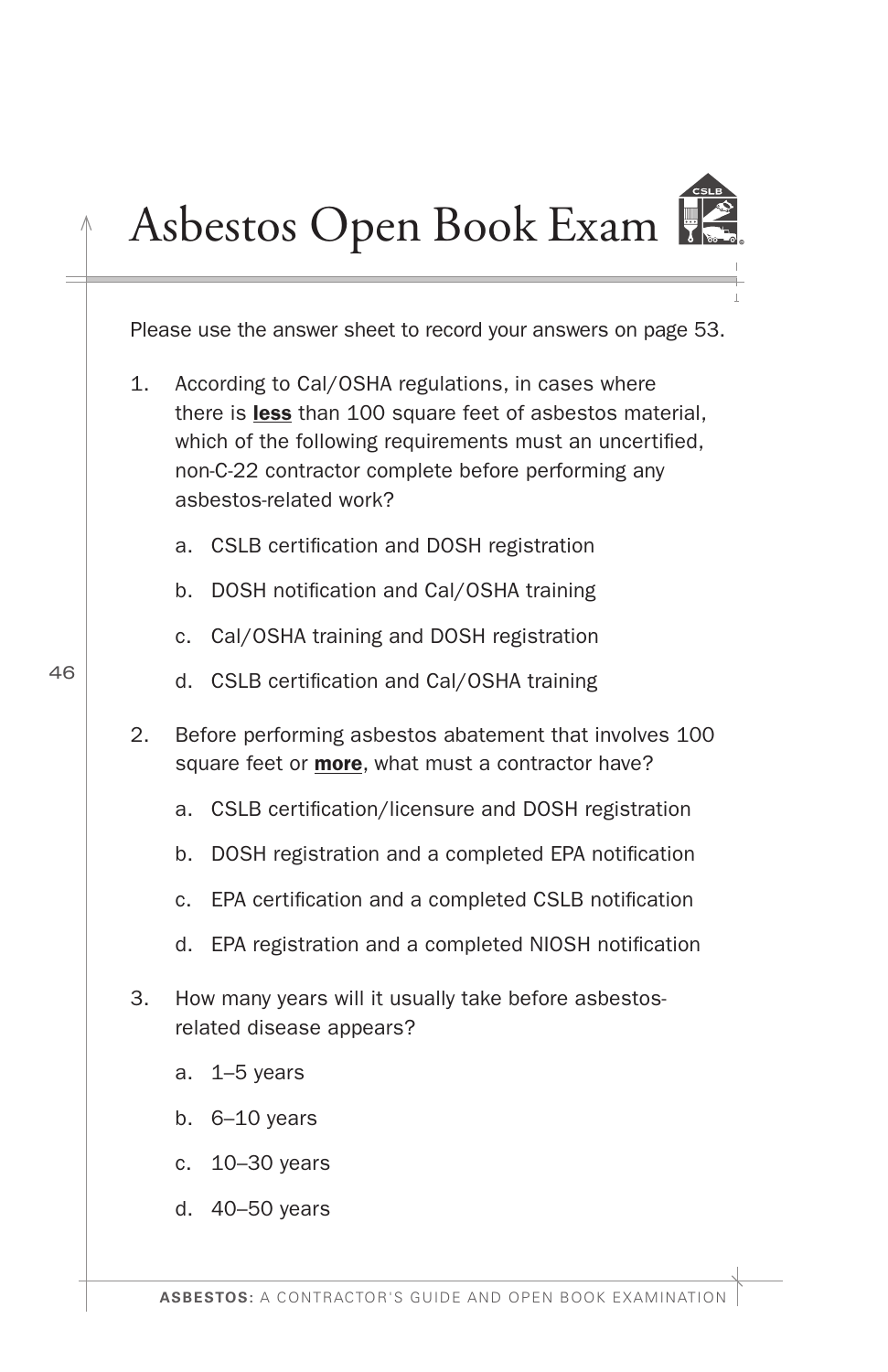# <span id="page-47-0"></span>Asbestos Open Book Exam



Please use the answer sheet to record your answers on page 53.

- 1. According to Cal/OSHA regulations, in cases where there is **less** than 100 square feet of asbestos material, which of the following requirements must an uncertifed, non-C-22 contractor complete before performing any asbestos-related work?
	- a. CSLB certifcation and DOSH registration
	- b. DOSH notification and Cal/OSHA training
	- c. Cal/OSHA training and DOSH registration
	- d. CSLB certifcation and Cal/OSHA training
- 2. Before performing asbestos abatement that involves 100 square feet or **more**, what must a contractor have?
	- a. CSLB certifcation/licensure and DOSH registration
	- b. DOSH registration and a completed EPA notifcation
	- c. EPA certifcation and a completed CSLB notifcation
	- d. EPA registration and a completed NIOSH notifcation
- 3. How many years will it usually take before asbestosrelated disease appears?
	- a. 1–5 years
	- b. 6–10 years
	- c. 10–30 years
	- d. 40–50 years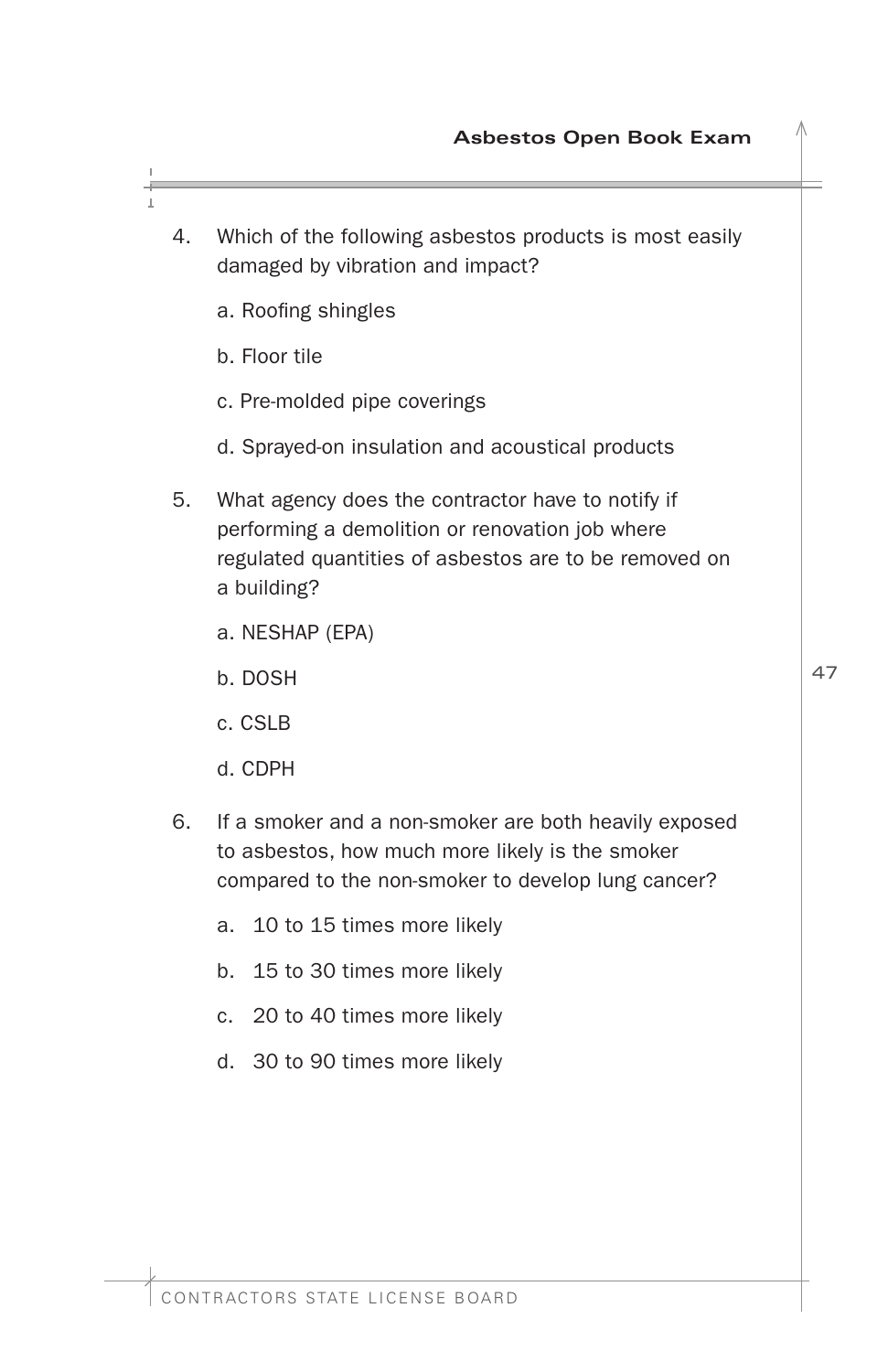- 4. Which of the following asbestos products is most easily damaged by vibration and impact?
	- a. Roofing shingles
	- b. Floor tile
	- c. Pre-molded pipe coverings
	- d. Sprayed-on insulation and acoustical products
- 5. What agency does the contractor have to notify if performing a demolition or renovation job where regulated quantities of asbestos are to be removed on a building?
	- a. NESHAP (EPA)
	- b. DOSH
	- c. CSLB
	- d. CDPH
- 6. If a smoker and a non-smoker are both heavily exposed to asbestos, how much more likely is the smoker compared to the non-smoker to develop lung cancer?
	- a. 10 to 15 times more likely
	- b. 15 to 30 times more likely
	- c. 20 to 40 times more likely
	- d. 30 to 90 times more likely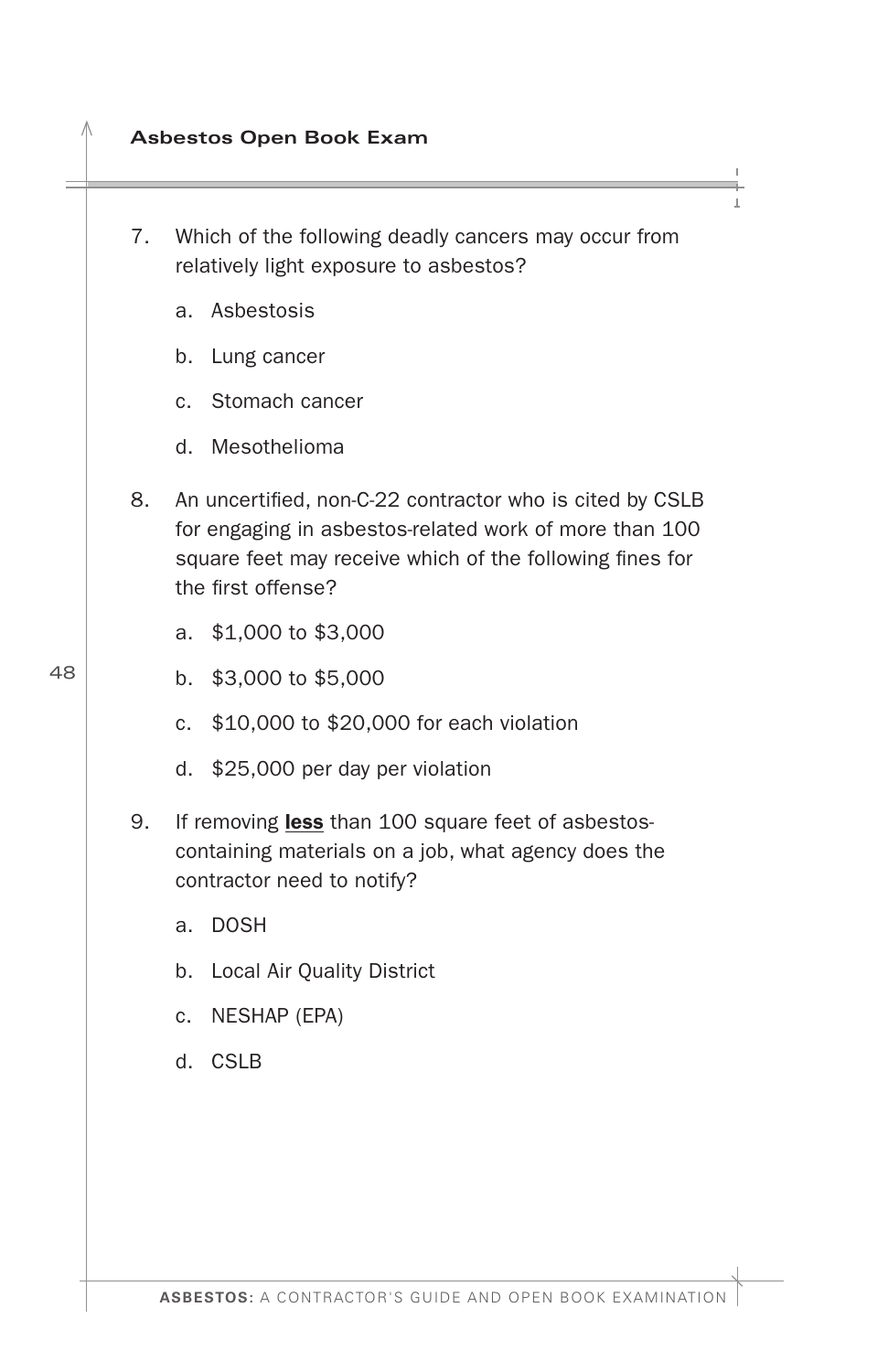- **Asbestos Open Book Exam**
- 7. Which of the following deadly cancers may occur from relatively light exposure to asbestos?
	- a. Asbestosis
	- b. Lung cancer
	- c. Stomach cancer
	- d. Mesothelioma
- 8. An uncertifed, non-C-22 contractor who is cited by CSLB for engaging in asbestos-related work of more than 100 square feet may receive which of the following fines for the first offense?
	- a. \$1,000 to \$3,000
	- b. \$3,000 to \$5,000
	- c. \$10,000 to \$20,000 for each violation
	- d. \$25,000 per day per violation
- 9. If removing less than 100 square feet of asbestoscontaining materials on a job, what agency does the contractor need to notify?
	- a. DOSH
	- b. Local Air Quality District
	- c. NESHAP (EPA)
	- d. CSLB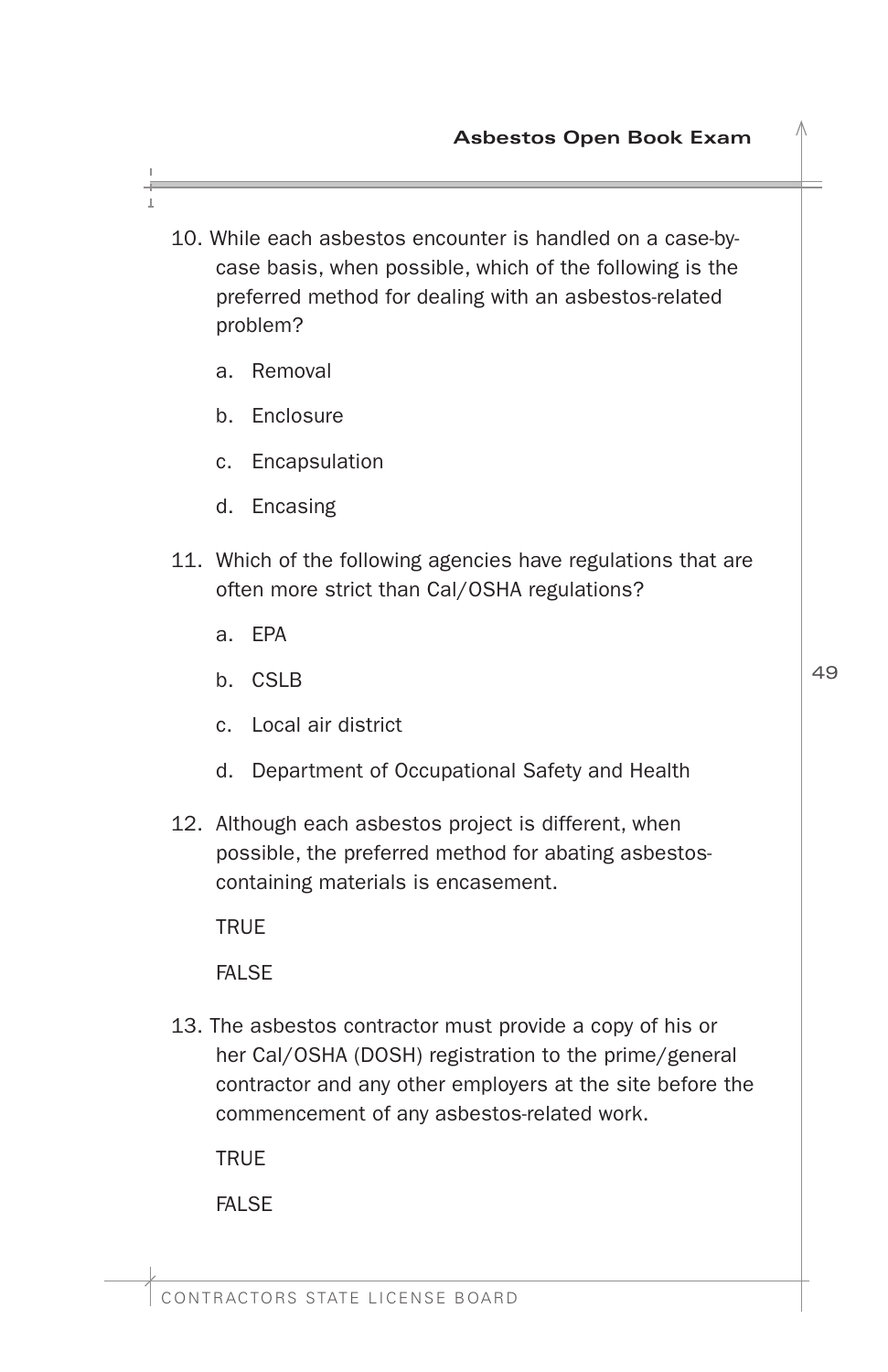- 10. While each asbestos encounter is handled on a case-bycase basis, when possible, which of the following is the preferred method for dealing with an asbestos-related problem?
	- a. Removal
	- b. Enclosure
	- c. Encapsulation
	- d. Encasing
- 11. Which of the following agencies have regulations that are often more strict than Cal/OSHA regulations?
	- a. EPA
	- b. CSLB
	- c. Local air district
	- d. Department of Occupational Safety and Health
- 12. Although each asbestos project is different, when possible, the preferred method for abating asbestoscontaining materials is encasement.

TRUE

FALSE

13. The asbestos contractor must provide a copy of his or her Cal/OSHA (DOSH) registration to the prime/general contractor and any other employers at the site before the commencement of any asbestos-related work.

**TRUE** 

**FALSE**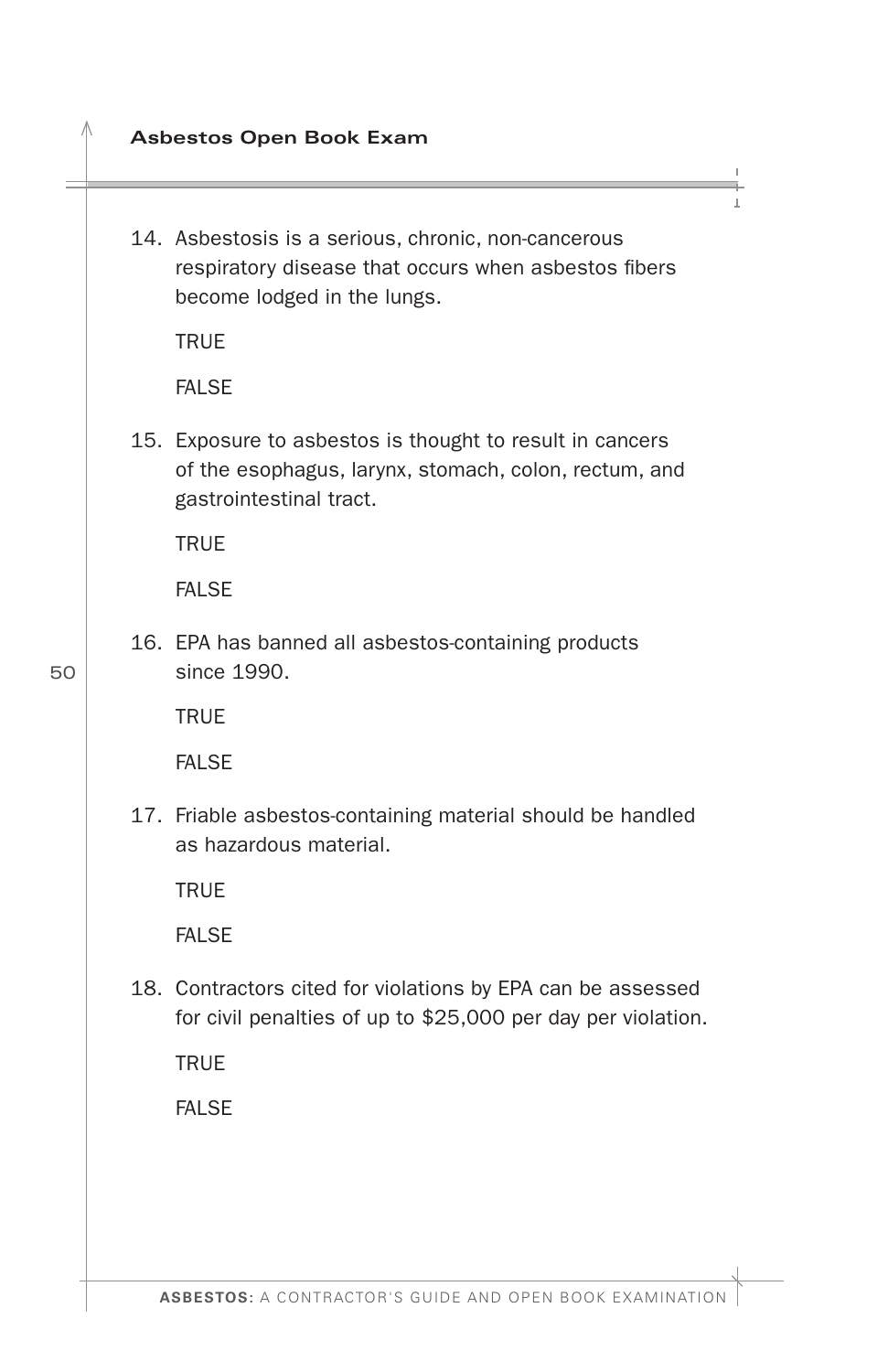- **Asbestos Open Book Exam**
- 14. Asbestosis is a serious, chronic, non-cancerous respiratory disease that occurs when asbestos fibers become lodged in the lungs.

**TRUE** 

**FALSE** 

15. Exposure to asbestos is thought to result in cancers of the esophagus, larynx, stomach, colon, rectum, and gastrointestinal tract.

TRUE

**FALSE** 

16. EPA has banned all asbestos-containing products since 1990.

**TRUF** 

FALSE

17. Friable asbestos-containing material should be handled as hazardous material.

**TRUE** 

FALSE

18. Contractors cited for violations by EPA can be assessed for civil penalties of up to \$25,000 per day per violation.

**TRUE** 

FALSE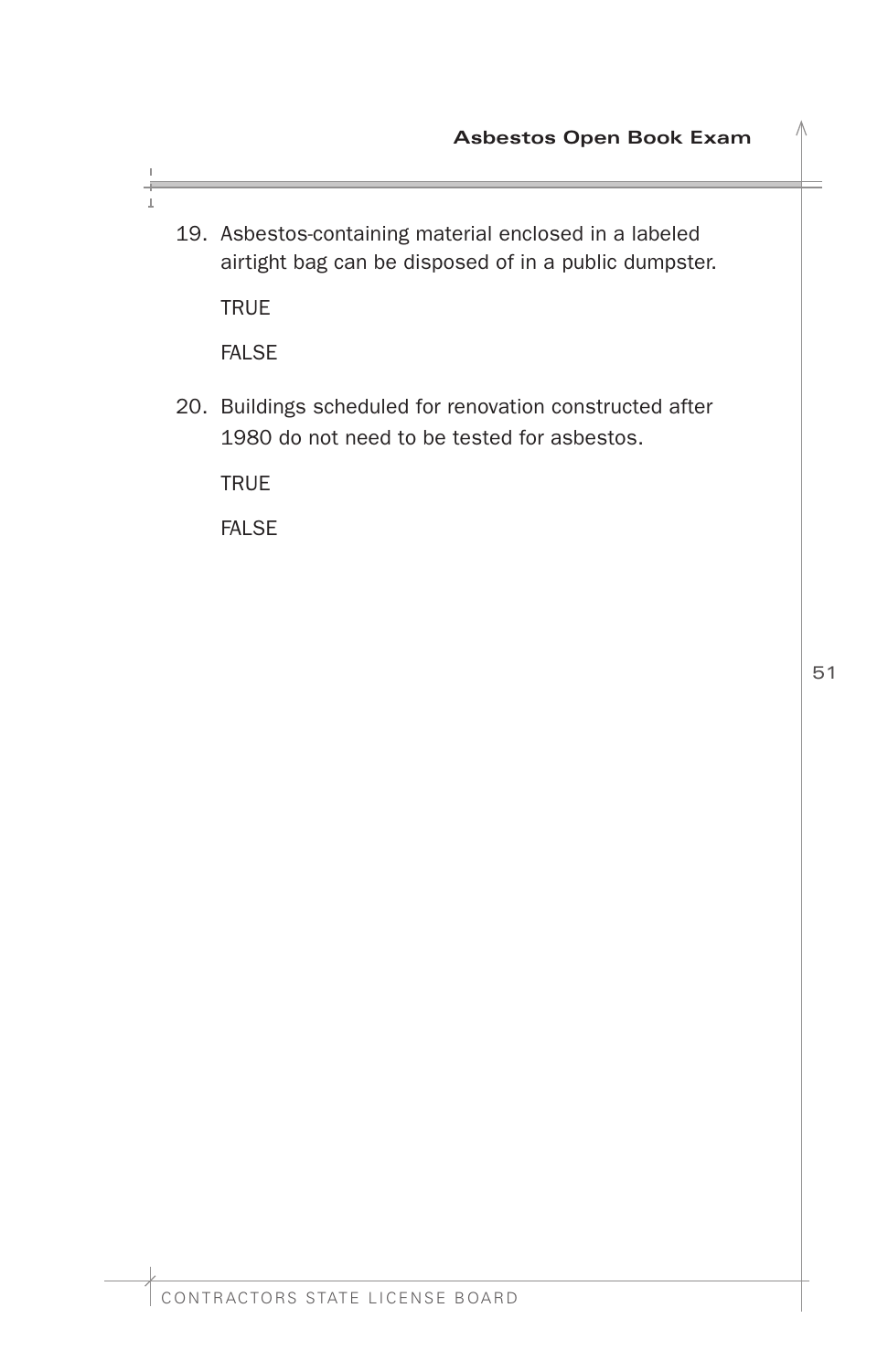19. Asbestos-containing material enclosed in a labeled airtight bag can be disposed of in a public dumpster.

**TRUE** 

FALSE

20. Buildings scheduled for renovation constructed after 1980 do not need to be tested for asbestos.

TRUE

FALSE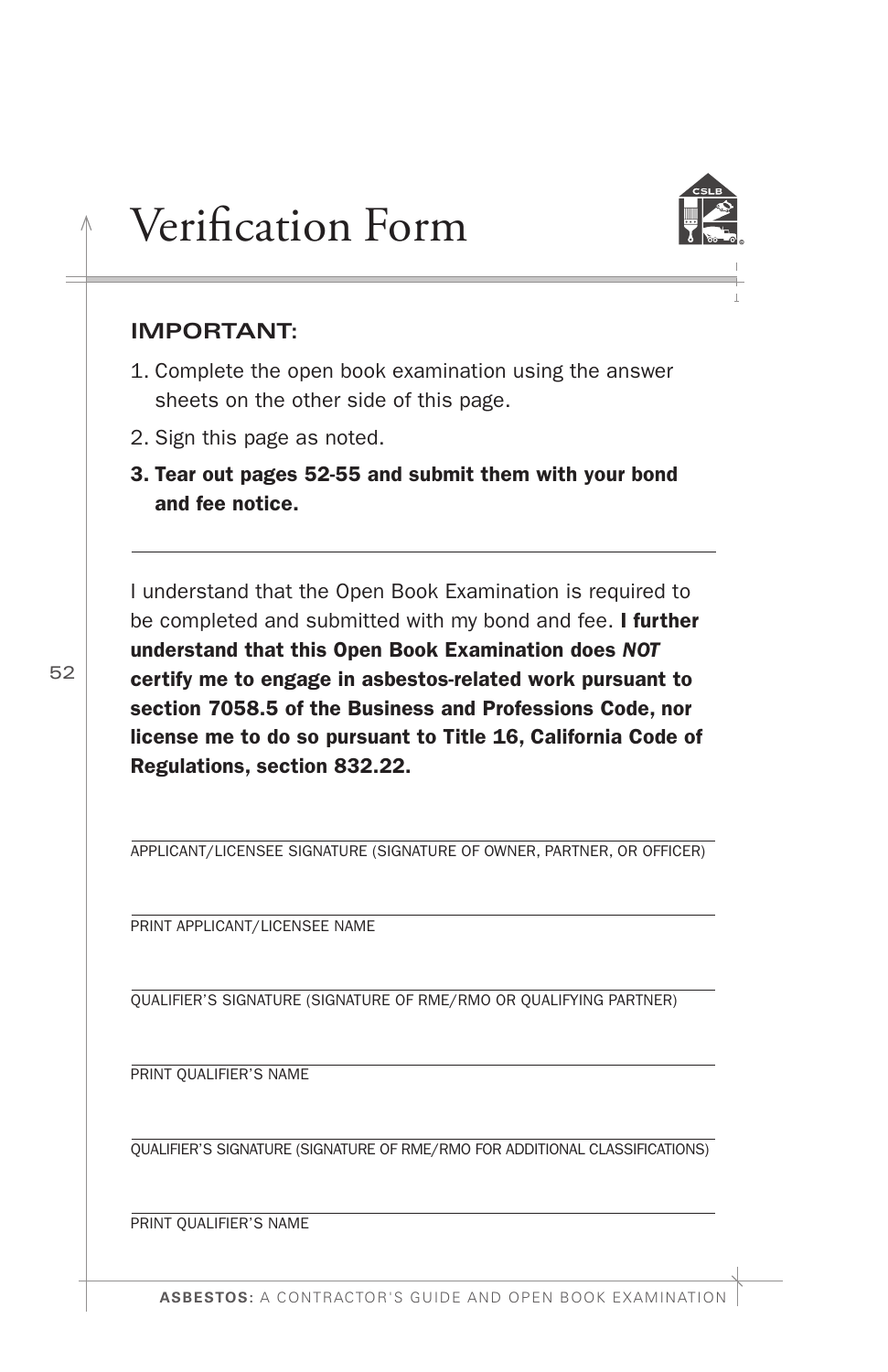# <span id="page-53-0"></span>Verifcation Form



### **IMPORTANT:**

52

- 1. Complete the open book examination using the answer sheets on the other side of this page.
- 2. Sign this page as noted.
- 3. Tear out pages 52-55 and submit them with your bond and fee notice.

I understand that the Open Book Examination is required to be completed and submitted with my bond and fee. I further understand that this Open Book Examination does *NOT*  certify me to engage in asbestos-related work pursuant to section 7058.5 of the Business and Professions Code, nor license me to do so pursuant to Title 16, California Code of Regulations, section 832.22.

APPLICANT/LICENSEE SIGNATURE (SIGNATURE OF OWNER, PARTNER, OR OFFICER)

PRINT APPLICANT/LICENSEE NAME

QUALIFIER'S SIGNATURE (SIGNATURE OF RME/RMO OR QUALIFYING PARTNER)

PRINT QUALIFIER'S NAME

QUALIFIER'S SIGNATURE (SIGNATURE OF RME/RMO FOR ADDITIONAL CLASSIFICATIONS)

PRINT QUALIFIER'S NAME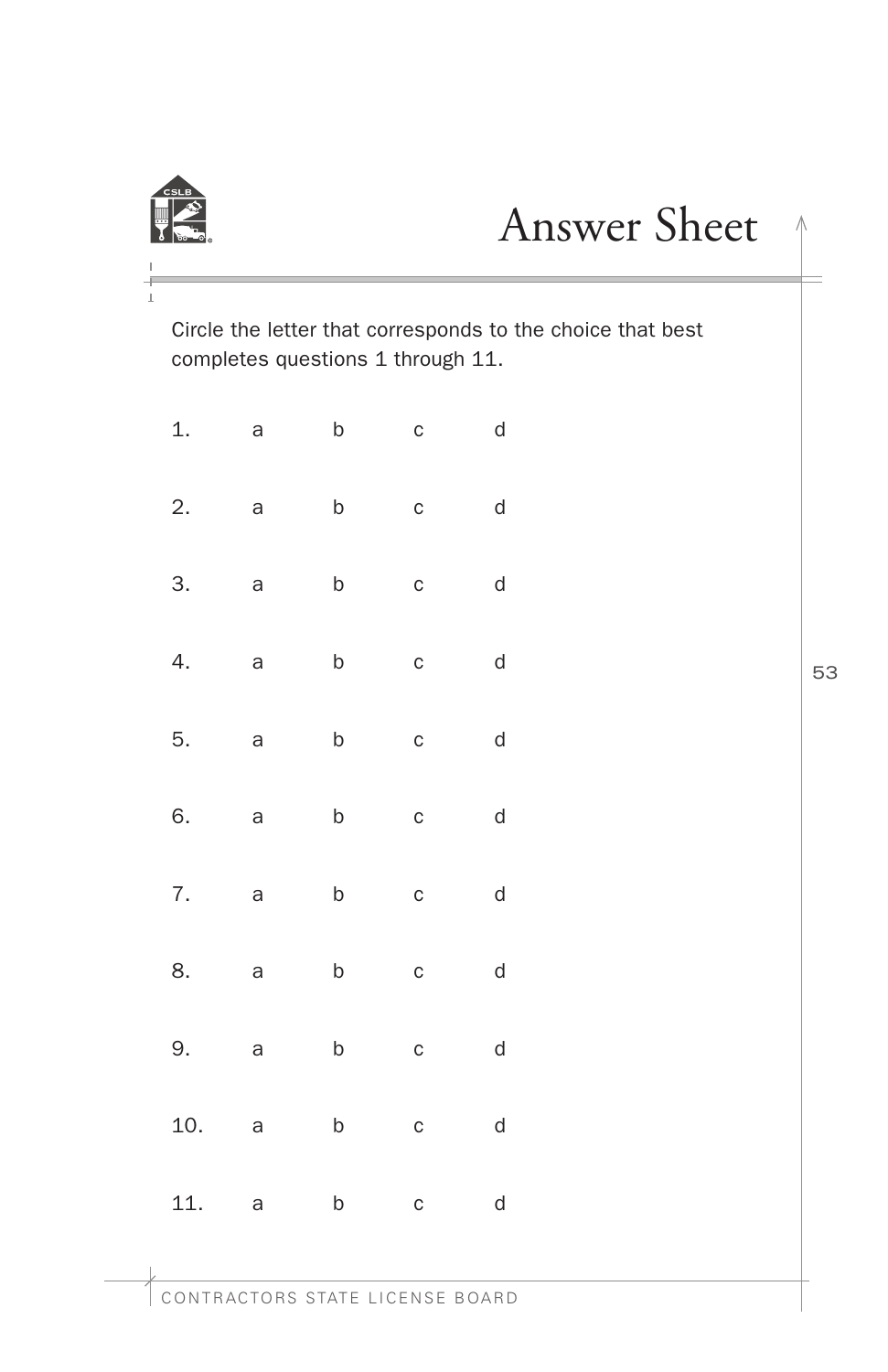<span id="page-54-0"></span>

# Answer Sheet <sup>1</sup>

Circle the letter that corresponds to the choice that best completes questions 1 through 11.

| 1.  | a | b           | $\mathsf{C}$ | d |
|-----|---|-------------|--------------|---|
| 2.  | a | $\mathsf b$ | C            | d |
| 3.  | a | $\mathsf b$ | C            | d |
| 4.  | a | b           | $\mathsf{C}$ | d |
| 5.  | a | b           | $\mathsf{C}$ | d |
| 6.  | a | $\mathsf b$ | $\mathsf{C}$ | d |
| 7.  | a | $\mathsf b$ | $\mathbf{C}$ | d |
| 8.  | a | b           | $\mathsf{C}$ | d |
| 9.  | a | b           | $\mathsf{C}$ | d |
| 10. | a | $\mathsf b$ | C            | d |
| 11. | a | $\mathsf b$ | $\mathsf{C}$ | d |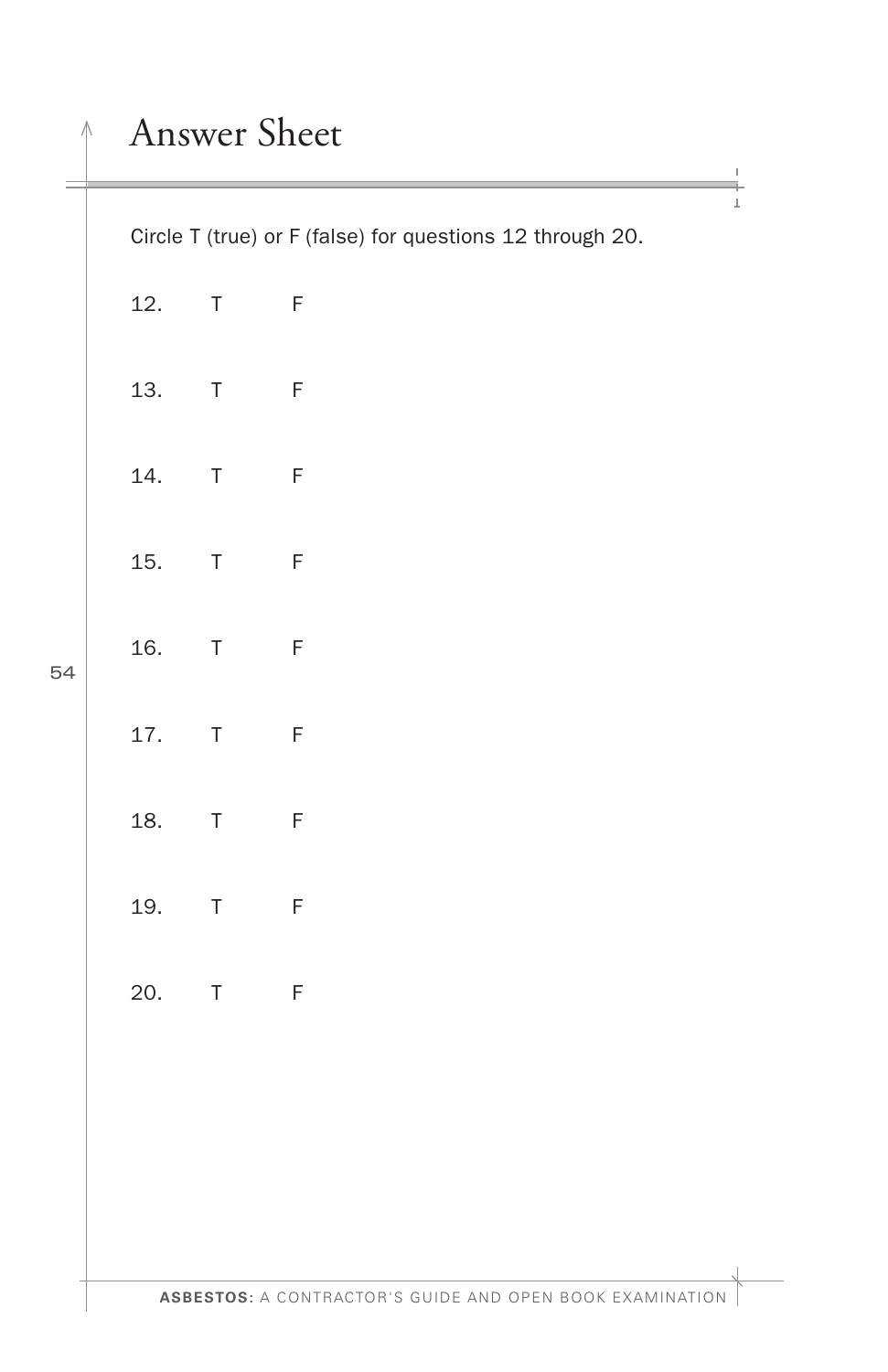# Answer Sheet

Circle T (true) or F (false) for questions 12 through 20.

| 12. | T.     | F |
|-----|--------|---|
| 13. | $\top$ | F |
| 14. | T      | F |
| 15. | T      | F |
| 16. | T      | F |
| 17. | T      | F |
| 18. | T      | F |
| 19. | T      | F |
| 20. | T      | F |
|     |        |   |
|     |        |   |
|     |        |   |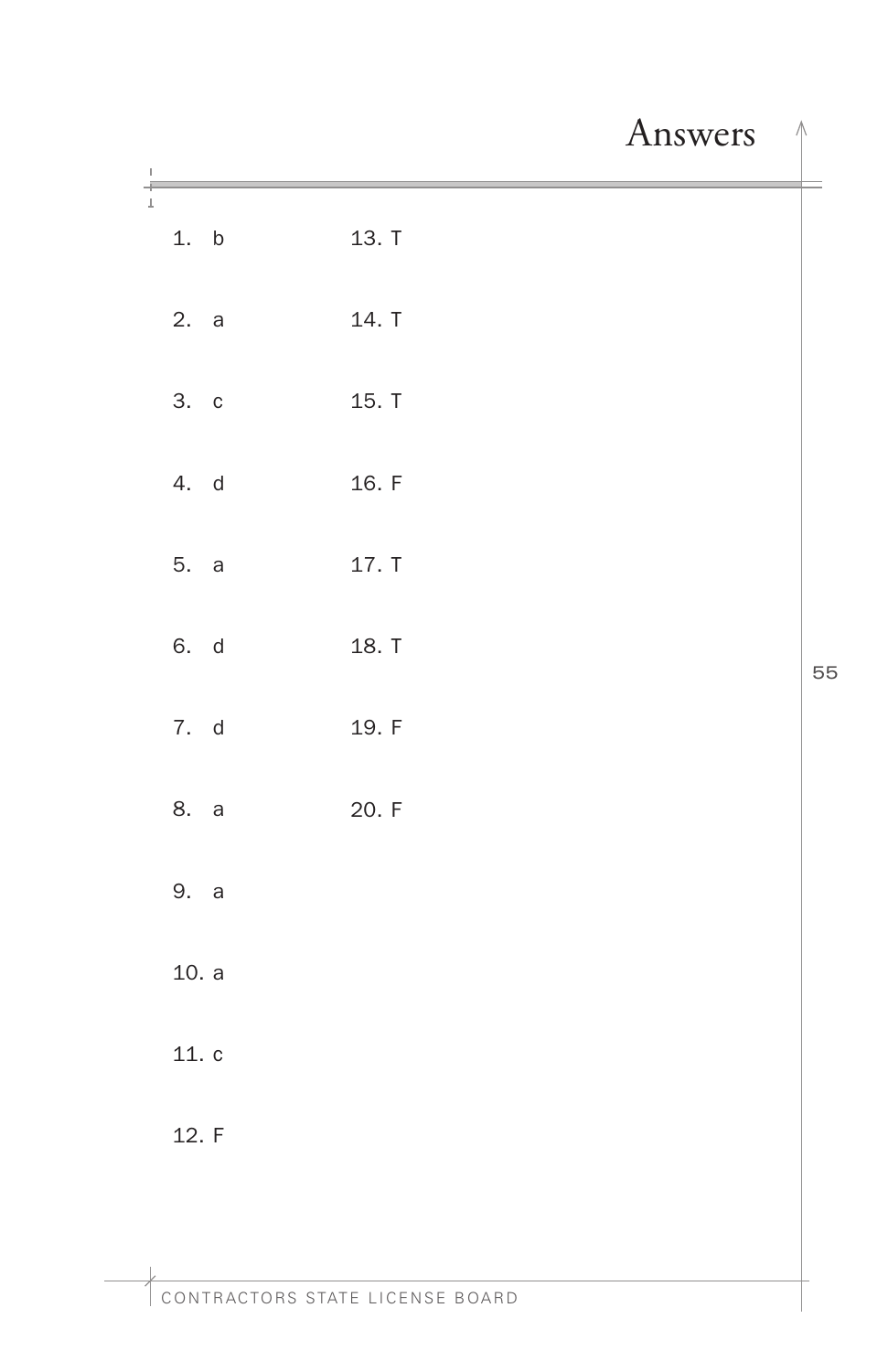# Answers  $\uparrow$

<span id="page-56-0"></span>

| $\, \vert \,$ |       |       |    |
|---------------|-------|-------|----|
| $\frac{1}{4}$ | 1. b  | 13. T |    |
|               | 2. a  | 14. T |    |
|               | 3. c  | 15. T |    |
|               | 4. d  | 16. F |    |
|               | 5. a  | 17. T |    |
|               | 6. d  | 18. T | 55 |
|               | 7. d  | 19. F |    |
|               | 8. a  | 20. F |    |
|               | 9. a  |       |    |
|               | 10. a |       |    |
|               | 11. c |       |    |
|               | 12. F |       |    |
| $\mathbb{L}$  |       |       |    |
|               |       |       |    |